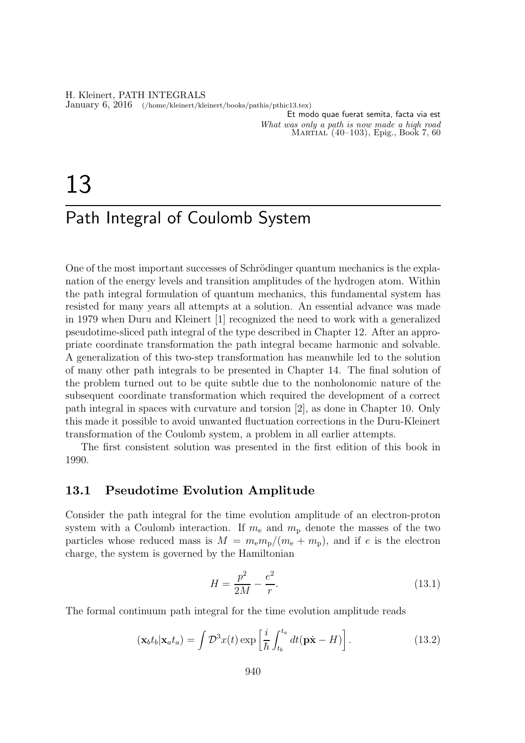H. Kleinert, PATH INTEGRALS January 6, 2016 (/home/kleinert/kleinert/books/pathis/pthic13.tex)

Et modo quae fuerat semita, facta via est What was only a path is now made a high road Martial (40–103), Epig., Book 7, 60

# 13

## Path Integral of Coulomb System

One of the most important successes of Schrödinger quantum mechanics is the explanation of the energy levels and transition amplitudes of the hydrogen atom. Within the path integral formulation of quantum mechanics, this fundamental system has resisted for many years all attempts at a solution. An essential advance was made in 1979 when Duru and Kleinert [1] recognized the need to work with a generalized pseudotime-sliced path integral of the type described in Chapter 12. After an appropriate coordinate transformation the path integral became harmonic and solvable. A generalization of this two-step transformation has meanwhile led to the solution of many other path integrals to be presented in Chapter 14. The final solution of the problem turned out to be quite subtle due to the nonholonomic nature of the subsequent coordinate transformation which required the development of a correct path integral in spaces with curvature and torsion [2], as done in Chapter 10. Only this made it possible to avoid unwanted fluctuation corrections in the Duru-Kleinert transformation of the Coulomb system, a problem in all earlier attempts.

The first consistent solution was presented in the first edition of this book in 1990.

## 13.1 Pseudotime Evolution Amplitude

Consider the path integral for the time evolution amplitude of an electron-proton system with a Coulomb interaction. If  $m_e$  and  $m_p$  denote the masses of the two particles whose reduced mass is  $M = m_{\rm e} m_{\rm p} / (m_{\rm e} + m_{\rm p})$ , and if e is the electron charge, the system is governed by the Hamiltonian

$$
H = \frac{p^2}{2M} - \frac{e^2}{r}.
$$
\n(13.1)

The formal continuum path integral for the time evolution amplitude reads

$$
(\mathbf{x}_b t_b | \mathbf{x}_a t_a) = \int \mathcal{D}^3 x(t) \exp\left[\frac{i}{\hbar} \int_{t_b}^{t_a} dt (\mathbf{p} \dot{\mathbf{x}} - H)\right]. \tag{13.2}
$$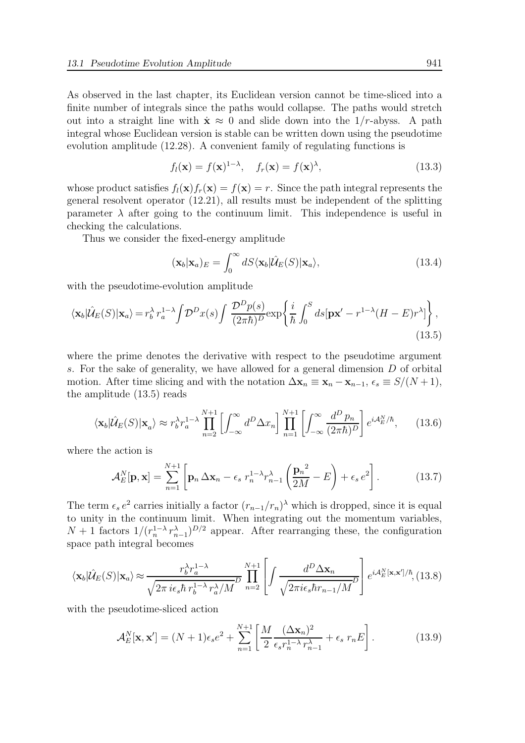As observed in the last chapter, its Euclidean version cannot be time-sliced into a finite number of integrals since the paths would collapse. The paths would stretch out into a straight line with  $\dot{\mathbf{x}} \approx 0$  and slide down into the 1/r-abyss. A path integral whose Euclidean version is stable can be written down using the pseudotime evolution amplitude (12.28). A convenient family of regulating functions is

$$
f_l(\mathbf{x}) = f(\mathbf{x})^{1-\lambda}, \quad f_r(\mathbf{x}) = f(\mathbf{x})^{\lambda}, \tag{13.3}
$$

whose product satisfies  $f_l(\mathbf{x})f_r(\mathbf{x}) = f(\mathbf{x}) = r$ . Since the path integral represents the general resolvent operator (12.21), all results must be independent of the splitting parameter  $\lambda$  after going to the continuum limit. This independence is useful in checking the calculations.

Thus we consider the fixed-energy amplitude

$$
(\mathbf{x}_b|\mathbf{x}_a)_E = \int_0^\infty dS \langle \mathbf{x}_b | \hat{\mathcal{U}}_E(S) | \mathbf{x}_a \rangle, \tag{13.4}
$$

with the pseudotime-evolution amplitude

$$
\langle \mathbf{x}_b | \hat{\mathcal{U}}_E(S) | \mathbf{x}_a \rangle = r_b^{\lambda} r_a^{1-\lambda} \int \mathcal{D}^D x(s) \int \frac{\mathcal{D}^D p(s)}{(2\pi\hbar)^D} \exp\left\{ \frac{i}{\hbar} \int_0^S ds \left[ \mathbf{p} \mathbf{x}' - r^{1-\lambda} (H - E) r^{\lambda} \right] \right\},\tag{13.5}
$$

where the prime denotes the derivative with respect to the pseudotime argument s. For the sake of generality, we have allowed for a general dimension D of orbital motion. After time slicing and with the notation  $\Delta \mathbf{x}_n \equiv \mathbf{x}_n - \mathbf{x}_{n-1}, \epsilon_s \equiv S/(N+1),$ the amplitude (13.5) reads

$$
\langle \mathbf{x}_b | \hat{\mathcal{U}}_E(S) | \mathbf{x}_a \rangle \approx r_b^{\lambda} r_a^{1-\lambda} \prod_{n=2}^{N+1} \left[ \int_{-\infty}^{\infty} d^D \Delta x_n \right] \prod_{n=1}^{N+1} \left[ \int_{-\infty}^{\infty} \frac{d^D p_n}{(2\pi\hbar)^D} \right] e^{i \mathcal{A}_E^N/\hbar}, \tag{13.6}
$$

where the action is

$$
\mathcal{A}_E^N[\mathbf{p}, \mathbf{x}] = \sum_{n=1}^{N+1} \left[ \mathbf{p}_n \, \Delta \mathbf{x}_n - \epsilon_s \, r_n^{1-\lambda} r_{n-1}^{\lambda} \left( \frac{\mathbf{p}_n^2}{2M} - E \right) + \epsilon_s \, e^2 \right]. \tag{13.7}
$$

The term  $\epsilon_s e^2$  carries initially a factor  $(r_{n-1}/r_n)^{\lambda}$  which is dropped, since it is equal to unity in the continuum limit. When integrating out the momentum variables,  $N+1$  factors  $1/(r_n^{1-\lambda}r_{n-1}^{\lambda})^{D/2}$  appear. After rearranging these, the configuration space path integral becomes

$$
\langle \mathbf{x}_b | \hat{\mathcal{U}}_E(S) | \mathbf{x}_a \rangle \approx \frac{r_b^{\lambda} r_a^{1-\lambda}}{\sqrt{2\pi i \epsilon_s \hbar r_b^{1-\lambda} r_a^{\lambda}/M}} \prod_{n=2}^{N+1} \left[ \int \frac{d^D \Delta \mathbf{x}_n}{\sqrt{2\pi i \epsilon_s \hbar r_{n-1}/M}} \right] e^{i \mathcal{A}_E^N[\mathbf{x}, \mathbf{x}']/\hbar}, (13.8)
$$

with the pseudotime-sliced action

$$
\mathcal{A}_E^N[\mathbf{x}, \mathbf{x}'] = (N+1)\epsilon_s e^2 + \sum_{n=1}^{N+1} \left[ \frac{M}{2} \frac{(\Delta \mathbf{x}_n)^2}{\epsilon_s r_n^{1-\lambda} r_{n-1}^{\lambda}} + \epsilon_s r_n E \right].
$$
 (13.9)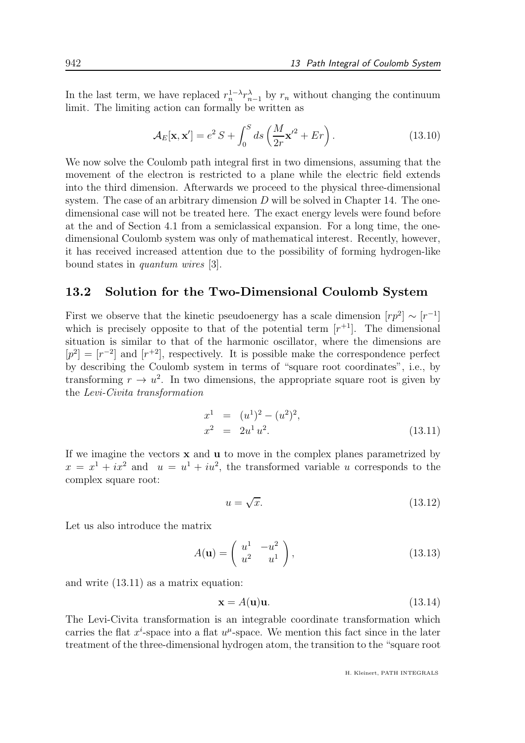In the last term, we have replaced  $r_n^{1-\lambda} r_{n-1}^{\lambda}$  by  $r_n$  without changing the continuum limit. The limiting action can formally be written as

$$
\mathcal{A}_E[\mathbf{x}, \mathbf{x}'] = e^2 S + \int_0^S ds \left(\frac{M}{2r} \mathbf{x}'^2 + Er\right). \tag{13.10}
$$

We now solve the Coulomb path integral first in two dimensions, assuming that the movement of the electron is restricted to a plane while the electric field extends into the third dimension. Afterwards we proceed to the physical three-dimensional system. The case of an arbitrary dimension  $D$  will be solved in Chapter 14. The onedimensional case will not be treated here. The exact energy levels were found before at the and of Section 4.1 from a semiclassical expansion. For a long time, the onedimensional Coulomb system was only of mathematical interest. Recently, however, it has received increased attention due to the possibility of forming hydrogen-like bound states in quantum wires [3].

#### 13.2 Solution for the Two-Dimensional Coulomb System

First we observe that the kinetic pseudoenergy has a scale dimension  $[r p^2] \sim [r^{-1}]$ which is precisely opposite to that of the potential term  $[r^{+1}]$ . The dimensional situation is similar to that of the harmonic oscillator, where the dimensions are  $[p^2] = [r^{-2}]$  and  $[r^{+2}]$ , respectively. It is possible make the correspondence perfect by describing the Coulomb system in terms of "square root coordinates", i.e., by transforming  $r \to u^2$ . In two dimensions, the appropriate square root is given by the Levi-Civita transformation

$$
x^{1} = (u^{1})^{2} - (u^{2})^{2},
$$
  
\n
$$
x^{2} = 2u^{1}u^{2}.
$$
\n(13.11)

If we imagine the vectors  $x$  and  $u$  to move in the complex planes parametrized by  $x = x<sup>1</sup> + ix<sup>2</sup>$  and  $u = u<sup>1</sup> + iu<sup>2</sup>$ , the transformed variable u corresponds to the complex square root:

$$
u = \sqrt{x}.\tag{13.12}
$$

Let us also introduce the matrix

$$
A(\mathbf{u}) = \begin{pmatrix} u^1 & -u^2 \\ u^2 & u^1 \end{pmatrix}, \tag{13.13}
$$

and write (13.11) as a matrix equation:

$$
\mathbf{x} = A(\mathbf{u})\mathbf{u}.\tag{13.14}
$$

The Levi-Civita transformation is an integrable coordinate transformation which carries the flat  $x^i$ -space into a flat  $u^{\mu}$ -space. We mention this fact since in the later treatment of the three-dimensional hydrogen atom, the transition to the "square root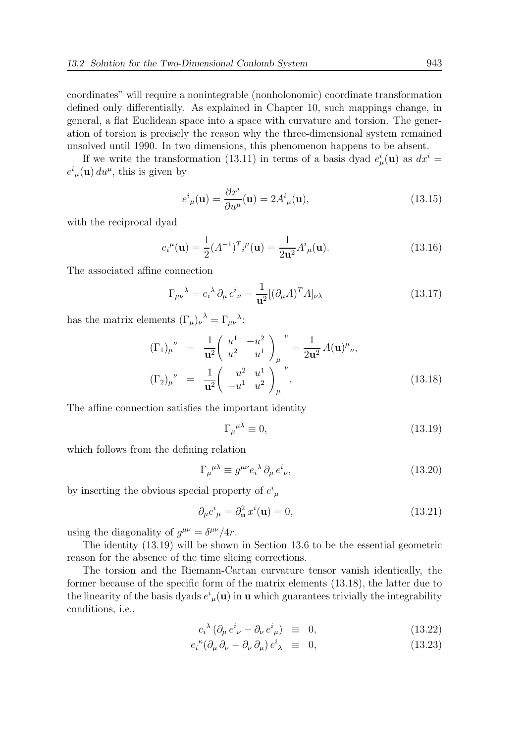coordinates" will require a nonintegrable (nonholonomic) coordinate transformation defined only differentially. As explained in Chapter 10, such mappings change, in general, a flat Euclidean space into a space with curvature and torsion. The generation of torsion is precisely the reason why the three-dimensional system remained unsolved until 1990. In two dimensions, this phenomenon happens to be absent.

If we write the transformation (13.11) in terms of a basis dyad  $e^i_\mu(\mathbf{u})$  as  $dx^i =$  $e^{i}_{\mu}(\mathbf{u}) du^{\mu}$ , this is given by

$$
e^{i}_{\mu}(\mathbf{u}) = \frac{\partial x^{i}}{\partial u^{\mu}}(\mathbf{u}) = 2A^{i}_{\mu}(\mathbf{u}), \qquad (13.15)
$$

with the reciprocal dyad

$$
e_i^{\mu}(\mathbf{u}) = \frac{1}{2} (A^{-1})^T i^{\mu}(\mathbf{u}) = \frac{1}{2\mathbf{u}^2} A^i_{\mu}(\mathbf{u}).
$$
 (13.16)

The associated affine connection

$$
\Gamma_{\mu\nu}{}^{\lambda} = e_i{}^{\lambda} \partial_{\mu} e^i{}_{\nu} = \frac{1}{\mathbf{u}^2} [(\partial_{\mu} A)^T A]_{\nu\lambda} \tag{13.17}
$$

has the matrix elements  $(\Gamma_{\mu})_{\nu}^{\lambda} = \Gamma_{\mu\nu}^{\lambda}$ :

$$
(\Gamma_1)_{\mu}^{\nu} = \frac{1}{\mathbf{u}^2} \begin{pmatrix} u^1 & -u^2 \\ u^2 & u^1 \end{pmatrix}_{\mu}^{\nu} = \frac{1}{2\mathbf{u}^2} A(\mathbf{u})^{\mu}{}_{\nu},
$$
  
\n
$$
(\Gamma_2)_{\mu}^{\nu} = \frac{1}{\mathbf{u}^2} \begin{pmatrix} u^2 & u^1 \\ -u^1 & u^2 \end{pmatrix}_{\mu}^{\nu}.
$$
 (13.18)

The affine connection satisfies the important identity

$$
\Gamma_{\mu}{}^{\mu\lambda} \equiv 0,\tag{13.19}
$$

which follows from the defining relation

$$
\Gamma_{\mu}{}^{\mu\lambda} \equiv g^{\mu\nu} e_i{}^{\lambda} \partial_{\mu} e^i{}_{\nu},\tag{13.20}
$$

by inserting the obvious special property of  $e^i_{\ \mu}$ 

$$
\partial_{\mu}e^{i}_{\mu} = \partial_{\mathbf{u}}^{2}x^{i}(\mathbf{u}) = 0, \qquad (13.21)
$$

using the diagonality of  $g^{\mu\nu} = \delta^{\mu\nu}/4r$ .

The identity (13.19) will be shown in Section 13.6 to be the essential geometric reason for the absence of the time slicing corrections.

The torsion and the Riemann-Cartan curvature tensor vanish identically, the former because of the specific form of the matrix elements (13.18), the latter due to the linearity of the basis dyads  $e^i{}_{\mu}(\mathbf{u})$  in **u** which guarantees trivially the integrability conditions, i.e.,

$$
e_i^{\lambda} (\partial_{\mu} e^i_{\ \nu} - \partial_{\nu} e^i_{\ \mu}) \equiv 0, \tag{13.22}
$$

$$
e_i^{\kappa} (\partial_{\mu} \partial_{\nu} - \partial_{\nu} \partial_{\mu}) e^i_{\lambda} \equiv 0, \qquad (13.23)
$$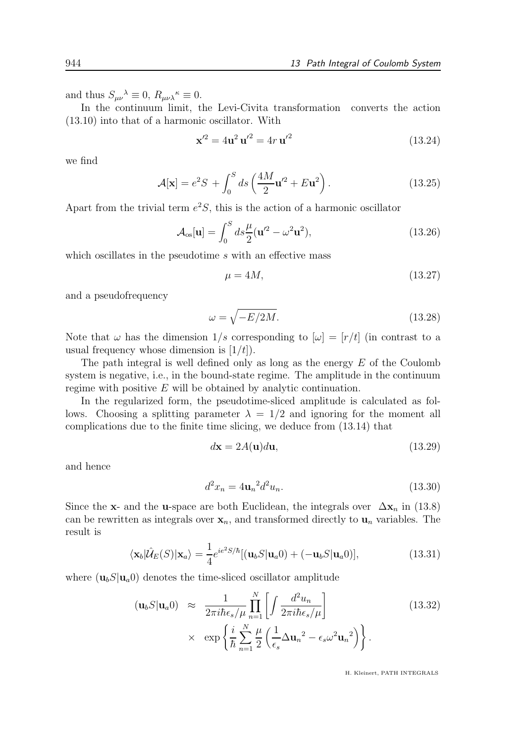and thus  $S_{\mu\nu}{}^{\lambda} \equiv 0$ ,  $R_{\mu\nu\lambda}{}^{\kappa} \equiv 0$ .

In the continuum limit, the Levi-Civita transformation converts the action (13.10) into that of a harmonic oscillator. With

$$
\mathbf{x}'^2 = 4\mathbf{u}^2 \mathbf{u}'^2 = 4r \mathbf{u}'^2 \tag{13.24}
$$

we find

$$
\mathcal{A}[\mathbf{x}] = e^2 S + \int_0^S ds \left(\frac{4M}{2}\mathbf{u}'^2 + E\mathbf{u}^2\right).
$$
 (13.25)

Apart from the trivial term  $e^2S$ , this is the action of a harmonic oscillator

$$
\mathcal{A}_{\text{os}}[\mathbf{u}] = \int_0^S ds \frac{\mu}{2} (\mathbf{u}'^2 - \omega^2 \mathbf{u}^2),\tag{13.26}
$$

which oscillates in the pseudotime  $s$  with an effective mass

$$
\mu = 4M,\tag{13.27}
$$

and a pseudofrequency

$$
\omega = \sqrt{-E/2M}.\tag{13.28}
$$

Note that  $\omega$  has the dimension  $1/s$  corresponding to  $[\omega] = [r/t]$  (in contrast to a usual frequency whose dimension is  $[1/t]$ .

The path integral is well defined only as long as the energy  $E$  of the Coulomb system is negative, i.e., in the bound-state regime. The amplitude in the continuum regime with positive E will be obtained by analytic continuation.

In the regularized form, the pseudotime-sliced amplitude is calculated as follows. Choosing a splitting parameter  $\lambda = 1/2$  and ignoring for the moment all complications due to the finite time slicing, we deduce from (13.14) that

$$
d\mathbf{x} = 2A(\mathbf{u})d\mathbf{u},\tag{13.29}
$$

and hence

$$
d^2x_n = 4u_n^2 d^2u_n.
$$
\n(13.30)

Since the x- and the u-space are both Euclidean, the integrals over  $\Delta x_n$  in (13.8) can be rewritten as integrals over  $x_n$ , and transformed directly to  $u_n$  variables. The result is

$$
\langle \mathbf{x}_b | \hat{\mathcal{U}}_E(S) | \mathbf{x}_a \rangle = \frac{1}{4} e^{ie^2 S/\hbar} [(\mathbf{u}_b S | \mathbf{u}_a 0) + (-\mathbf{u}_b S | \mathbf{u}_a 0)], \qquad (13.31)
$$

where  $(\mathbf{u}_b S | \mathbf{u}_a)$  denotes the time-sliced oscillator amplitude

$$
(\mathbf{u}_b S | \mathbf{u}_a 0) \approx \frac{1}{2\pi i \hbar \epsilon_s / \mu} \prod_{n=1}^N \left[ \int \frac{d^2 u_n}{2\pi i \hbar \epsilon_s / \mu} \right] \times \exp \left\{ \frac{i}{\hbar} \sum_{n=1}^N \frac{\mu}{2} \left( \frac{1}{\epsilon_s} \Delta \mathbf{u}_n^2 - \epsilon_s \omega^2 \mathbf{u}_n^2 \right) \right\}.
$$
 (13.32)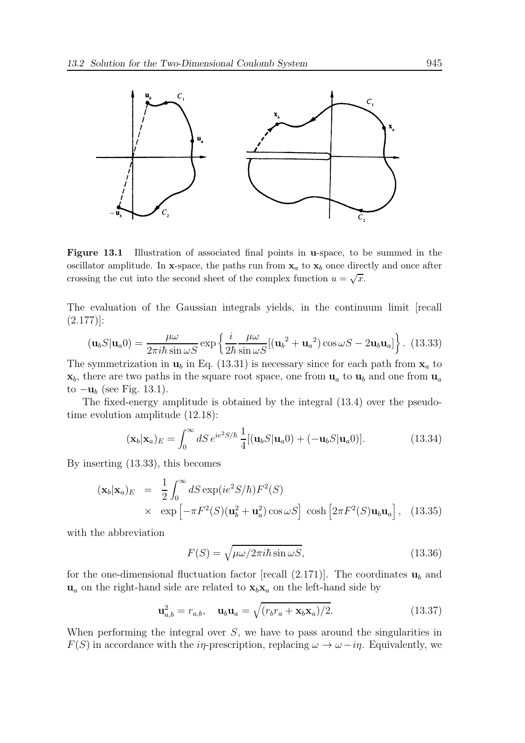

Figure 13.1 Illustration of associated final points in u-space, to be summed in the oscillator amplitude. In x-space, the paths run from  $x_a$  to  $x_b$  once directly and once after crossing the cut into the second sheet of the complex function  $u = \sqrt{x}$ .

The evaluation of the Gaussian integrals yields, in the continuum limit [recall  $(2.177)$ :

$$
(\mathbf{u}_b S | \mathbf{u}_a 0) = \frac{\mu \omega}{2\pi i \hbar \sin \omega S} \exp \left\{ \frac{i}{2\hbar} \frac{\mu \omega}{\sin \omega S} [(\mathbf{u}_b^2 + \mathbf{u}_a^2) \cos \omega S - 2\mathbf{u}_b \mathbf{u}_a] \right\}.
$$
 (13.33)

The symmetrization in  $\mathbf{u}_b$  in Eq. (13.31) is necessary since for each path from  $\mathbf{x}_a$  to  $\mathbf{x}_b$ , there are two paths in the square root space, one from  $\mathbf{u}_a$  to  $\mathbf{u}_b$  and one from  $\mathbf{u}_a$ to  $-\mathbf{u}_b$  (see Fig. 13.1).

The fixed-energy amplitude is obtained by the integral (13.4) over the pseudotime evolution amplitude (12.18):

$$
(\mathbf{x}_b|\mathbf{x}_a)_E = \int_0^\infty dS \, e^{ie^2 S/\hbar} \, \frac{1}{4} [(\mathbf{u}_b S|\mathbf{u}_a 0) + (-\mathbf{u}_b S|\mathbf{u}_a 0)].\tag{13.34}
$$

By inserting (13.33), this becomes

$$
(\mathbf{x}_b|\mathbf{x}_a)_E = \frac{1}{2} \int_0^\infty dS \exp(ie^2 S/\hbar) F^2(S)
$$
  
 
$$
\times \exp\left[-\pi F^2(S)(\mathbf{u}_b^2 + \mathbf{u}_a^2) \cos \omega S\right] \cosh\left[2\pi F^2(S)\mathbf{u}_b \mathbf{u}_a\right], \quad (13.35)
$$

with the abbreviation

$$
F(S) = \sqrt{\mu \omega / 2\pi i \hbar \sin \omega S},
$$
\n(13.36)

for the one-dimensional fluctuation factor [recall  $(2.171)$ ]. The coordinates  $\mathbf{u}_b$  and  $u_a$  on the right-hand side are related to  $x_bx_a$  on the left-hand side by

$$
\mathbf{u}_{a,b}^2 = r_{a,b}, \quad \mathbf{u}_b \mathbf{u}_a = \sqrt{(r_b r_a + \mathbf{x}_b \mathbf{x}_a)/2}.
$$
 (13.37)

When performing the integral over  $S$ , we have to pass around the singularities in  $F(S)$  in accordance with the *in*-prescription, replacing  $\omega \to \omega - i\eta$ . Equivalently, we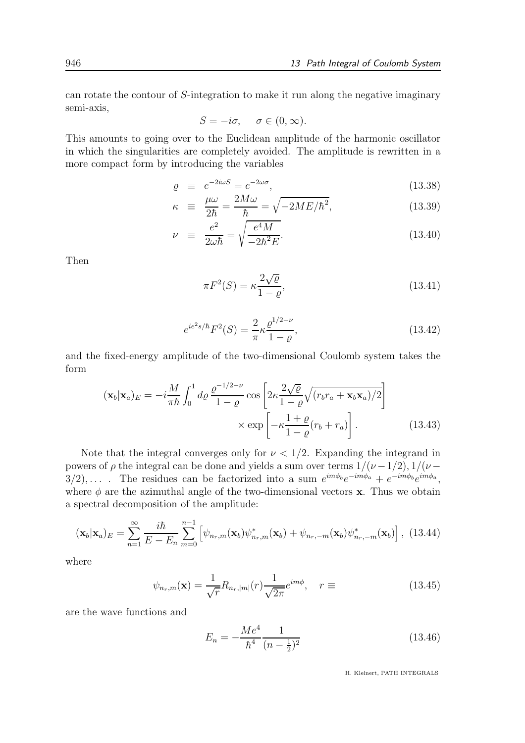can rotate the contour of S-integration to make it run along the negative imaginary semi-axis,

$$
S = -i\sigma, \quad \sigma \in (0, \infty).
$$

This amounts to going over to the Euclidean amplitude of the harmonic oscillator in which the singularities are completely avoided. The amplitude is rewritten in a more compact form by introducing the variables

$$
\varrho \equiv e^{-2i\omega S} = e^{-2\omega \sigma}, \tag{13.38}
$$

$$
\kappa \equiv \frac{\mu \omega}{2\hbar} = \frac{2M\omega}{\hbar} = \sqrt{-2ME/\hbar^2}, \qquad (13.39)
$$

$$
\nu \equiv \frac{e^2}{2\omega\hbar} = \sqrt{\frac{e^4M}{-2\hbar^2E}}.\tag{13.40}
$$

Then

$$
\pi F^2(S) = \kappa \frac{2\sqrt{\varrho}}{1 - \varrho},\tag{13.41}
$$

$$
e^{ie^2 s/\hbar} F^2(S) = \frac{2}{\pi} \kappa \frac{\varrho^{1/2 - \nu}}{1 - \varrho},
$$
\n(13.42)

and the fixed-energy amplitude of the two-dimensional Coulomb system takes the form

$$
(\mathbf{x}_b|\mathbf{x}_a)_E = -i\frac{M}{\pi\hbar} \int_0^1 d\rho \, \frac{\varrho^{-1/2-\nu}}{1-\varrho} \cos\left[2\kappa \frac{2\sqrt{\varrho}}{1-\varrho} \sqrt{(r_b r_a + \mathbf{x}_b \mathbf{x}_a)/2}\right] \times \exp\left[-\kappa \frac{1+\varrho}{1-\varrho} (r_b + r_a)\right]. \tag{13.43}
$$

Note that the integral converges only for  $\nu < 1/2$ . Expanding the integrand in powers of  $\rho$  the integral can be done and yields a sum over terms  $1/(\nu-1/2)$ ,  $1/(\nu-1/2)$  $3/2)$ ,.... The residues can be factorized into a sum  $e^{im\phi_b}e^{-im\phi_a} + e^{-im\phi_b}e^{im\phi_a}$ , where  $\phi$  are the azimuthal angle of the two-dimensional vectors **x**. Thus we obtain a spectral decomposition of the amplitude:

$$
(\mathbf{x}_b|\mathbf{x}_a)_E = \sum_{n=1}^{\infty} \frac{i\hbar}{E - E_n} \sum_{m=0}^{n-1} \left[ \psi_{n_r,m}(\mathbf{x}_b) \psi_{n_r,m}^*(\mathbf{x}_b) + \psi_{n_r,-m}(\mathbf{x}_b) \psi_{n_r,-m}^*(\mathbf{x}_b) \right], \tag{13.44}
$$

where

$$
\psi_{n_r,m}(\mathbf{x}) = \frac{1}{\sqrt{r}} R_{n_r,|m|}(r) \frac{1}{\sqrt{2\pi}} e^{im\phi}, \quad r \equiv \tag{13.45}
$$

are the wave functions and

$$
E_n = -\frac{Me^4}{\hbar^4} \frac{1}{(n - \frac{1}{2})^2} \tag{13.46}
$$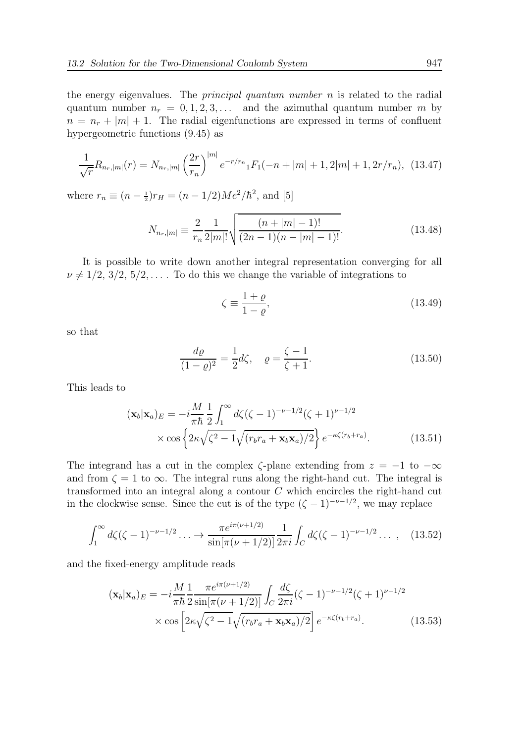the energy eigenvalues. The *principal quantum number*  $n$  is related to the radial quantum number  $n_r = 0, 1, 2, 3, \ldots$  and the azimuthal quantum number m by  $n = n_r + |m| + 1$ . The radial eigenfunctions are expressed in terms of confluent hypergeometric functions (9.45) as

$$
\frac{1}{\sqrt{r}}R_{n_r,|m|}(r) = N_{n_r,|m|} \left(\frac{2r}{r_n}\right)^{|m|} e^{-r/r_n} {}_1F_1(-n+|m|+1,2|m|+1,2r/r_n), \tag{13.47}
$$

where  $r_n \equiv (n - \frac{1}{2})r_H = (n - 1/2)Me^2/\hbar^2$ , and [5]

$$
N_{n_r,|m|} \equiv \frac{2}{r_n} \frac{1}{2|m|!} \sqrt{\frac{(n+|m|-1)!}{(2n-1)(n-|m|-1)!}}.
$$
 (13.48)

It is possible to write down another integral representation converging for all  $\nu \neq 1/2, 3/2, 5/2, \ldots$  To do this we change the variable of integrations to

$$
\zeta \equiv \frac{1+\varrho}{1-\varrho},\tag{13.49}
$$

so that

$$
\frac{d\varrho}{(1-\varrho)^2} = \frac{1}{2}d\zeta, \quad \varrho = \frac{\zeta - 1}{\zeta + 1}.
$$
 (13.50)

This leads to

$$
(\mathbf{x}_b|\mathbf{x}_a)_E = -i\frac{M}{\pi\hbar} \frac{1}{2} \int_1^\infty d\zeta (\zeta - 1)^{-\nu - 1/2} (\zeta + 1)^{\nu - 1/2}
$$

$$
\times \cos\left\{2\kappa\sqrt{\zeta^2 - 1}\sqrt{(r_b r_a + \mathbf{x}_b \mathbf{x}_a)/2}\right\} e^{-\kappa\zeta(r_b + r_a)}.
$$
(13.51)

The integrand has a cut in the complex  $\zeta$ -plane extending from  $z = -1$  to  $-\infty$ and from  $\zeta = 1$  to  $\infty$ . The integral runs along the right-hand cut. The integral is transformed into an integral along a contour C which encircles the right-hand cut in the clockwise sense. Since the cut is of the type  $(\zeta - 1)^{-\nu - 1/2}$ , we may replace

$$
\int_{1}^{\infty} d\zeta (\zeta - 1)^{-\nu - 1/2} \dots \to \frac{\pi e^{i\pi(\nu + 1/2)}}{\sin[\pi(\nu + 1/2)]} \frac{1}{2\pi i} \int_{C} d\zeta (\zeta - 1)^{-\nu - 1/2} \dots , \quad (13.52)
$$

and the fixed-energy amplitude reads

$$
(\mathbf{x}_b|\mathbf{x}_a)_E = -i\frac{M}{\pi\hbar} \frac{1}{2} \frac{\pi e^{i\pi(\nu+1/2)}}{\sin[\pi(\nu+1/2)]} \int_C \frac{d\zeta}{2\pi i} (\zeta-1)^{-\nu-1/2} (\zeta+1)^{\nu-1/2} \times \cos\left[2\kappa\sqrt{\zeta^2-1}\sqrt{(r_b r_a + \mathbf{x}_b \mathbf{x}_a)/2}\right] e^{-\kappa\zeta(r_b+r_a)}.
$$
 (13.53)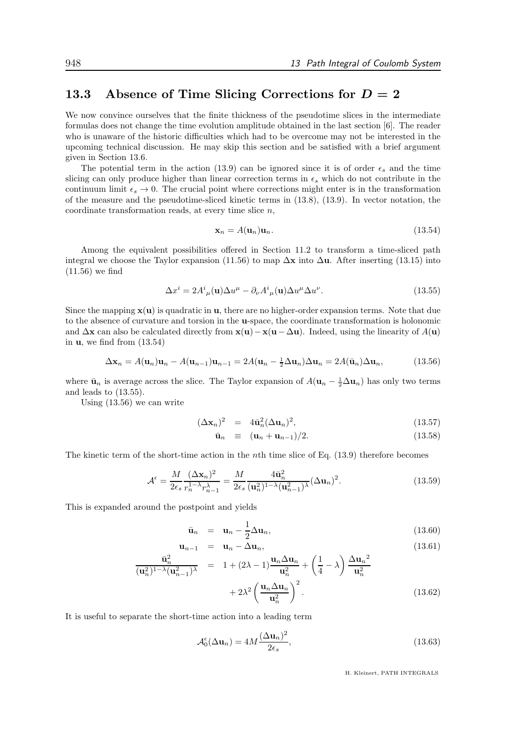## 13.3 Absence of Time Slicing Corrections for  $D = 2$

We now convince ourselves that the finite thickness of the pseudotime slices in the intermediate formulas does not change the time evolution amplitude obtained in the last section [6]. The reader who is unaware of the historic difficulties which had to be overcome may not be interested in the upcoming technical discussion. He may skip this section and be satisfied with a brief argument given in Section 13.6.

The potential term in the action (13.9) can be ignored since it is of order  $\epsilon_s$  and the time slicing can only produce higher than linear correction terms in  $\epsilon_s$  which do not contribute in the continuum limit  $\epsilon_s \to 0$ . The crucial point where corrections might enter is in the transformation of the measure and the pseudotime-sliced kinetic terms in (13.8), (13.9). In vector notation, the coordinate transformation reads, at every time slice  $n$ .

$$
\mathbf{x}_n = A(\mathbf{u}_n)\mathbf{u}_n. \tag{13.54}
$$

Among the equivalent possibilities offered in Section 11.2 to transform a time-sliced path integral we choose the Taylor expansion (11.56) to map  $\Delta x$  into  $\Delta u$ . After inserting (13.15) into (11.56) we find

$$
\Delta x^{i} = 2A^{i}{}_{\mu}(\mathbf{u})\Delta u^{\mu} - \partial_{\nu}A^{i}{}_{\mu}(\mathbf{u})\Delta u^{\mu}\Delta u^{\nu}.
$$
 (13.55)

Since the mapping  $\mathbf{x}(\mathbf{u})$  is quadratic in **u**, there are no higher-order expansion terms. Note that due to the absence of curvature and torsion in the u-space, the coordinate transformation is holonomic and  $\Delta$ x can also be calculated directly from  $\mathbf{x}(\mathbf{u}) - \mathbf{x}(\mathbf{u} - \Delta \mathbf{u})$ . Indeed, using the linearity of  $A(\mathbf{u})$ in  $\mathbf{u}$ , we find from  $(13.54)$ 

$$
\Delta \mathbf{x}_n = A(\mathbf{u}_n)\mathbf{u}_n - A(\mathbf{u}_{n-1})\mathbf{u}_{n-1} = 2A(\mathbf{u}_n - \frac{1}{2}\Delta \mathbf{u}_n)\Delta \mathbf{u}_n = 2A(\bar{\mathbf{u}}_n)\Delta \mathbf{u}_n, \tag{13.56}
$$

where  $\bar{\mathbf{u}}_n$  is average across the slice. The Taylor expansion of  $A(\mathbf{u}_n - \frac{1}{2}\Delta \mathbf{u}_n)$  has only two terms and leads to (13.55).

Using (13.56) we can write

$$
(\Delta \mathbf{x}_n)^2 = 4\bar{\mathbf{u}}_n^2 (\Delta \mathbf{u}_n)^2, \tag{13.57}
$$

$$
\bar{\mathbf{u}}_n \equiv (\mathbf{u}_n + \mathbf{u}_{n-1})/2. \tag{13.58}
$$

The kinetic term of the short-time action in the nth time slice of Eq. (13.9) therefore becomes

$$
\mathcal{A}^{\epsilon} = \frac{M}{2\epsilon_s} \frac{(\Delta \mathbf{x}_n)^2}{r_n^{1-\lambda} r_{n-1}^{\lambda}} = \frac{M}{2\epsilon_s} \frac{4\bar{\mathbf{u}}_n^2}{(\mathbf{u}_n^2)^{1-\lambda} (\mathbf{u}_{n-1}^2)^{\lambda}} (\Delta \mathbf{u}_n)^2.
$$
(13.59)

This is expanded around the postpoint and yields

$$
\bar{\mathbf{u}}_n = \mathbf{u}_n - \frac{1}{2} \Delta \mathbf{u}_n, \tag{13.60}
$$

$$
\mathbf{u}_{n-1} = \mathbf{u}_n - \Delta \mathbf{u}_n, \tag{13.61}
$$

$$
\frac{\bar{\mathbf{u}}_n^2}{(\mathbf{u}_n^2)^{1-\lambda}(\mathbf{u}_{n-1}^2)^\lambda} = 1 + (2\lambda - 1)\frac{\mathbf{u}_n \Delta \mathbf{u}_n}{\mathbf{u}_n^2} + \left(\frac{1}{4} - \lambda\right)\frac{\Delta \mathbf{u}_n^2}{\mathbf{u}_n^2} + 2\lambda^2 \left(\frac{\mathbf{u}_n \Delta \mathbf{u}_n}{\mathbf{u}_n^2}\right)^2.
$$
\n(13.62)

It is useful to separate the short-time action into a leading term

$$
\mathcal{A}_0^{\epsilon}(\Delta \mathbf{u}_n) = 4M \frac{(\Delta \mathbf{u}_n)^2}{2\epsilon_s},\tag{13.63}
$$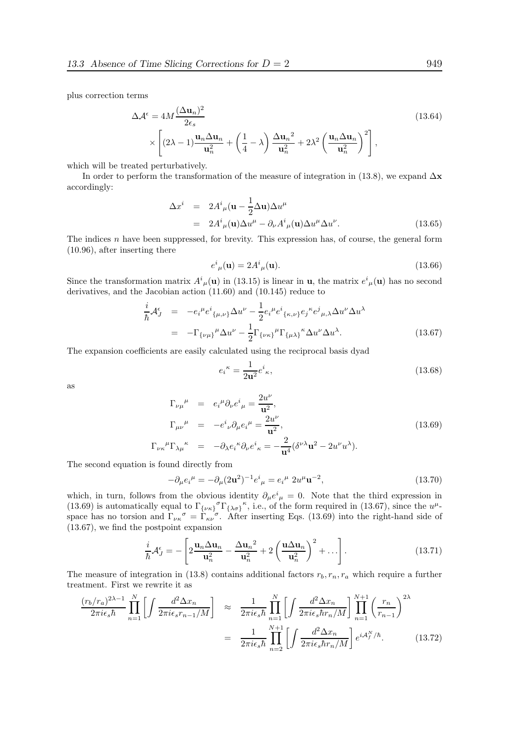plus correction terms

$$
\Delta \mathcal{A}^{\epsilon} = 4M \frac{(\Delta \mathbf{u}_n)^2}{2\epsilon_s} \times \left[ (2\lambda - 1) \frac{\mathbf{u}_n \Delta \mathbf{u}_n}{\mathbf{u}_n^2} + \left( \frac{1}{4} - \lambda \right) \frac{\Delta \mathbf{u}_n^2}{\mathbf{u}_n^2} + 2\lambda^2 \left( \frac{\mathbf{u}_n \Delta \mathbf{u}_n}{\mathbf{u}_n^2} \right)^2 \right],
$$
\n(13.64)

which will be treated perturbatively.

In order to perform the transformation of the measure of integration in (13.8), we expand  $\Delta \mathbf{x}$ accordingly:

$$
\Delta x^{i} = 2A^{i}{}_{\mu}(\mathbf{u} - \frac{1}{2}\Delta \mathbf{u})\Delta u^{\mu}
$$
  
=  $2A^{i}{}_{\mu}(\mathbf{u})\Delta u^{\mu} - \partial_{\nu}A^{i}{}_{\mu}(\mathbf{u})\Delta u^{\mu}\Delta u^{\nu}.$  (13.65)

The indices  $n$  have been suppressed, for brevity. This expression has, of course, the general form (10.96), after inserting there

$$
e^{i}_{\mu}(\mathbf{u}) = 2A^{i}_{\mu}(\mathbf{u}).\tag{13.66}
$$

Since the transformation matrix  $A^i_{\mu}(\mathbf{u})$  in (13.15) is linear in **u**, the matrix  $e^i_{\mu}(\mathbf{u})$  has no second derivatives, and the Jacobian action (11.60) and (10.145) reduce to

$$
\frac{i}{\hbar} \mathcal{A}_{J}^{\epsilon} = -e_{i}^{\mu} e^{i}{}_{\{\mu,\nu\}} \Delta u^{\nu} - \frac{1}{2} e_{i}^{\mu} e^{i}{}_{\{\kappa,\nu\}} e_{j}^{\kappa} e^{j}{}_{\mu,\lambda} \Delta u^{\nu} \Delta u^{\lambda}
$$
\n
$$
= -\Gamma_{\{\nu\mu\}}{}^{\mu} \Delta u^{\nu} - \frac{1}{2} \Gamma_{\{\nu\kappa\}}{}^{\mu} \Gamma_{\{\mu\lambda\}}{}^{\kappa} \Delta u^{\nu} \Delta u^{\lambda}.
$$
\n(13.67)

The expansion coefficients are easily calculated using the reciprocal basis dyad

$$
e_i^{\kappa} = \frac{1}{2\mathbf{u}^2} e^i_{\kappa},\tag{13.68}
$$

as

$$
\Gamma_{\nu\mu}^{\mu} = e_i^{\mu} \partial_{\nu} e^{i}_{\mu} = \frac{2u^{\nu}}{\mathbf{u}^2},
$$
\n
$$
\Gamma_{\mu\nu}^{\mu} = -e^{i}_{\nu} \partial_{\mu} e_i^{\mu} = \frac{2u^{\nu}}{\mathbf{u}^2},
$$
\n
$$
\Gamma_{\nu\kappa}^{\mu} \Gamma_{\lambda\mu}^{\kappa} = -\partial_{\lambda} e_i^{\kappa} \partial_{\nu} e^{i}_{\kappa} = -\frac{2}{\mathbf{u}^4} (\delta^{\nu\lambda} \mathbf{u}^2 - 2u^{\nu} u^{\lambda}).
$$
\n(13.69)

The second equation is found directly from

$$
-\partial_{\mu}e_{i}^{\mu} = -\partial_{\mu}(2\mathbf{u}^{2})^{-1}e^{i}_{\mu} = e_{i}^{\mu} 2u^{\mu}\mathbf{u}^{-2}, \qquad (13.70)
$$

which, in turn, follows from the obvious identity  $\partial_{\mu}e^{i}_{\mu}=0$ . Note that the third expression in (13.69) is automatically equal to  $\Gamma_{\{\nu\kappa\}}^{\sigma} \Gamma_{\{\lambda\sigma\}}^{\kappa}$ , i.e., of the form required in (13.67), since the  $u^{\mu}$ space has no torsion and  $\Gamma_{\nu\kappa}^{\sigma} = \Gamma_{\kappa\nu}^{\sigma}$ . After inserting Eqs. (13.69) into the right-hand side of (13.67), we find the postpoint expansion

$$
\frac{i}{\hbar} \mathcal{A}_{J}^{\epsilon} = -\left[2\frac{\mathbf{u}_{n} \Delta \mathbf{u}_{n}}{\mathbf{u}_{n}^{2}} - \frac{\Delta \mathbf{u}_{n}^{2}}{\mathbf{u}_{n}^{2}} + 2\left(\frac{\mathbf{u} \Delta \mathbf{u}_{n}}{\mathbf{u}_{n}^{2}}\right)^{2} + \ldots\right].
$$
\n(13.71)

The measure of integration in (13.8) contains additional factors  $r_b, r_n, r_a$  which require a further treatment. First we rewrite it as

$$
\frac{(r_b/r_a)^{2\lambda-1}}{2\pi i\epsilon_s\hbar} \prod_{n=1}^N \left[ \int \frac{d^2 \Delta x_n}{2\pi i\epsilon_s r_{n-1}/M} \right] \approx \frac{1}{2\pi i\epsilon_s\hbar} \prod_{n=1}^N \left[ \int \frac{d^2 \Delta x_n}{2\pi i\epsilon_s\hbar r_n/M} \right] \prod_{n=1}^{N+1} \left( \frac{r_n}{r_{n-1}} \right)^{2\lambda}
$$

$$
= \frac{1}{2\pi i\epsilon_s\hbar} \prod_{n=2}^{N+1} \left[ \int \frac{d^2 \Delta x_n}{2\pi i\epsilon_s\hbar r_n/M} \right] e^{i\mathcal{A}_f^N/\hbar} . \tag{13.72}
$$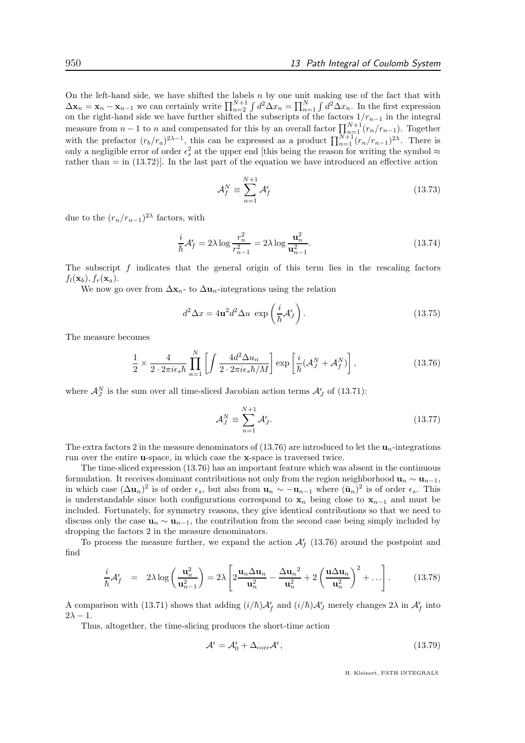On the left-hand side, we have shifted the labels  $n$  by one unit making use of the fact that with  $\Delta \mathbf{x}_n = \mathbf{x}_n - \mathbf{x}_{n-1}$  we can certainly write  $\prod_{n=2}^{N+1} \int d^2 \Delta x_n = \prod_{n=1}^{N} \int d^2 \Delta x_n$ . In the first expression on the right-hand side we have further shifted the subscripts of the factors  $1/r_{n-1}$  in the integral measure from  $n-1$  to n and compensated for this by an overall factor  $\prod_{n=1}^{N+1}(r_n/r_{n-1})$ . Together with the prefactor  $(r_b/r_a)^{2\lambda-1}$ , this can be expressed as a product  $\prod_{n=1}^{N+1} (r_n/r_{n-1})^{2\lambda}$ . There is only a negligible error of order  $\epsilon_s^2$  at the upper end [this being the reason for writing the symbol  $\approx$ rather than  $=$  in  $(13.72)$ . In the last part of the equation we have introduced an effective action

$$
\mathcal{A}_f^N \equiv \sum_{n=1}^{N+1} \mathcal{A}_f^{\epsilon} \tag{13.73}
$$

due to the  $(r_n/r_{n-1})^{2\lambda}$  factors, with

$$
\frac{i}{\hbar} \mathcal{A}_f^{\epsilon} = 2\lambda \log \frac{r_n^2}{r_{n-1}^2} = 2\lambda \log \frac{\mathbf{u}_n^2}{\mathbf{u}_{n-1}^2}.
$$
\n(13.74)

The subscript f indicates that the general origin of this term lies in the rescaling factors  $f_l(\mathbf{x}_b)$ ,  $f_r(\mathbf{x}_a)$ .

We now go over from  $\Delta x_n$ - to  $\Delta u_n$ -integrations using the relation

$$
d^2 \Delta x = 4\mathbf{u}^2 d^2 \Delta u \, \exp\left(\frac{i}{\hbar} \mathcal{A}_J^{\epsilon}\right). \tag{13.75}
$$

The measure becomes

$$
\frac{1}{2} \times \frac{4}{2 \cdot 2\pi i \epsilon_s \hbar} \prod_{n=1}^{N} \left[ \int \frac{4d^2 \Delta u_n}{2 \cdot 2\pi i \epsilon_s \hbar/M} \right] \exp\left[ \frac{i}{\hbar} (\mathcal{A}_J^N + \mathcal{A}_f^N) \right],
$$
\n(13.76)

where  $\mathcal{A}_{J}^{N}$  is the sum over all time-sliced Jacobian action terms  $\mathcal{A}_{J}^{\epsilon}$  of (13.71):

$$
\mathcal{A}_J^N \equiv \sum_{n=1}^{N+1} \mathcal{A}_J^{\epsilon}.
$$
\n(13.77)

The extra factors 2 in the measure denominators of (13.76) are introduced to let the  $\mathbf{u}_n$ -integrations run over the entire u-space, in which case the x-space is traversed twice.

The time-sliced expression (13.76) has an important feature which was absent in the continuous formulation. It receives dominant contributions not only from the region neighborhood  $u_n \sim u_{n-1}$ , in which case  $(\Delta \mathbf{u}_n)^2$  is of order  $\epsilon_s$ , but also from  $\mathbf{u}_n \sim -\mathbf{u}_{n-1}$  where  $(\bar{\mathbf{u}}_n)^2$  is of order  $\epsilon_s$ . This is understandable since both configurations correspond to  $x_n$  being close to  $x_{n-1}$  and must be included. Fortunately, for symmetry reasons, they give identical contributions so that we need to discuss only the case  $u_n \sim u_{n-1}$ , the contribution from the second case being simply included by dropping the factors 2 in the measure denominators.

To process the measure further, we expand the action  $\mathcal{A}_{f}^{\epsilon}$  (13.76) around the postpoint and find

$$
\frac{i}{\hbar} \mathcal{A}_f^{\epsilon} = 2\lambda \log \left( \frac{\mathbf{u}_n^2}{\mathbf{u}_{n-1}^2} \right) = 2\lambda \left[ 2 \frac{\mathbf{u}_n \Delta \mathbf{u}_n}{\mathbf{u}_n^2} - \frac{\Delta \mathbf{u}_n^2}{\mathbf{u}_n^2} + 2 \left( \frac{\mathbf{u} \Delta \mathbf{u}_n}{\mathbf{u}_n^2} \right)^2 + \dots \right].
$$
 (13.78)

A comparison with (13.71) shows that adding  $(i/\hbar)A_f^{\epsilon}$  and  $(i/\hbar)A_J^{\epsilon}$  merely changes  $2\lambda$  in  $A_f^{\epsilon}$  into  $2\lambda - 1$ .

Thus, altogether, the time-slicing produces the short-time action

$$
\mathcal{A}^{\epsilon} = \mathcal{A}_0^{\epsilon} + \Delta_{\text{corr}} \mathcal{A}^{\epsilon},\tag{13.79}
$$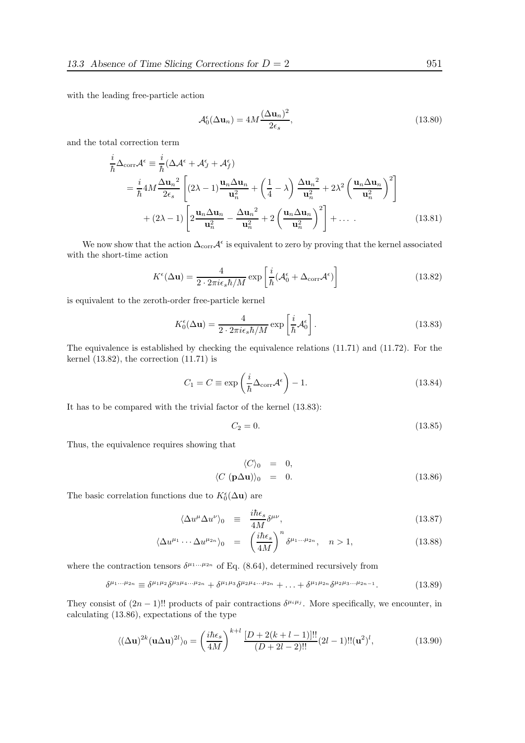with the leading free-particle action

$$
\mathcal{A}_0^{\epsilon}(\Delta \mathbf{u}_n) = 4M \frac{(\Delta \mathbf{u}_n)^2}{2\epsilon_s},\tag{13.80}
$$

and the total correction term

$$
\frac{i}{\hbar}\Delta_{\text{corr}}\mathcal{A}^{\epsilon} \equiv \frac{i}{\hbar}(\Delta \mathcal{A}^{\epsilon} + \mathcal{A}_{J}^{\epsilon} + \mathcal{A}_{J}^{\epsilon})
$$
\n
$$
= \frac{i}{\hbar}4M\frac{\Delta \mathbf{u}_{n}^{2}}{2\epsilon_{s}} \left[ (2\lambda - 1)\frac{\mathbf{u}_{n}\Delta \mathbf{u}_{n}}{\mathbf{u}_{n}^{2}} + \left(\frac{1}{4} - \lambda\right)\frac{\Delta \mathbf{u}_{n}^{2}}{\mathbf{u}_{n}^{2}} + 2\lambda^{2} \left(\frac{\mathbf{u}_{n}\Delta \mathbf{u}_{n}}{\mathbf{u}_{n}^{2}}\right)^{2} \right]
$$
\n
$$
+ (2\lambda - 1) \left[ 2\frac{\mathbf{u}_{n}\Delta \mathbf{u}_{n}}{\mathbf{u}_{n}^{2}} - \frac{\Delta \mathbf{u}_{n}^{2}}{\mathbf{u}_{n}^{2}} + 2 \left(\frac{\mathbf{u}_{n}\Delta \mathbf{u}_{n}}{\mathbf{u}_{n}^{2}}\right)^{2} \right] + \dots \qquad (13.81)
$$

We now show that the action  $\Delta_{\text{corr}}\mathcal{A}^{\epsilon}$  is equivalent to zero by proving that the kernel associated with the short-time action

$$
K^{\epsilon}(\Delta \mathbf{u}) = \frac{4}{2 \cdot 2\pi i \epsilon_s \hbar / M} \exp\left[\frac{i}{\hbar} (\mathcal{A}_0^{\epsilon} + \Delta_{\text{corr}} \mathcal{A}^{\epsilon})\right]
$$
(13.82)

is equivalent to the zeroth-order free-particle kernel

$$
K_0^{\epsilon}(\Delta \mathbf{u}) = \frac{4}{2 \cdot 2\pi i \epsilon_s \hbar/M} \exp\left[\frac{i}{\hbar} \mathcal{A}_0^{\epsilon}\right].
$$
 (13.83)

The equivalence is established by checking the equivalence relations (11.71) and (11.72). For the kernel  $(13.82)$ , the correction  $(11.71)$  is

$$
C_1 = C \equiv \exp\left(\frac{i}{\hbar} \Delta_{\text{corr}} \mathcal{A}^{\epsilon}\right) - 1.
$$
 (13.84)

It has to be compared with the trivial factor of the kernel (13.83):

$$
C_2 = 0.\t\t(13.85)
$$

Thus, the equivalence requires showing that

$$
\langle C \rangle_0 = 0,
$$
  

$$
\langle C (\mathbf{p} \Delta \mathbf{u}) \rangle_0 = 0.
$$
 (13.86)

The basic correlation functions due to  $K_0^{\epsilon}(\Delta \mathbf{u})$  are

$$
\langle \Delta u^{\mu} \Delta u^{\nu} \rangle_{0} \equiv \frac{i \hbar \epsilon_{s}}{4M} \delta^{\mu \nu}, \qquad (13.87)
$$

$$
\langle \Delta u^{\mu_1} \cdots \Delta u^{\mu_{2n}} \rangle_0 = \left( \frac{i \hbar \epsilon_s}{4M} \right)^n \delta^{\mu_1 \cdots \mu_{2n}}, \quad n > 1,
$$
\n(13.88)

where the contraction tensors  $\delta^{\mu_1...\mu_{2n}}$  of Eq. (8.64), determined recursively from

$$
\delta^{\mu_1...\mu_{2n}} \equiv \delta^{\mu_1\mu_2}\delta^{\mu_3\mu_4...\mu_{2n}} + \delta^{\mu_1\mu_3}\delta^{\mu_2\mu_4...\mu_{2n}} + \ldots + \delta^{\mu_1\mu_{2n}}\delta^{\mu_2\mu_3...\mu_{2n-1}}.\tag{13.89}
$$

They consist of  $(2n-1)!!$  products of pair contractions  $\delta^{\mu_i\mu_j}$ . More specifically, we encounter, in calculating (13.86), expectations of the type

$$
\langle (\Delta \mathbf{u})^{2k} (\mathbf{u} \Delta \mathbf{u})^{2l} \rangle_0 = \left( \frac{i \hbar \epsilon_s}{4M} \right)^{k+l} \frac{[D + 2(k+l-1)]!!}{(D + 2l - 2)!!} (2l - 1)!! (\mathbf{u}^2)^l,
$$
(13.90)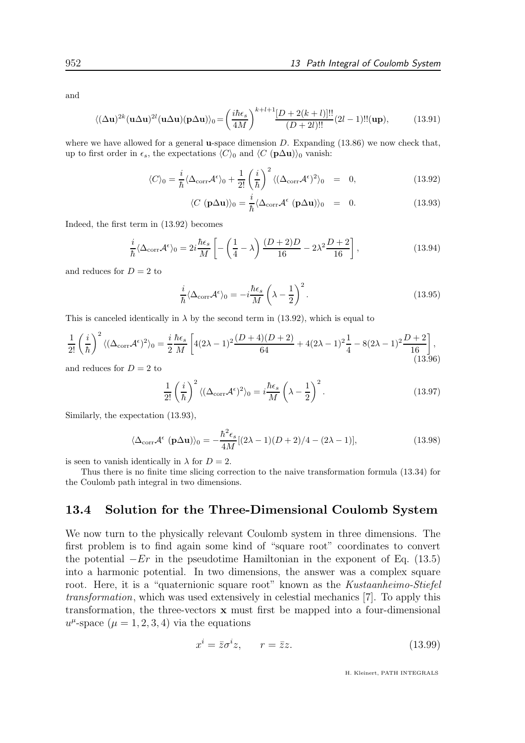and

$$
\langle (\Delta \mathbf{u})^{2k} (\mathbf{u} \Delta \mathbf{u})^{2l} (\mathbf{u} \Delta \mathbf{u}) (\mathbf{p} \Delta \mathbf{u}) \rangle_0 = \left( \frac{i \hbar \epsilon_s}{4M} \right)^{k+l+1} \frac{[D+2(k+l)]!!}{(D+2l)!!} (2l-1)!!(\mathbf{up}),\tag{13.91}
$$

where we have allowed for a general **u**-space dimension  $D$ . Expanding (13.86) we now check that, up to first order in  $\epsilon_s$ , the expectations  $\langle C \rangle_0$  and  $\langle C (\mathbf{p}\Delta \mathbf{u})\rangle_0$  vanish:

$$
\langle C \rangle_0 = \frac{i}{\hbar} \langle \Delta_{\text{corr}} \mathcal{A}^{\epsilon} \rangle_0 + \frac{1}{2!} \left( \frac{i}{\hbar} \right)^2 \langle (\Delta_{\text{corr}} \mathcal{A}^{\epsilon})^2 \rangle_0 = 0, \qquad (13.92)
$$

$$
\langle C \ (\mathbf{p}\Delta \mathbf{u})\rangle_0 = \frac{i}{\hbar} \langle \Delta_{\text{corr}} \mathcal{A}^{\epsilon} \ (\mathbf{p}\Delta \mathbf{u})\rangle_0 = 0. \tag{13.93}
$$

Indeed, the first term in (13.92) becomes

$$
\frac{i}{\hbar} \langle \Delta_{\text{corr}} \mathcal{A}^{\epsilon} \rangle_0 = 2i \frac{\hbar \epsilon_s}{M} \left[ -\left(\frac{1}{4} - \lambda\right) \frac{(D+2)D}{16} - 2\lambda^2 \frac{D+2}{16} \right],\tag{13.94}
$$

and reduces for  $D = 2$  to

$$
\frac{i}{\hbar} \langle \Delta_{\text{corr}} \mathcal{A}^{\epsilon} \rangle_0 = -i \frac{\hbar \epsilon_s}{M} \left( \lambda - \frac{1}{2} \right)^2.
$$
\n(13.95)

This is canceled identically in  $\lambda$  by the second term in (13.92), which is equal to

$$
\frac{1}{2!} \left(\frac{i}{\hbar}\right)^2 \langle (\Delta_{\text{corr}} \mathcal{A}^{\epsilon})^2 \rangle_0 = \frac{i}{2} \frac{\hbar \epsilon_s}{M} \left[ 4(2\lambda - 1)^2 \frac{(D+4)(D+2)}{64} + 4(2\lambda - 1)^2 \frac{1}{4} - 8(2\lambda - 1)^2 \frac{D+2}{16} \right],
$$
\n(13.96)

and reduces for  $D = 2$  to

$$
\frac{1}{2!} \left(\frac{i}{\hbar}\right)^2 \langle (\Delta_{\text{corr}} \mathcal{A}^{\epsilon})^2 \rangle_0 = i \frac{\hbar \epsilon_s}{M} \left(\lambda - \frac{1}{2}\right)^2.
$$
 (13.97)

Similarly, the expectation (13.93),

$$
\langle \Delta_{\text{corr}} \mathcal{A}^{\epsilon} \left( \mathbf{p} \Delta \mathbf{u} \right) \rangle_0 = -\frac{\hbar^2 \epsilon_s}{4M} [(2\lambda - 1)(D + 2)/4 - (2\lambda - 1)], \tag{13.98}
$$

is seen to vanish identically in  $\lambda$  for  $D = 2$ .

Thus there is no finite time slicing correction to the naive transformation formula (13.34) for the Coulomb path integral in two dimensions.

### 13.4 Solution for the Three-Dimensional Coulomb System

We now turn to the physically relevant Coulomb system in three dimensions. The first problem is to find again some kind of "square root" coordinates to convert the potential  $-Er$  in the pseudotime Hamiltonian in the exponent of Eq. (13.5) into a harmonic potential. In two dimensions, the answer was a complex square root. Here, it is a "quaternionic square root" known as the Kustaanheimo-Stiefel transformation, which was used extensively in celestial mechanics [7]. To apply this transformation, the three-vectors  $x$  must first be mapped into a four-dimensional  $u^{\mu}$ -space  $(\mu = 1, 2, 3, 4)$  via the equations

$$
x^i = \bar{z}\sigma^i z, \qquad r = \bar{z}z. \tag{13.99}
$$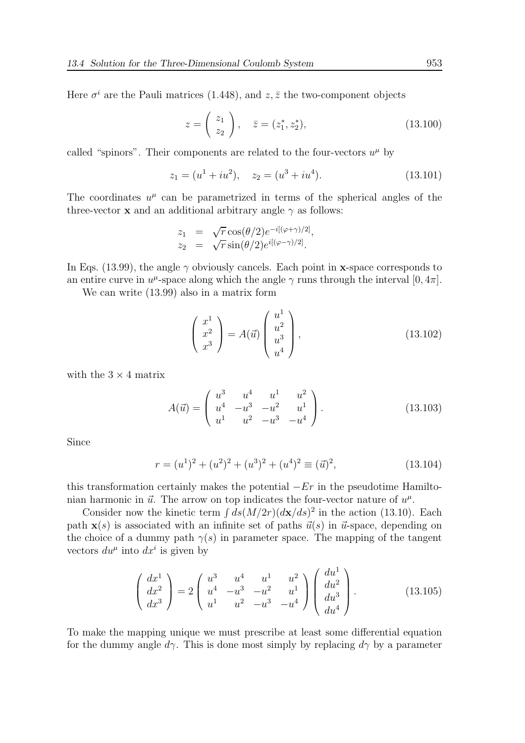Here  $\sigma^i$  are the Pauli matrices (1.448), and  $z, \bar{z}$  the two-component objects

$$
z = \begin{pmatrix} z_1 \\ z_2 \end{pmatrix}, \quad \bar{z} = (z_1^*, z_2^*), \tag{13.100}
$$

called "spinors". Their components are related to the four-vectors  $u^{\mu}$  by

$$
z_1 = (u^1 + iu^2), \quad z_2 = (u^3 + iu^4). \tag{13.101}
$$

The coordinates  $u^{\mu}$  can be parametrized in terms of the spherical angles of the three-vector **x** and an additional arbitrary angle  $\gamma$  as follows:

$$
z_1 = \sqrt{r} \cos(\theta/2) e^{-i[(\varphi + \gamma)/2]},
$$
  
\n
$$
z_2 = \sqrt{r} \sin(\theta/2) e^{i[(\varphi - \gamma)/2]}.
$$

In Eqs. (13.99), the angle  $\gamma$  obviously cancels. Each point in x-space corresponds to an entire curve in  $u^{\mu}$ -space along which the angle  $\gamma$  runs through the interval [0, 4 $\pi$ ].

We can write (13.99) also in a matrix form

$$
\begin{pmatrix} x^1 \\ x^2 \\ x^3 \end{pmatrix} = A(\vec{u}) \begin{pmatrix} u^1 \\ u^2 \\ u^3 \\ u^4 \end{pmatrix},
$$
\n(13.102)

with the  $3 \times 4$  matrix

$$
A(\vec{u}) = \begin{pmatrix} u^3 & u^4 & u^1 & u^2 \\ u^4 & -u^3 & -u^2 & u^1 \\ u^1 & u^2 & -u^3 & -u^4 \end{pmatrix}.
$$
 (13.103)

Since

$$
r = (u1)2 + (u2)2 + (u3)2 + (u4)2 \equiv (\vec{u})2,
$$
 (13.104)

this transformation certainly makes the potential  $-Er$  in the pseudotime Hamiltonian harmonic in  $\vec{u}$ . The arrow on top indicates the four-vector nature of  $u^{\mu}$ .

Consider now the kinetic term  $\int ds (M/2r)(d\mathbf{x}/ds)^2$  in the action (13.10). Each path  $\mathbf{x}(s)$  is associated with an infinite set of paths  $\vec{u}(s)$  in  $\vec{u}$ -space, depending on the choice of a dummy path  $\gamma(s)$  in parameter space. The mapping of the tangent vectors  $du^{\mu}$  into  $dx^{i}$  is given by

$$
\begin{pmatrix} dx^{1} \\ dx^{2} \\ dx^{3} \end{pmatrix} = 2 \begin{pmatrix} u^{3} & u^{4} & u^{1} & u^{2} \\ u^{4} & -u^{3} & -u^{2} & u^{1} \\ u^{1} & u^{2} & -u^{3} & -u^{4} \end{pmatrix} \begin{pmatrix} du^{1} \\ du^{2} \\ du^{3} \\ du^{4} \end{pmatrix}.
$$
 (13.105)

To make the mapping unique we must prescribe at least some differential equation for the dummy angle  $d\gamma$ . This is done most simply by replacing  $d\gamma$  by a parameter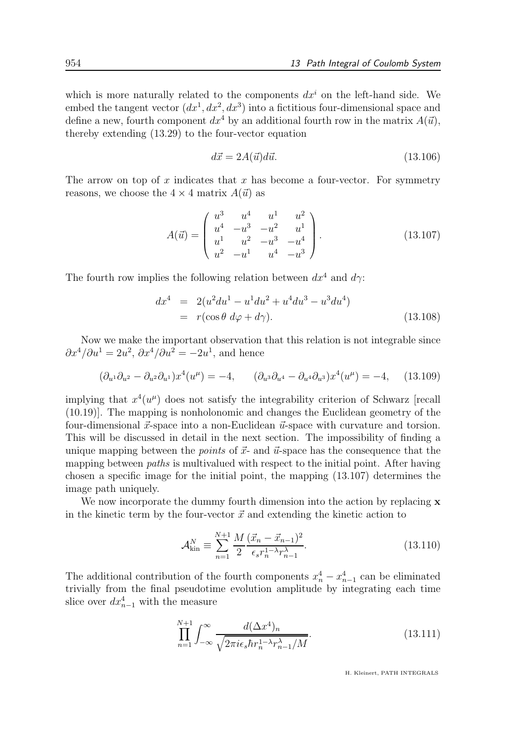which is more naturally related to the components  $dx^i$  on the left-hand side. We embed the tangent vector  $(dx^1, dx^2, dx^3)$  into a fictitious four-dimensional space and define a new, fourth component  $dx^4$  by an additional fourth row in the matrix  $A(\vec{u})$ , thereby extending (13.29) to the four-vector equation

$$
d\vec{x} = 2A(\vec{u})d\vec{u}.\tag{13.106}
$$

The arrow on top of x indicates that x has become a four-vector. For symmetry reasons, we choose the  $4 \times 4$  matrix  $A(\vec{u})$  as

$$
A(\vec{u}) = \begin{pmatrix} u^3 & u^4 & u^1 & u^2 \\ u^4 & -u^3 & -u^2 & u^1 \\ u^1 & u^2 & -u^3 & -u^4 \\ u^2 & -u^1 & u^4 & -u^3 \end{pmatrix}.
$$
 (13.107)

The fourth row implies the following relation between  $dx^4$  and  $d\gamma$ :

$$
dx^{4} = 2(u^{2}du^{1} - u^{1}du^{2} + u^{4}du^{3} - u^{3}du^{4})
$$
  
=  $r(\cos\theta \, d\varphi + d\gamma).$  (13.108)

Now we make the important observation that this relation is not integrable since  $\partial x^4/\partial u^1 = 2u^2$ ,  $\partial x^4/\partial u^2 = -2u^1$ , and hence

$$
(\partial_{u^1}\partial_{u^2} - \partial_{u^2}\partial_{u^1})x^4(u^{\mu}) = -4, \qquad (\partial_{u^3}\partial_{u^4} - \partial_{u^4}\partial_{u^3})x^4(u^{\mu}) = -4, \qquad (13.109)
$$

implying that  $x^4(u^{\mu})$  does not satisfy the integrability criterion of Schwarz [recall (10.19)]. The mapping is nonholonomic and changes the Euclidean geometry of the four-dimensional  $\vec{x}$ -space into a non-Euclidean  $\vec{u}$ -space with curvature and torsion. This will be discussed in detail in the next section. The impossibility of finding a unique mapping between the *points* of  $\vec{x}$ - and  $\vec{u}$ -space has the consequence that the mapping between *paths* is multivalued with respect to the initial point. After having chosen a specific image for the initial point, the mapping (13.107) determines the image path uniquely.

We now incorporate the dummy fourth dimension into the action by replacing  $x$ in the kinetic term by the four-vector  $\vec{x}$  and extending the kinetic action to

$$
\mathcal{A}_{\text{kin}}^{N} \equiv \sum_{n=1}^{N+1} \frac{M}{2} \frac{(\vec{x}_n - \vec{x}_{n-1})^2}{\epsilon_s r_n^{1-\lambda} r_{n-1}^{\lambda}}.
$$
 (13.110)

The additional contribution of the fourth components  $x_n^4 - x_{n-1}^4$  can be eliminated trivially from the final pseudotime evolution amplitude by integrating each time slice over  $dx_{n-1}^4$  with the measure

$$
\prod_{n=1}^{N+1} \int_{-\infty}^{\infty} \frac{d(\Delta x^4)_n}{\sqrt{2\pi i \epsilon_s \hbar r_n^{1-\lambda} r_{n-1}^{\lambda}/M}}.
$$
\n(13.111)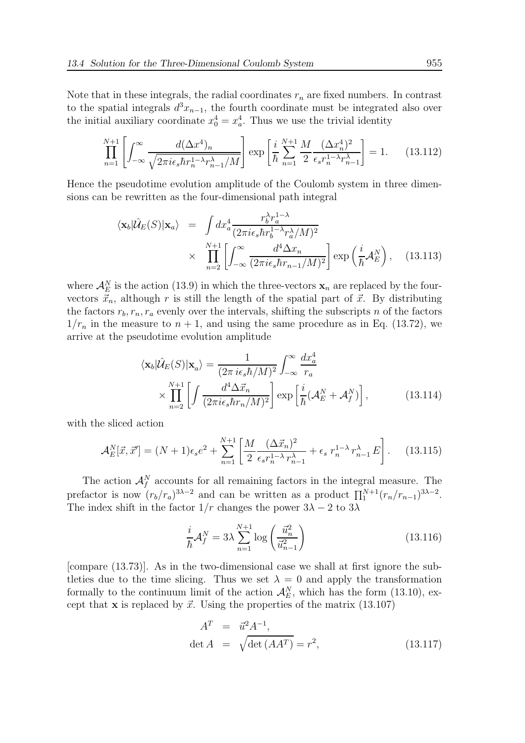Note that in these integrals, the radial coordinates  $r_n$  are fixed numbers. In contrast to the spatial integrals  $d^3x_{n-1}$ , the fourth coordinate must be integrated also over the initial auxiliary coordinate  $x_0^4 = x_a^4$ . Thus we use the trivial identity

$$
\prod_{n=1}^{N+1} \left[ \int_{-\infty}^{\infty} \frac{d(\Delta x^4)_n}{\sqrt{2\pi i \epsilon_s \hbar r_n^{1-\lambda} r_{n-1}^{\lambda}/M}} \right] \exp\left[ \frac{i}{\hbar} \sum_{n=1}^{N+1} \frac{M}{2} \frac{(\Delta x_n^4)^2}{\epsilon_s r_n^{1-\lambda} r_{n-1}^{\lambda}} \right] = 1. \tag{13.112}
$$

Hence the pseudotime evolution amplitude of the Coulomb system in three dimensions can be rewritten as the four-dimensional path integral

$$
\langle \mathbf{x}_b | \hat{\mathcal{U}}_E(S) | \mathbf{x}_a \rangle = \int dx_a^4 \frac{r_b^{\lambda} r_a^{1-\lambda}}{(2\pi i \epsilon_s \hbar r_b^{1-\lambda} r_a^{\lambda}/M)^2} \times \prod_{n=2}^{N+1} \left[ \int_{-\infty}^{\infty} \frac{d^4 \Delta x_n}{(2\pi i \epsilon_s \hbar r_{n-1}/M)^2} \right] \exp\left(\frac{i}{\hbar} \mathcal{A}_E^N\right), \quad (13.113)
$$

where  $\mathcal{A}_{E}^{N}$  is the action (13.9) in which the three-vectors  $x_{n}$  are replaced by the fourvectors  $\vec{x}_n$ , although r is still the length of the spatial part of  $\vec{x}$ . By distributing the factors  $r_b, r_n, r_a$  evenly over the intervals, shifting the subscripts n of the factors  $1/r_n$  in the measure to  $n + 1$ , and using the same procedure as in Eq. (13.72), we arrive at the pseudotime evolution amplitude

$$
\langle \mathbf{x}_b | \hat{\mathcal{U}}_E(S) | \mathbf{x}_a \rangle = \frac{1}{(2\pi i \epsilon_s \hbar / M)^2} \int_{-\infty}^{\infty} \frac{dx_a^4}{r_a} \times \prod_{n=2}^{N+1} \left[ \int \frac{d^4 \Delta \vec{x}_n}{(2\pi i \epsilon_s \hbar r_n / M)^2} \right] \exp\left[ \frac{i}{\hbar} (\mathcal{A}_E^N + \mathcal{A}_f^N) \right], \tag{13.114}
$$

with the sliced action

$$
\mathcal{A}_E^N[\vec{x}, \vec{x}'] = (N+1)\epsilon_s e^2 + \sum_{n=1}^{N+1} \left[ \frac{M}{2} \frac{(\Delta \vec{x}_n)^2}{\epsilon_s r_n^{1-\lambda} r_{n-1}^{\lambda}} + \epsilon_s \ r_n^{1-\lambda} r_{n-1}^{\lambda} E \right]. \tag{13.115}
$$

The action  $\mathcal{A}_f^N$  accounts for all remaining factors in the integral measure. The prefactor is now  $(r_b/r_a)^{3\lambda-2}$  and can be written as a product  $\prod_1^{N+1} (r_n/r_{n-1})^{3\lambda-2}$ . The index shift in the factor  $1/r$  changes the power  $3\lambda - 2$  to  $3\lambda$ 

$$
\frac{i}{\hbar} \mathcal{A}_f^N = 3\lambda \sum_{n=1}^{N+1} \log \left( \frac{\vec{u}_n^2}{\vec{u}_{n-1}^2} \right) \tag{13.116}
$$

[compare (13.73)]. As in the two-dimensional case we shall at first ignore the subtleties due to the time slicing. Thus we set  $\lambda = 0$  and apply the transformation formally to the continuum limit of the action  $\mathcal{A}_E^N$ , which has the form (13.10), except that **x** is replaced by  $\vec{x}$ . Using the properties of the matrix (13.107)

$$
AT = \vec{u}^{2} A^{-1},
$$
  
det A =  $\sqrt{\det (A A^{T})} = r^{2},$  (13.117)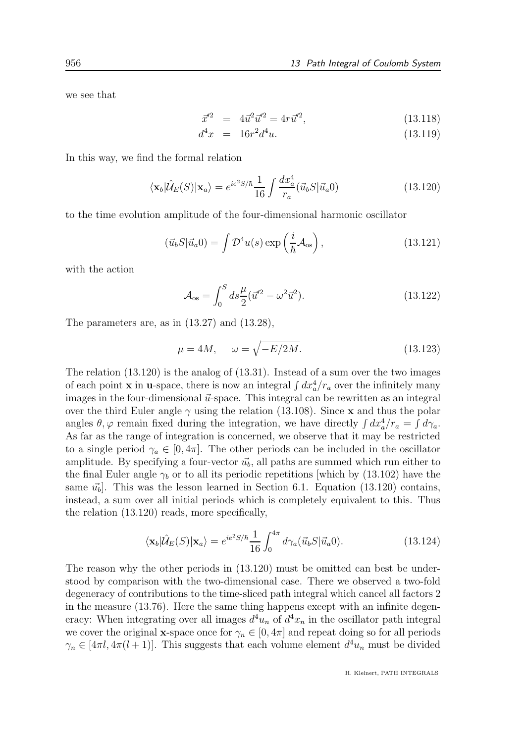we see that

$$
\vec{x}'^2 = 4\vec{u}^2 \vec{u}'^2 = 4r\vec{u}'^2,\tag{13.118}
$$

$$
d^4x = 16r^2d^4u.
$$
 (13.119)

In this way, we find the formal relation

$$
\langle \mathbf{x}_b | \hat{\mathcal{U}}_E(S) | \mathbf{x}_a \rangle = e^{ie^2 S/\hbar} \frac{1}{16} \int \frac{dx_a^4}{r_a} (\vec{u}_b S | \vec{u}_a 0) \tag{13.120}
$$

to the time evolution amplitude of the four-dimensional harmonic oscillator

$$
(\vec{u}_b S | \vec{u}_a 0) = \int \mathcal{D}^4 u(s) \exp\left(\frac{i}{\hbar} \mathcal{A}_{os}\right), \qquad (13.121)
$$

with the action

$$
\mathcal{A}_{\text{os}} = \int_0^S ds \frac{\mu}{2} (\vec{u}'^2 - \omega^2 \vec{u}^2). \tag{13.122}
$$

The parameters are, as in (13.27) and (13.28),

$$
\mu = 4M, \quad \omega = \sqrt{-E/2M}.\tag{13.123}
$$

The relation (13.120) is the analog of (13.31). Instead of a sum over the two images of each point **x** in **u**-space, there is now an integral  $\int dx_a^4/r_a$  over the infinitely many images in the four-dimensional  $\vec{u}$ -space. This integral can be rewritten as an integral over the third Euler angle  $\gamma$  using the relation (13.108). Since x and thus the polar angles  $\theta$ ,  $\varphi$  remain fixed during the integration, we have directly  $\int dx_a^4/r_a = \int d\gamma_a$ . As far as the range of integration is concerned, we observe that it may be restricted to a single period  $\gamma_a \in [0, 4\pi]$ . The other periods can be included in the oscillator amplitude. By specifying a four-vector  $\vec{u}_b$ , all paths are summed which run either to the final Euler angle  $\gamma_b$  or to all its periodic repetitions [which by (13.102) have the same  $\vec{u}_b$ . This was the lesson learned in Section 6.1. Equation (13.120) contains, instead, a sum over all initial periods which is completely equivalent to this. Thus the relation (13.120) reads, more specifically,

$$
\langle \mathbf{x}_b | \hat{\mathcal{U}}_E(S) | \mathbf{x}_a \rangle = e^{ie^2 S/\hbar} \frac{1}{16} \int_0^{4\pi} d\gamma_a(\vec{u}_b S | \vec{u}_a 0). \tag{13.124}
$$

The reason why the other periods in (13.120) must be omitted can best be understood by comparison with the two-dimensional case. There we observed a two-fold degeneracy of contributions to the time-sliced path integral which cancel all factors 2 in the measure (13.76). Here the same thing happens except with an infinite degeneracy: When integrating over all images  $d^4u_n$  of  $d^4x_n$  in the oscillator path integral we cover the original **x**-space once for  $\gamma_n \in [0, 4\pi]$  and repeat doing so for all periods  $\gamma_n \in [4\pi l, 4\pi(l+1)]$ . This suggests that each volume element  $d^4u_n$  must be divided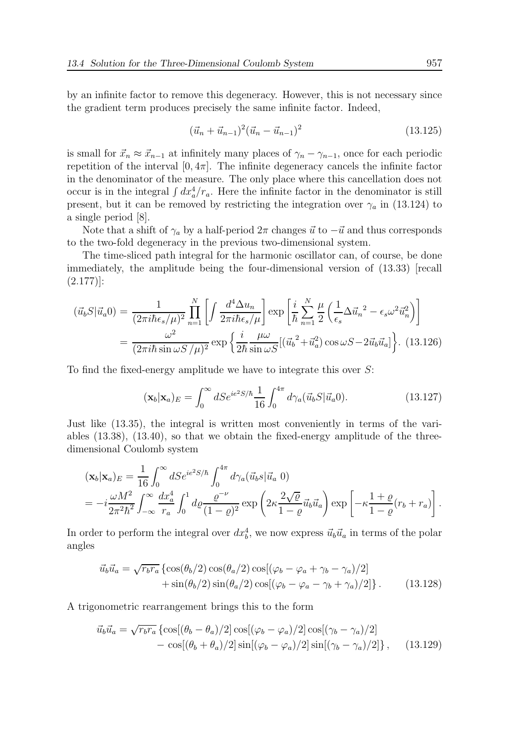by an infinite factor to remove this degeneracy. However, this is not necessary since the gradient term produces precisely the same infinite factor. Indeed,

$$
(\vec{u}_n + \vec{u}_{n-1})^2 (\vec{u}_n - \vec{u}_{n-1})^2 \tag{13.125}
$$

is small for  $\vec{x}_n \approx \vec{x}_{n-1}$  at infinitely many places of  $\gamma_n - \gamma_{n-1}$ , once for each periodic repetition of the interval  $[0, 4\pi]$ . The infinite degeneracy cancels the infinite factor in the denominator of the measure. The only place where this cancellation does not occur is in the integral  $\int dx_a^4/r_a$ . Here the infinite factor in the denominator is still present, but it can be removed by restricting the integration over  $\gamma_a$  in (13.124) to a single period [8].

Note that a shift of  $\gamma_a$  by a half-period  $2\pi$  changes  $\vec{u}$  to  $-\vec{u}$  and thus corresponds to the two-fold degeneracy in the previous two-dimensional system.

The time-sliced path integral for the harmonic oscillator can, of course, be done immediately, the amplitude being the four-dimensional version of (13.33) [recall (2.177)]:

$$
(\vec{u}_b S | \vec{u}_a 0) = \frac{1}{(2\pi i \hbar \epsilon_s / \mu)^2} \prod_{n=1}^N \left[ \int \frac{d^4 \Delta u_n}{2\pi i \hbar \epsilon_s / \mu} \right] \exp \left[ \frac{i}{\hbar} \sum_{n=1}^N \frac{\mu}{2} \left( \frac{1}{\epsilon_s} \Delta \vec{u}_n^2 - \epsilon_s \omega^2 \vec{u}_n^2 \right) \right]
$$
  
= 
$$
\frac{\omega^2}{(2\pi i \hbar \sin \omega S / \mu)^2} \exp \left\{ \frac{i}{2\hbar} \frac{\mu \omega}{\sin \omega S} [(\vec{u}_b^2 + \vec{u}_a^2) \cos \omega S - 2\vec{u}_b \vec{u}_a] \right\}. (13.126)
$$

To find the fixed-energy amplitude we have to integrate this over S:

$$
(\mathbf{x}_b|\mathbf{x}_a)_E = \int_0^\infty dS e^{ie^2 S/\hbar} \frac{1}{16} \int_0^{4\pi} d\gamma_a(\vec{u}_b S|\vec{u}_a 0). \tag{13.127}
$$

Just like (13.35), the integral is written most conveniently in terms of the variables (13.38), (13.40), so that we obtain the fixed-energy amplitude of the threedimensional Coulomb system

$$
(\mathbf{x}_b|\mathbf{x}_a)_E = \frac{1}{16} \int_0^\infty dSe^{ie^2S/\hbar} \int_0^{4\pi} d\gamma_a (\vec{u}_b s|\vec{u}_a 0)
$$
  
=  $-i\frac{\omega M^2}{2\pi^2\hbar^2} \int_{-\infty}^\infty \frac{dx_a^4}{r_a} \int_0^1 d\varrho \frac{\varrho^{-\nu}}{(1-\varrho)^2} \exp\left(2\kappa \frac{2\sqrt{\varrho}}{1-\varrho} \vec{u}_b \vec{u}_a\right) \exp\left[-\kappa \frac{1+\varrho}{1-\varrho} (r_b + r_a)\right].$ 

In order to perform the integral over  $dx_b^4$ , we now express  $\vec{u}_b \vec{u}_a$  in terms of the polar angles

$$
\vec{u}_b \vec{u}_a = \sqrt{r_b r_a} \left\{ \cos(\theta_b/2) \cos(\theta_a/2) \cos[(\varphi_b - \varphi_a + \gamma_b - \gamma_a)/2] + \sin(\theta_b/2) \sin(\theta_a/2) \cos[(\varphi_b - \varphi_a - \gamma_b + \gamma_a)/2] \right\}.
$$
\n(13.128)

A trigonometric rearrangement brings this to the form

$$
\vec{u}_b \vec{u}_a = \sqrt{r_b r_a} \left\{ \cos[(\theta_b - \theta_a)/2] \cos[(\varphi_b - \varphi_a)/2] \cos[(\gamma_b - \gamma_a)/2] - \cos[(\theta_b + \theta_a)/2] \sin[(\varphi_b - \varphi_a)/2] \sin[(\gamma_b - \gamma_a)/2] \right\}, \quad (13.129)
$$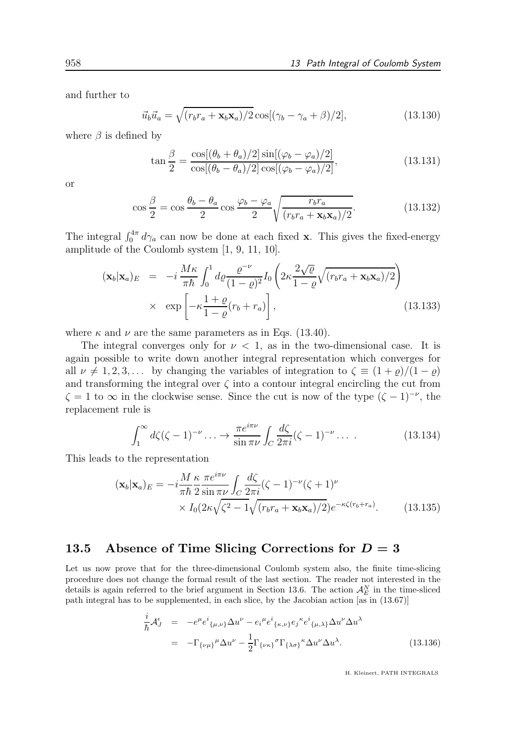and further to

$$
\vec{u}_b \vec{u}_a = \sqrt{(r_b r_a + \mathbf{x}_b \mathbf{x}_a)/2} \cos[(\gamma_b - \gamma_a + \beta)/2], \qquad (13.130)
$$

where  $\beta$  is defined by

$$
\tan\frac{\beta}{2} = \frac{\cos[(\theta_b + \theta_a)/2]\sin[(\varphi_b - \varphi_a)/2]}{\cos[(\theta_b - \theta_a)/2]\cos[(\varphi_b - \varphi_a)/2]},\tag{13.131}
$$

or

$$
\cos\frac{\beta}{2} = \cos\frac{\theta_b - \theta_a}{2}\cos\frac{\varphi_b - \varphi_a}{2}\sqrt{\frac{r_b r_a}{(r_b r_a + \mathbf{x}_b \mathbf{x}_a)/2}}.\tag{13.132}
$$

The integral  $\int_0^{4\pi} d\gamma_a$  can now be done at each fixed x. This gives the fixed-energy amplitude of the Coulomb system [1, 9, 11, 10].

$$
(\mathbf{x}_b|\mathbf{x}_a)_E = -i\frac{M\kappa}{\pi\hbar} \int_0^1 d\varrho \frac{\varrho^{-\nu}}{(1-\varrho)^2} I_0\left(2\kappa \frac{2\sqrt{\varrho}}{1-\varrho}\sqrt{(r_b r_a + \mathbf{x}_b \mathbf{x}_a)/2}\right) \times \exp\left[-\kappa \frac{1+\varrho}{1-\varrho}(r_b + r_a)\right],
$$
\n(13.133)

where  $\kappa$  and  $\nu$  are the same parameters as in Eqs. (13.40).

The integral converges only for  $\nu < 1$ , as in the two-dimensional case. It is again possible to write down another integral representation which converges for all  $\nu \neq 1, 2, 3, \ldots$  by changing the variables of integration to  $\zeta \equiv (1 + \varrho)/(1 - \varrho)$ and transforming the integral over  $\zeta$  into a contour integral encircling the cut from  $\zeta = 1$  to  $\infty$  in the clockwise sense. Since the cut is now of the type  $(\zeta - 1)^{-\nu}$ , the replacement rule is

$$
\int_1^\infty d\zeta (\zeta - 1)^{-\nu} \dots \to \frac{\pi e^{i\pi \nu}}{\sin \pi \nu} \int_C \frac{d\zeta}{2\pi i} (\zeta - 1)^{-\nu} \dots \tag{13.134}
$$

This leads to the representation

$$
(\mathbf{x}_b|\mathbf{x}_a)_E = -i\frac{M\kappa}{\pi\hbar} \frac{\pi e^{i\pi\nu}}{2\sin\pi\nu} \int_C \frac{d\zeta}{2\pi i} (\zeta - 1)^{-\nu} (\zeta + 1)^{\nu} \times I_0(2\kappa\sqrt{\zeta^2 - 1}\sqrt{(r_b r_a + \mathbf{x}_b \mathbf{x}_a)/2})e^{-\kappa\zeta(r_b + r_a)}.
$$
 (13.135)

#### 13.5 Absence of Time Slicing Corrections for  $D = 3$

Let us now prove that for the three-dimensional Coulomb system also, the finite time-slicing procedure does not change the formal result of the last section. The reader not interested in the details is again referred to the brief argument in Section 13.6. The action  $\mathcal{A}_{E}^{N}$  in the time-sliced path integral has to be supplemented, in each slice, by the Jacobian action [as in (13.67)]

$$
\frac{i}{\hbar} \mathcal{A}_{J}^{\epsilon} = -e^{\mu} e^{i}{}_{\{\mu,\nu\}} \Delta u^{\nu} - e_{i}{}^{\mu} e^{i}{}_{\{\kappa,\nu\}} e_{j}{}^{\kappa} e^{i}{}_{\{\mu,\lambda\}} \Delta u^{\nu} \Delta u^{\lambda}
$$
\n
$$
= -\Gamma_{\{\nu\mu\}}{}^{\mu} \Delta u^{\nu} - \frac{1}{2} \Gamma_{\{\nu\kappa\}}{}^{\sigma} \Gamma_{\{\lambda\sigma\}}{}^{\kappa} \Delta u^{\nu} \Delta u^{\lambda}.
$$
\n(13.136)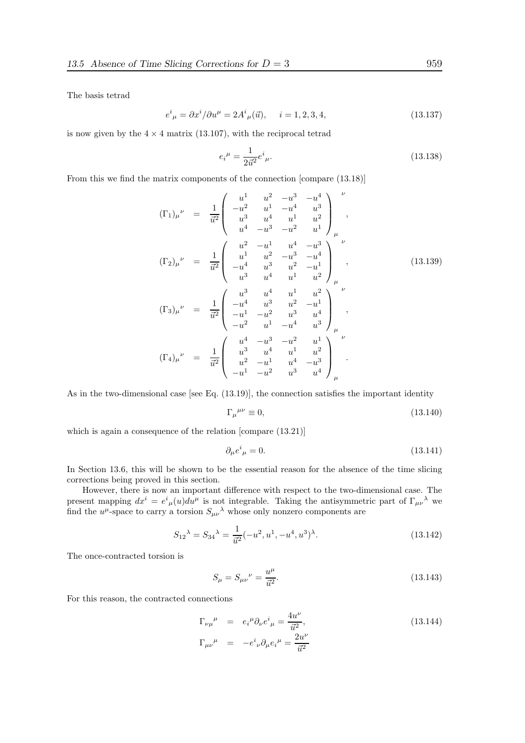The basis tetrad

$$
e^{i}_{\ \mu} = \partial x^{i} / \partial u^{\mu} = 2A^{i}_{\ \mu}(\vec{u}), \quad i = 1, 2, 3, 4,
$$
\n(13.137)

is now given by the  $4 \times 4$  matrix (13.107), with the reciprocal tetrad

$$
e_i^{\mu} = \frac{1}{2\vec{u}^2} e^i_{\mu}.
$$
\n(13.138)

From this we find the matrix components of the connection [compare (13.18)]

$$
(\Gamma_{1})_{\mu}^{\nu} = \frac{1}{\vec{u}^{2}} \begin{pmatrix} u^{1} & u^{2} & -u^{3} & -u^{4} \\ -u^{2} & u^{1} & -u^{4} & u^{3} \\ u^{3} & u^{4} & u^{1} & u^{2} \\ u^{4} & -u^{3} & -u^{2} & u^{1} \end{pmatrix}_{\mu}^{\nu},
$$
  
\n
$$
(\Gamma_{2})_{\mu}^{\nu} = \frac{1}{\vec{u}^{2}} \begin{pmatrix} u^{2} & -u^{1} & u^{4} & -u^{3} \\ u^{1} & u^{2} & -u^{3} & -u^{4} \\ -u^{4} & u^{3} & u^{2} & -u^{1} \\ u^{3} & u^{4} & u^{1} & u^{2} \end{pmatrix}_{\mu}^{\nu},
$$
  
\n
$$
(\Gamma_{3})_{\mu}^{\nu} = \frac{1}{\vec{u}^{2}} \begin{pmatrix} u^{3} & u^{4} & u^{1} & u^{2} \\ -u^{4} & u^{3} & u^{2} & -u^{1} \\ -u^{1} & -u^{2} & u^{3} & u^{4} \\ -u^{2} & u^{1} & -u^{4} & u^{3} \end{pmatrix}_{\mu}^{\nu},
$$
  
\n
$$
(\Gamma_{4})_{\mu}^{\nu} = \frac{1}{\vec{u}^{2}} \begin{pmatrix} u^{4} & -u^{3} & -u^{2} & u^{1} \\ u^{3} & u^{4} & u^{1} & u^{2} \\ u^{2} & -u^{1} & u^{4} & -u^{3} \\ -u^{1} & -u^{2} & u^{3} & u^{4} \end{pmatrix}_{\mu}^{\nu}.
$$

As in the two-dimensional case [see Eq.  $(13.19)$ ], the connection satisfies the important identity

$$
\Gamma_{\mu}{}^{\mu\nu} \equiv 0,\tag{13.140}
$$

which is again a consequence of the relation [compare  $(13.21)$ ]

$$
\partial_{\mu}e^{i}_{\mu}=0.\tag{13.141}
$$

In Section 13.6, this will be shown to be the essential reason for the absence of the time slicing corrections being proved in this section.

However, there is now an important difference with respect to the two-dimensional case. The present mapping  $dx^i = e^i_{\mu}(u)du^{\mu}$  is not integrable. Taking the antisymmetric part of  $\Gamma_{\mu\nu}{}^{\lambda}$  we find the  $u^{\mu}$ -space to carry a torsion  $S_{\mu\nu}^{\lambda}$  whose only nonzero components are

$$
S_{12}^{\lambda} = S_{34}^{\lambda} = \frac{1}{\vec{u}^2}(-u^2, u^1, -u^4, u^3)^{\lambda}.
$$
 (13.142)

The once-contracted torsion is

$$
S_{\mu} = S_{\mu\nu}{}^{\nu} = \frac{u^{\mu}}{\vec{u}^2}.
$$
\n(13.143)

For this reason, the contracted connections

$$
\Gamma_{\nu\mu}^{\mu} = e_i^{\mu} \partial_{\nu} e^i_{\mu} = \frac{4u^{\nu}}{\vec{u}^2},
$$
\n
$$
\Gamma_{\mu\nu}^{\mu} = -e^i_{\nu} \partial_{\mu} e_i^{\mu} = \frac{2u^{\nu}}{\vec{u}^2}
$$
\n(13.144)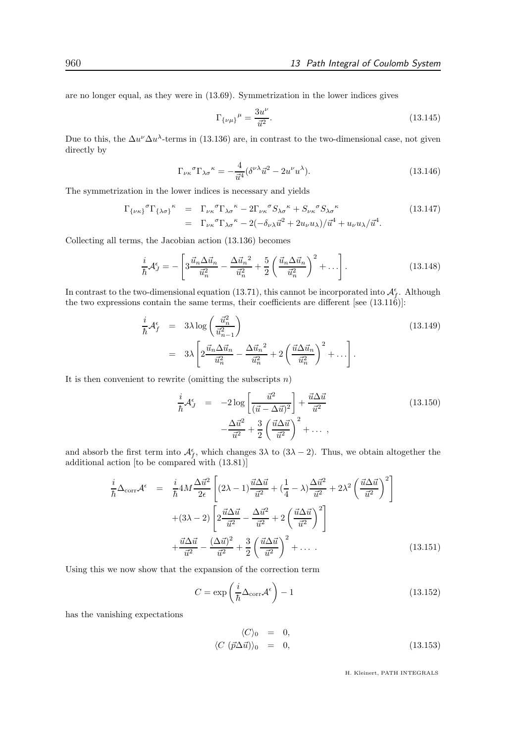are no longer equal, as they were in (13.69). Symmetrization in the lower indices gives

$$
\Gamma_{\{\nu\mu\}}{}^{\mu} = \frac{3u^{\nu}}{\vec{u}^2}.
$$
\n(13.145)

Due to this, the  $\Delta u^{\nu} \Delta u^{\lambda}$ -terms in (13.136) are, in contrast to the two-dimensional case, not given directly by

$$
\Gamma_{\nu\kappa}{}^{\sigma}\Gamma_{\lambda\sigma}{}^{\kappa} = -\frac{4}{\vec{u}^{4}} (\delta^{\nu\lambda}\vec{u}^{2} - 2u^{\nu}u^{\lambda}).
$$
\n(13.146)

The symmetrization in the lower indices is necessary and yields

$$
\Gamma_{\{\nu\kappa\}}{}^{\sigma}\Gamma_{\{\lambda\sigma\}}{}^{\kappa} = \Gamma_{\nu\kappa}{}^{\sigma}\Gamma_{\lambda\sigma}{}^{\kappa} - 2\Gamma_{\nu\kappa}{}^{\sigma}S_{\lambda\sigma}{}^{\kappa} + S_{\nu\kappa}{}^{\sigma}S_{\lambda\sigma}{}^{\kappa}
$$
\n
$$
= \Gamma_{\nu\kappa}{}^{\sigma}\Gamma_{\lambda\sigma}{}^{\kappa} - 2(-\delta_{\nu\lambda}\vec{u}^{2} + 2u_{\nu}u_{\lambda})/\vec{u}^{4} + u_{\nu}u_{\lambda}/\vec{u}^{4}.
$$
\n(13.147)

Collecting all terms, the Jacobian action (13.136) becomes

$$
\frac{i}{\hbar}\mathcal{A}_{J}^{\epsilon} = -\left[3\frac{\vec{u}_{n}\Delta\vec{u}_{n}}{\vec{u}_{n}^{2}} - \frac{\Delta\vec{u}_{n}^{2}}{\vec{u}_{n}^{2}} + \frac{5}{2}\left(\frac{\vec{u}_{n}\Delta\vec{u}_{n}}{\vec{u}_{n}^{2}}\right)^{2} + \ldots\right].
$$
\n(13.148)

In contrast to the two-dimensional equation (13.71), this cannot be incorporated into  $\mathcal{A}_{f}^{\epsilon}$ . Although the two expressions contain the same terms, their coefficients are different [see (13.116)]:

$$
\frac{i}{\hbar} \mathcal{A}_f^{\epsilon} = 3\lambda \log \left( \frac{\vec{u}_n^2}{\vec{u}_{n-1}^2} \right)
$$
\n
$$
= 3\lambda \left[ 2\frac{\vec{u}_n \Delta \vec{u}_n}{\vec{u}_n^2} - \frac{\Delta \vec{u}_n^2}{\vec{u}_n^2} + 2\left(\frac{\vec{u} \Delta \vec{u}_n}{\vec{u}_n^2}\right)^2 + \dots \right].
$$
\n(13.149)

It is then convenient to rewrite (omitting the subscripts  $n$ )

$$
\frac{i}{\hbar} \mathcal{A}_J^{\epsilon} = -2 \log \left[ \frac{\vec{u}^2}{(\vec{u} - \Delta \vec{u})^2} \right] + \frac{\vec{u} \Delta \vec{u}}{\vec{u}^2} \n- \frac{\Delta \vec{u}^2}{\vec{u}^2} + \frac{3}{2} \left( \frac{\vec{u} \Delta \vec{u}}{\vec{u}^2} \right)^2 + \dots ,
$$
\n(13.150)

and absorb the first term into  $\mathcal{A}_f^{\epsilon}$ , which changes  $3\lambda$  to  $(3\lambda - 2)$ . Thus, we obtain altogether the additional action [to be compared with (13.81)]

$$
\frac{i}{\hbar}\Delta_{\text{corr}}\mathcal{A}^{\epsilon} = \frac{i}{\hbar}4M\frac{\Delta\vec{u}^{2}}{2\epsilon}\left[(2\lambda - 1)\frac{\vec{u}\Delta\vec{u}}{\vec{u}^{2}} + (\frac{1}{4} - \lambda)\frac{\Delta\vec{u}^{2}}{\vec{u}^{2}} + 2\lambda^{2}\left(\frac{\vec{u}\Delta\vec{u}}{\vec{u}^{2}}\right)^{2}\right] \n+ (3\lambda - 2)\left[2\frac{\vec{u}\Delta\vec{u}}{\vec{u}^{2}} - \frac{\Delta\vec{u}^{2}}{\vec{u}^{2}} + 2\left(\frac{\vec{u}\Delta\vec{u}}{\vec{u}^{2}}\right)^{2}\right] \n+ \frac{\vec{u}\Delta\vec{u}}{\vec{u}^{2}} - \frac{(\Delta\vec{u})^{2}}{\vec{u}^{2}} + \frac{3}{2}\left(\frac{\vec{u}\Delta\vec{u}}{\vec{u}^{2}}\right)^{2} + \dots
$$
\n(13.151)

Using this we now show that the expansion of the correction term

$$
C = \exp\left(\frac{i}{\hbar}\Delta_{\text{corr}}\mathcal{A}^{\epsilon}\right) - 1\tag{13.152}
$$

has the vanishing expectations

$$
\langle C \rangle_0 = 0, \langle C (\vec{p}\Delta \vec{u}) \rangle_0 = 0,
$$
\n(13.153)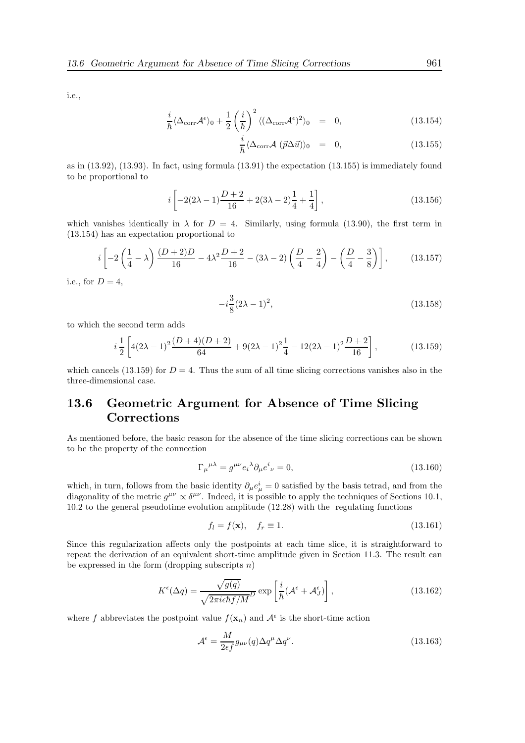i.e.,

$$
\frac{i}{\hbar} \langle \Delta_{\text{corr}} \mathcal{A}^{\epsilon} \rangle_0 + \frac{1}{2} \left( \frac{i}{\hbar} \right)^2 \langle (\Delta_{\text{corr}} \mathcal{A}^{\epsilon})^2 \rangle_0 = 0, \qquad (13.154)
$$

$$
\frac{i}{\hbar} \langle \Delta_{\text{corr}} \mathcal{A} \ (\vec{p} \Delta \vec{u}) \rangle_0 = 0, \tag{13.155}
$$

as in (13.92), (13.93). In fact, using formula (13.91) the expectation (13.155) is immediately found to be proportional to

$$
i\left[-2(2\lambda-1)\frac{D+2}{16}+2(3\lambda-2)\frac{1}{4}+\frac{1}{4}\right],
$$
\n(13.156)

which vanishes identically in  $\lambda$  for  $D = 4$ . Similarly, using formula (13.90), the first term in (13.154) has an expectation proportional to

$$
i\left[-2\left(\frac{1}{4}-\lambda\right)\frac{(D+2)D}{16}-4\lambda^2\frac{D+2}{16}-(3\lambda-2)\left(\frac{D}{4}-\frac{2}{4}\right)-\left(\frac{D}{4}-\frac{3}{8}\right)\right],\qquad(13.157)
$$

i.e., for  $D=4$ ,

$$
-i\frac{3}{8}(2\lambda - 1)^2, \tag{13.158}
$$

to which the second term adds

$$
i\frac{1}{2}\left[4(2\lambda-1)^2\frac{(D+4)(D+2)}{64}+9(2\lambda-1)^2\frac{1}{4}-12(2\lambda-1)^2\frac{D+2}{16}\right],\tag{13.159}
$$

which cancels (13.159) for  $D = 4$ . Thus the sum of all time slicing corrections vanishes also in the three-dimensional case.

## 13.6 Geometric Argument for Absence of Time Slicing Corrections

As mentioned before, the basic reason for the absence of the time slicing corrections can be shown to be the property of the connection

$$
\Gamma_{\mu}{}^{\mu\lambda} = g^{\mu\nu} e_i{}^{\lambda} \partial_{\mu} e^i{}_{\nu} = 0, \tag{13.160}
$$

which, in turn, follows from the basic identity  $\partial_{\mu}e_{\mu}^{i}=0$  satisfied by the basis tetrad, and from the diagonality of the metric  $g^{\mu\nu} \propto \delta^{\mu\nu}$ . Indeed, it is possible to apply the techniques of Sections 10.1, 10.2 to the general pseudotime evolution amplitude (12.28) with the regulating functions

$$
f_l = f(\mathbf{x}), \quad f_r \equiv 1. \tag{13.161}
$$

Since this regularization affects only the postpoints at each time slice, it is straightforward to repeat the derivation of an equivalent short-time amplitude given in Section 11.3. The result can be expressed in the form (dropping subscripts  $n$ )

$$
K^{\epsilon}(\Delta q) = \frac{\sqrt{g(q)}}{\sqrt{2\pi i \epsilon \hbar f/M}^D} \exp\left[\frac{i}{\hbar}(\mathcal{A}^{\epsilon} + \mathcal{A}^{\epsilon}_{J})\right],
$$
\n(13.162)

where f abbreviates the postpoint value  $f(\mathbf{x}_n)$  and  $\mathcal{A}^{\epsilon}$  is the short-time action

$$
\mathcal{A}^{\epsilon} = \frac{M}{2\epsilon f} g_{\mu\nu}(q) \Delta q^{\mu} \Delta q^{\nu}.
$$
 (13.163)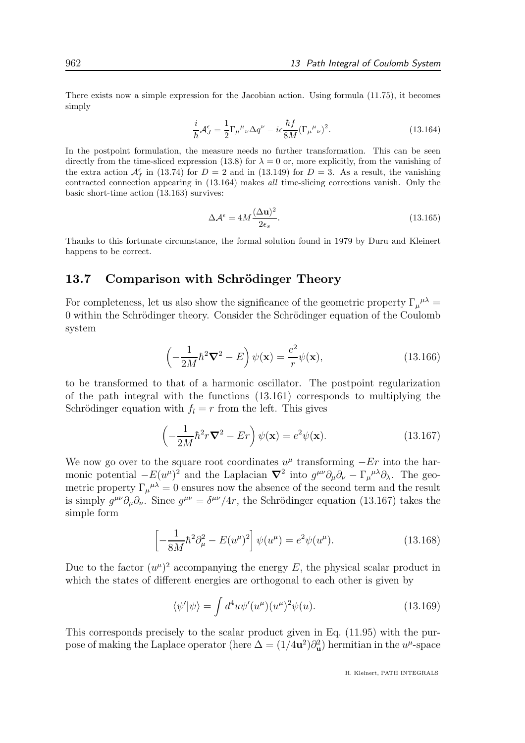There exists now a simple expression for the Jacobian action. Using formula (11.75), it becomes simply

$$
\frac{i}{\hbar} \mathcal{A}_{J}^{\epsilon} = \frac{1}{2} \Gamma_{\mu}{}^{\mu}{}_{\nu} \Delta q^{\nu} - i \epsilon \frac{\hbar f}{8M} (\Gamma_{\mu}{}^{\mu}{}_{\nu})^{2}.
$$
\n(13.164)

In the postpoint formulation, the measure needs no further transformation. This can be seen directly from the time-sliced expression (13.8) for  $\lambda = 0$  or, more explicitly, from the vanishing of the extra action  $\mathcal{A}_{f}^{\epsilon}$  in (13.74) for  $D = 2$  and in (13.149) for  $D = 3$ . As a result, the vanishing contracted connection appearing in (13.164) makes all time-slicing corrections vanish. Only the basic short-time action (13.163) survives:

$$
\Delta \mathcal{A}^{\epsilon} = 4M \frac{(\Delta \mathbf{u})^2}{2\epsilon_s}.
$$
\n(13.165)

Thanks to this fortunate circumstance, the formal solution found in 1979 by Duru and Kleinert happens to be correct.

## 13.7 Comparison with Schrödinger Theory

For completeness, let us also show the significance of the geometric property  $\Gamma_{\mu}{}^{\mu\lambda}$  = 0 within the Schrödinger theory. Consider the Schrödinger equation of the Coulomb system

$$
\left(-\frac{1}{2M}\hbar^2 \nabla^2 - E\right)\psi(\mathbf{x}) = \frac{e^2}{r}\psi(\mathbf{x}),\tag{13.166}
$$

to be transformed to that of a harmonic oscillator. The postpoint regularization of the path integral with the functions (13.161) corresponds to multiplying the Schrödinger equation with  $f_l = r$  from the left. This gives

$$
\left(-\frac{1}{2M}\hbar^2r\mathbf{\nabla}^2 - Er\right)\psi(\mathbf{x}) = e^2\psi(\mathbf{x}).\tag{13.167}
$$

We now go over to the square root coordinates  $u^{\mu}$  transforming  $-Er$  into the harmonic potential  $-E(u^{\mu})^2$  and the Laplacian  $\nabla^2$  into  $g^{\mu\nu}\partial_{\mu}\partial_{\nu} - \Gamma_{\mu}{}^{\mu\lambda}\partial_{\lambda}$ . The geometric property  $\Gamma_{\mu}{}^{\mu\lambda} = 0$  ensures now the absence of the second term and the result is simply  $g^{\mu\nu}\partial_{\mu}\partial_{\nu}$ . Since  $g^{\mu\nu} = \delta^{\mu\nu}/4r$ , the Schrödinger equation (13.167) takes the simple form

$$
\left[ -\frac{1}{8M} \hbar^2 \partial_\mu^2 - E(u^\mu)^2 \right] \psi(u^\mu) = e^2 \psi(u^\mu). \tag{13.168}
$$

Due to the factor  $(u^{\mu})^2$  accompanying the energy E, the physical scalar product in which the states of different energies are orthogonal to each other is given by

$$
\langle \psi' | \psi \rangle = \int d^4 u \psi'(u^\mu) (u^\mu)^2 \psi(u). \tag{13.169}
$$

This corresponds precisely to the scalar product given in Eq. (11.95) with the purpose of making the Laplace operator (here  $\Delta = (1/4\mathbf{u}^2)\partial_{\mathbf{u}}^2$ ) hermitian in the  $u^{\mu}$ -space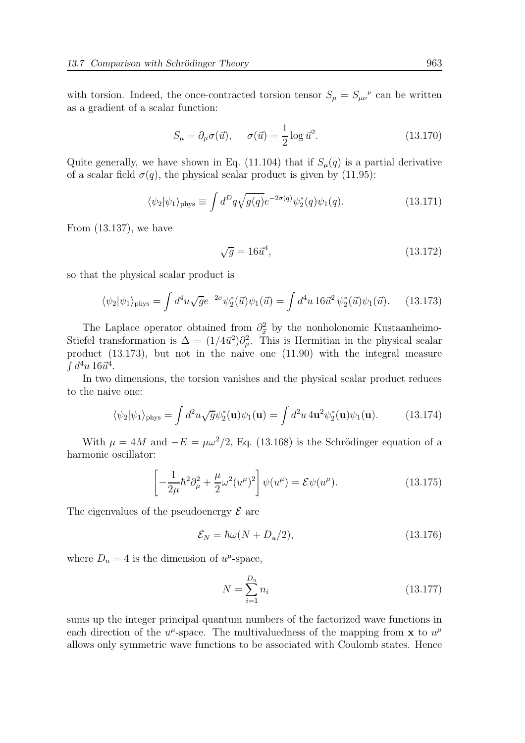with torsion. Indeed, the once-contracted torsion tensor  $S_{\mu} = S_{\mu\nu}^{\ \nu}$  can be written as a gradient of a scalar function:

$$
S_{\mu} = \partial_{\mu}\sigma(\vec{u}), \quad \sigma(\vec{u}) = \frac{1}{2}\log \vec{u}^2.
$$
 (13.170)

Quite generally, we have shown in Eq. (11.104) that if  $S_{\mu}(q)$  is a partial derivative of a scalar field  $\sigma(q)$ , the physical scalar product is given by (11.95):

$$
\langle \psi_2 | \psi_1 \rangle_{\text{phys}} \equiv \int d^D q \sqrt{g(q)} e^{-2\sigma(q)} \psi_2^*(q) \psi_1(q). \tag{13.171}
$$

From (13.137), we have

$$
\sqrt{g} = 16\vec{u}^4,\tag{13.172}
$$

so that the physical scalar product is

$$
\langle \psi_2 | \psi_1 \rangle_{\text{phys}} = \int d^4 u \sqrt{g} e^{-2\sigma} \psi_2^*(\vec{u}) \psi_1(\vec{u}) = \int d^4 u \, 16 \vec{u}^2 \, \psi_2^*(\vec{u}) \psi_1(\vec{u}). \tag{13.173}
$$

The Laplace operator obtained from  $\partial_{\vec{x}}^2$  by the nonholonomic Kustaanheimo-Stiefel transformation is  $\Delta = (1/4\vec{u}^2)\partial_\mu^2$ . This is Hermitian in the physical scalar product (13.173), but not in the naive one (11.90) with the integral measure  $\int d^4u$  16 $\vec{u}^4$ .

In two dimensions, the torsion vanishes and the physical scalar product reduces to the naive one:

$$
\langle \psi_2 | \psi_1 \rangle_{\text{phys}} = \int d^2 u \sqrt{g} \psi_2^*(\mathbf{u}) \psi_1(\mathbf{u}) = \int d^2 u \, 4\mathbf{u}^2 \psi_2^*(\mathbf{u}) \psi_1(\mathbf{u}). \tag{13.174}
$$

With  $\mu = 4M$  and  $-E = \mu \omega^2/2$ , Eq. (13.168) is the Schrödinger equation of a harmonic oscillator:

$$
\left[ -\frac{1}{2\mu} \hbar^2 \partial_\mu^2 + \frac{\mu}{2} \omega^2 (u^\mu)^2 \right] \psi(u^\mu) = \mathcal{E} \psi(u^\mu). \tag{13.175}
$$

The eigenvalues of the pseudoenergy  $\mathcal E$  are

$$
\mathcal{E}_N = \hbar\omega(N + D_u/2),\tag{13.176}
$$

where  $D_u = 4$  is the dimension of  $u^{\mu}$ -space,

$$
N = \sum_{i=1}^{D_u} n_i \tag{13.177}
$$

sums up the integer principal quantum numbers of the factorized wave functions in each direction of the  $u^{\mu}$ -space. The multivaluedness of the mapping from **x** to  $u^{\mu}$ allows only symmetric wave functions to be associated with Coulomb states. Hence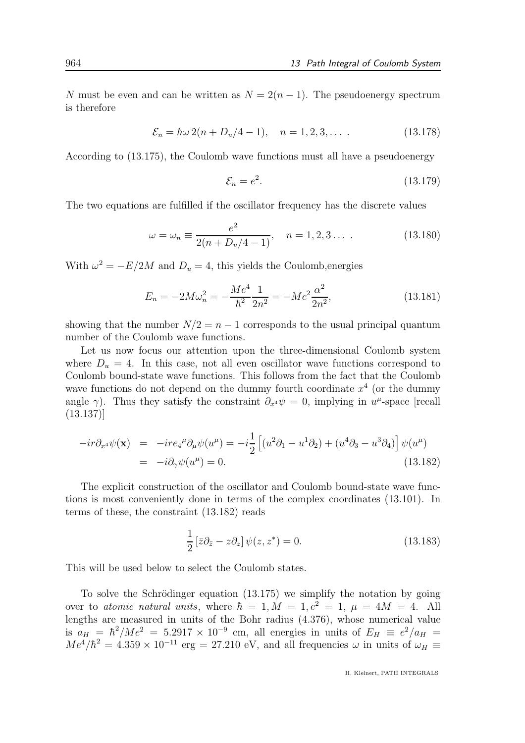N must be even and can be written as  $N = 2(n - 1)$ . The pseudoenergy spectrum is therefore

$$
\mathcal{E}_n = \hbar\omega 2(n + D_u/4 - 1), \quad n = 1, 2, 3, \dots \tag{13.178}
$$

According to (13.175), the Coulomb wave functions must all have a pseudoenergy

$$
\mathcal{E}_n = e^2. \tag{13.179}
$$

The two equations are fulfilled if the oscillator frequency has the discrete values

$$
\omega = \omega_n \equiv \frac{e^2}{2(n + D_u/4 - 1)}, \quad n = 1, 2, 3 \dots \tag{13.180}
$$

With  $\omega^2 = -E/2M$  and  $D_u = 4$ , this yields the Coulomb, energies

$$
E_n = -2M\omega_n^2 = -\frac{Me^4}{\hbar^2} \frac{1}{2n^2} = -Mc^2 \frac{\alpha^2}{2n^2},\tag{13.181}
$$

showing that the number  $N/2 = n - 1$  corresponds to the usual principal quantum number of the Coulomb wave functions.

Let us now focus our attention upon the three-dimensional Coulomb system where  $D_u = 4$ . In this case, not all even oscillator wave functions correspond to Coulomb bound-state wave functions. This follows from the fact that the Coulomb wave functions do not depend on the dummy fourth coordinate  $x^4$  (or the dummy angle  $\gamma$ ). Thus they satisfy the constraint  $\partial_{x^4}\psi = 0$ , implying in  $u^{\mu}$ -space [recall (13.137)]

$$
-ir\partial_{x^4}\psi(\mathbf{x}) = -ire_4^{\mu}\partial_{\mu}\psi(u^{\mu}) = -i\frac{1}{2}\left[(u^2\partial_1 - u^1\partial_2) + (u^4\partial_3 - u^3\partial_4)\right]\psi(u^{\mu})
$$
  
=  $-i\partial_{\gamma}\psi(u^{\mu}) = 0.$  (13.182)

The explicit construction of the oscillator and Coulomb bound-state wave functions is most conveniently done in terms of the complex coordinates (13.101). In terms of these, the constraint (13.182) reads

$$
\frac{1}{2} \left[ \bar{z} \partial_{\bar{z}} - z \partial_z \right] \psi(z, z^*) = 0. \tag{13.183}
$$

This will be used below to select the Coulomb states.

To solve the Schrödinger equation  $(13.175)$  we simplify the notation by going over to atomic natural units, where  $\hbar = 1, M = 1, e^2 = 1, \mu = 4M = 4$ . All lengths are measured in units of the Bohr radius (4.376), whose numerical value is  $a_H = \hbar^2 / Me^2 = 5.2917 \times 10^{-9}$  cm, all energies in units of  $E_H = e^2 / a_H =$  $Me^{4}/\hbar^{2} = 4.359 \times 10^{-11}$  erg = 27.210 eV, and all frequencies  $\omega$  in units of  $\omega_{H} \equiv$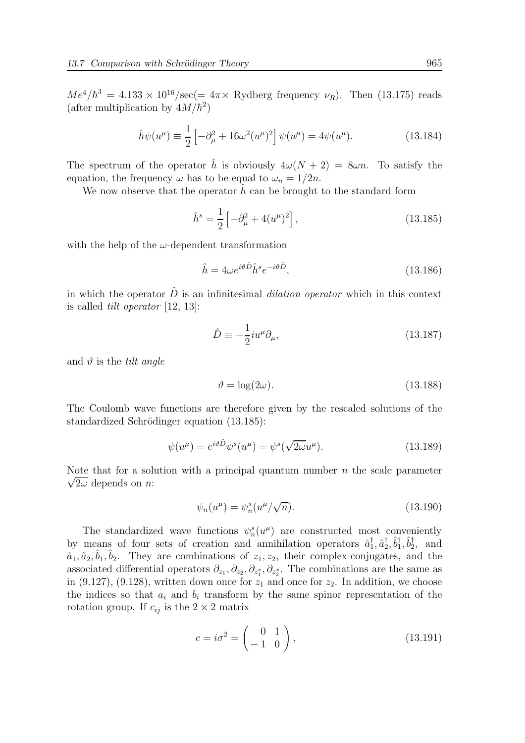$Me^{4}/\hbar^{3} = 4.133 \times 10^{16}/\text{sec} (= 4\pi \times \text{Rydberg frequency } \nu_{R}).$  Then (13.175) reads (after multiplication by  $4M/\hbar^2$ )

$$
\hat{h}\psi(u^{\mu}) \equiv \frac{1}{2} \left[ -\partial_{\mu}^{2} + 16\omega^{2}(u^{\mu})^{2} \right] \psi(u^{\mu}) = 4\psi(u^{\mu}). \tag{13.184}
$$

The spectrum of the operator h is obviously  $4\omega(N+2) = 8\omega n$ . To satisfy the equation, the frequency  $\omega$  has to be equal to  $\omega_n = 1/2n$ .

We now observe that the operator  $\hat{h}$  can be brought to the standard form

$$
\hat{h}^s = \frac{1}{2} \left[ -\partial_\mu^2 + 4(u^\mu)^2 \right],\tag{13.185}
$$

with the help of the  $\omega$ -dependent transformation

$$
\hat{h} = 4\omega e^{i\vartheta \hat{D}} \hat{h}^s e^{-i\vartheta \hat{D}},\tag{13.186}
$$

in which the operator  $\hat{D}$  is an infinitesimal *dilation operator* which in this context is called tilt operator [12, 13]:

$$
\hat{D} \equiv -\frac{1}{2} i u^{\mu} \partial_{\mu},\tag{13.187}
$$

and  $\vartheta$  is the *tilt angle* 

$$
\vartheta = \log(2\omega). \tag{13.188}
$$

The Coulomb wave functions are therefore given by the rescaled solutions of the standardized Schrödinger equation (13.185):

$$
\psi(u^{\mu}) = e^{i\vartheta \hat{D}} \psi^s(u^{\mu}) = \psi^s(\sqrt{2\omega}u^{\mu}). \tag{13.189}
$$

Note that for a solution with a principal quantum number  $n$  the scale parameter  $\sqrt{2\omega}$  depends on *n*:

$$
\psi_n(u^{\mu}) = \psi_n^s(u^{\mu}/\sqrt{n}). \tag{13.190}
$$

The standardized wave functions  $\psi_n^s(u^\mu)$  are constructed most conveniently by means of four sets of creation and annihilation operators  $\hat{a}_1^{\dagger}$  $_1^\dagger, \hat a_2^\dagger$  $_2^\dagger, \hat{b}_1^\dagger$  $_{1}^{\dagger},\hat{b}_{2}^{\dagger}$  $\frac{1}{2}$ , and  $\hat{a}_1, \hat{a}_2, \hat{b}_1, \hat{b}_2$ . They are combinations of  $z_1, z_2$ , their complex-conjugates, and the associated differential operators  $\partial_{z_1}, \partial_{z_2}, \partial_{z_1^*}, \partial_{z_2^*}$ . The combinations are the same as in  $(9.127)$ ,  $(9.128)$ , written down once for  $z_1$  and once for  $z_2$ . In addition, we choose the indices so that  $a_i$  and  $b_i$  transform by the same spinor representation of the rotation group. If  $c_{ij}$  is the  $2 \times 2$  matrix

$$
c = i\sigma^2 = \begin{pmatrix} 0 & 1 \\ -1 & 0 \end{pmatrix},\tag{13.191}
$$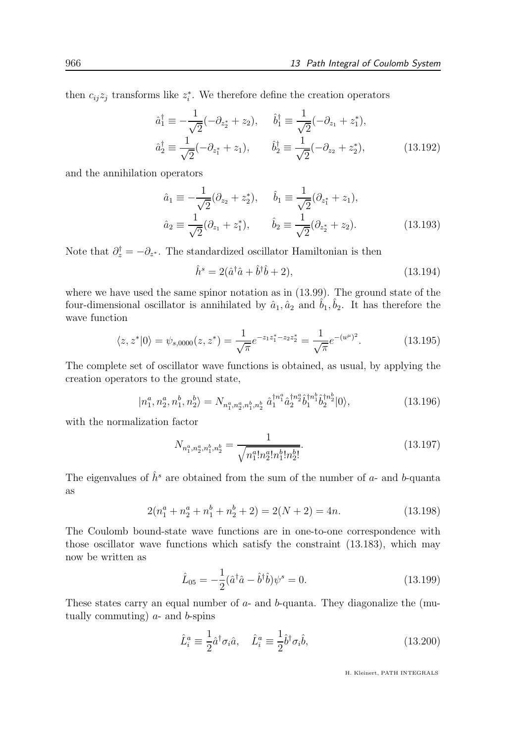then  $c_{ij}z_j$  transforms like  $z_i^*$ . We therefore define the creation operators

$$
\hat{a}_1^{\dagger} \equiv -\frac{1}{\sqrt{2}}(-\partial_{z_2^*} + z_2), \quad \hat{b}_1^{\dagger} \equiv \frac{1}{\sqrt{2}}(-\partial_{z_1} + z_1^*), \n\hat{a}_2^{\dagger} \equiv \frac{1}{\sqrt{2}}(-\partial_{z_1^*} + z_1), \quad \hat{b}_2^{\dagger} \equiv \frac{1}{\sqrt{2}}(-\partial_{z_2} + z_2^*),
$$
\n(13.192)

and the annihilation operators

$$
\hat{a}_1 \equiv -\frac{1}{\sqrt{2}} (\partial_{z_2} + z_2^*), \quad \hat{b}_1 \equiv \frac{1}{\sqrt{2}} (\partial_{z_1^*} + z_1), \n\hat{a}_2 \equiv \frac{1}{\sqrt{2}} (\partial_{z_1} + z_1^*), \quad \hat{b}_2 \equiv \frac{1}{\sqrt{2}} (\partial_{z_2^*} + z_2).
$$
\n(13.193)

Note that  $\partial_z^{\dagger} = -\partial_{z^*}$ . The standardized oscillator Hamiltonian is then

$$
\hat{h}^s = 2(\hat{a}^\dagger \hat{a} + \hat{b}^\dagger \hat{b} + 2),\tag{13.194}
$$

where we have used the same spinor notation as in (13.99). The ground state of the four-dimensional oscillator is annihilated by  $\hat{a}_1, \hat{a}_2$  and  $\hat{b}_1, \hat{b}_2$ . It has therefore the wave function

$$
\langle z, z^* | 0 \rangle = \psi_{s,0000}(z, z^*) = \frac{1}{\sqrt{\pi}} e^{-z_1 z_1^* - z_2 z_2^*} = \frac{1}{\sqrt{\pi}} e^{-(u^{\mu})^2}.
$$
 (13.195)

The complete set of oscillator wave functions is obtained, as usual, by applying the creation operators to the ground state,

$$
|n_1^a, n_2^a, n_1^b, n_2^b\rangle = N_{n_1^a, n_2^a, n_1^b, n_2^b} \hat{a}_1^{\dagger n_1^a} \hat{a}_2^{\dagger n_2^a} \hat{b}_1^{\dagger n_2^b} \hat{b}_2^{\dagger n_2^b} |0\rangle, \tag{13.196}
$$

with the normalization factor

$$
N_{n_1^a, n_2^a, n_1^b, n_2^b} = \frac{1}{\sqrt{n_1^a! n_2^a! n_1^b! n_2^b!}}.
$$
\n(13.197)

The eigenvalues of  $\hat{h}^s$  are obtained from the sum of the number of a- and b-quanta as

$$
2(n_1^a + n_2^a + n_1^b + n_2^b + 2) = 2(N+2) = 4n.
$$
 (13.198)

The Coulomb bound-state wave functions are in one-to-one correspondence with those oscillator wave functions which satisfy the constraint (13.183), which may now be written as

$$
\hat{L}_{05} = -\frac{1}{2} (\hat{a}^{\dagger} \hat{a} - \hat{b}^{\dagger} \hat{b}) \psi^s = 0.
$$
\n(13.199)

These states carry an equal number of  $a$ - and  $b$ -quanta. They diagonalize the (mutually commuting)  $a$ - and  $b$ -spins

$$
\hat{L}_i^a \equiv \frac{1}{2} \hat{a}^\dagger \sigma_i \hat{a}, \quad \hat{L}_i^a \equiv \frac{1}{2} \hat{b}^\dagger \sigma_i \hat{b}, \tag{13.200}
$$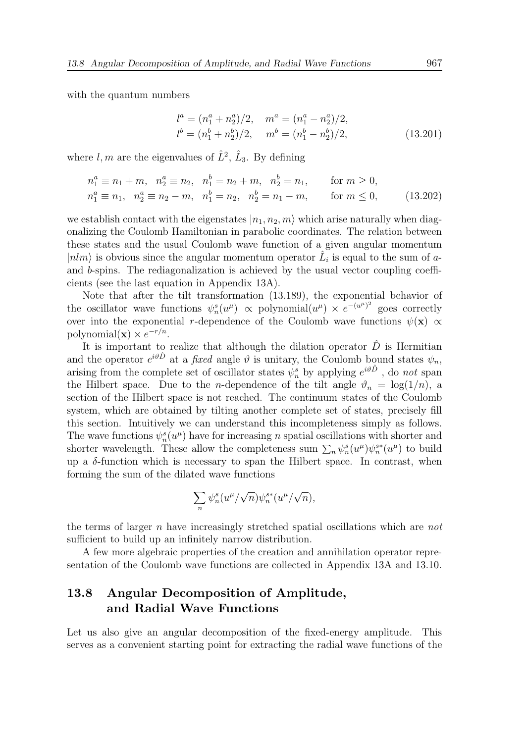with the quantum numbers

$$
l^{a} = (n_{1}^{a} + n_{2}^{a})/2, \quad m^{a} = (n_{1}^{a} - n_{2}^{a})/2, l^{b} = (n_{1}^{b} + n_{2}^{b})/2, \quad m^{b} = (n_{1}^{b} - n_{2}^{b})/2,
$$
 (13.201)

where  $l, m$  are the eigenvalues of  $\hat{L}^2$ ,  $\hat{L}_3$ . By defining

$$
n_1^a \equiv n_1 + m, \quad n_2^a \equiv n_2, \quad n_1^b = n_2 + m, \quad n_2^b = n_1, \quad \text{for } m \ge 0,
$$
  
\n
$$
n_1^a \equiv n_1, \quad n_2^a \equiv n_2 - m, \quad n_1^b = n_2, \quad n_2^b = n_1 - m, \quad \text{for } m \le 0,
$$
\n(13.202)

we establish contact with the eigenstates  $|n_1, n_2, m\rangle$  which arise naturally when diagonalizing the Coulomb Hamiltonian in parabolic coordinates. The relation between these states and the usual Coulomb wave function of a given angular momentum  $|nlm\rangle$  is obvious since the angular momentum operator  $\hat{L}_i$  is equal to the sum of aand b-spins. The rediagonalization is achieved by the usual vector coupling coefficients (see the last equation in Appendix 13A).

Note that after the tilt transformation (13.189), the exponential behavior of the oscillator wave functions  $\psi_n^s(u^\mu) \propto \text{polynomial}(u^\mu) \times e^{-(u^\mu)^2}$  goes correctly over into the exponential r-dependence of the Coulomb wave functions  $\psi(\mathbf{x}) \propto$ polynomial( $\mathbf{x}) \times e^{-r/n}$ .

It is important to realize that although the dilation operator  $\hat{D}$  is Hermitian and the operator  $e^{i\vartheta \hat{D}}$  at a *fixed* angle  $\vartheta$  is unitary, the Coulomb bound states  $\psi_n$ , arising from the complete set of oscillator states  $\psi_n^s$  by applying  $e^{i\vartheta \hat{D}}$ , do not span the Hilbert space. Due to the *n*-dependence of the tilt angle  $\vartheta_n = \log(1/n)$ , a section of the Hilbert space is not reached. The continuum states of the Coulomb system, which are obtained by tilting another complete set of states, precisely fill this section. Intuitively we can understand this incompleteness simply as follows. The wave functions  $\psi_n^s(u^{\mu})$  have for increasing n spatial oscillations with shorter and shorter wavelength. These allow the completeness sum  $\sum_n \psi_n^s(u^\mu) \psi_n^{s*}(u^\mu)$  to build up a  $\delta$ -function which is necessary to span the Hilbert space. In contrast, when forming the sum of the dilated wave functions

$$
\sum_n \psi_n^s(u^\mu/\sqrt{n})\psi_n^{s*}(u^\mu/\sqrt{n}),
$$

the terms of larger n have increasingly stretched spatial oscillations which are not sufficient to build up an infinitely narrow distribution.

A few more algebraic properties of the creation and annihilation operator representation of the Coulomb wave functions are collected in Appendix 13A and 13.10.

## 13.8 Angular Decomposition of Amplitude, and Radial Wave Functions

Let us also give an angular decomposition of the fixed-energy amplitude. This serves as a convenient starting point for extracting the radial wave functions of the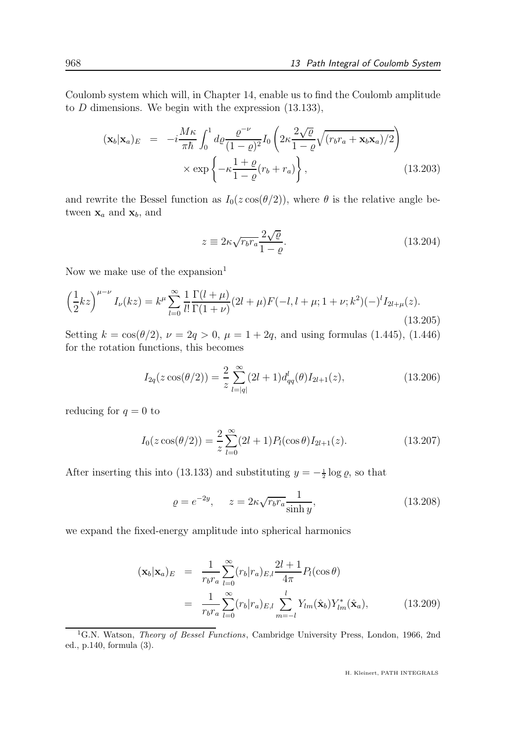Coulomb system which will, in Chapter 14, enable us to find the Coulomb amplitude to  $D$  dimensions. We begin with the expression  $(13.133)$ ,

$$
(\mathbf{x}_b|\mathbf{x}_a)_E = -i\frac{M\kappa}{\pi\hbar} \int_0^1 d\rho \frac{\varrho^{-\nu}}{(1-\varrho)^2} I_0 \left(2\kappa \frac{2\sqrt{\varrho}}{1-\varrho} \sqrt{(r_b r_a + \mathbf{x}_b \mathbf{x}_a)/2}\right) \times \exp\left\{-\kappa \frac{1+\varrho}{1-\varrho} (r_b + r_a)\right\},
$$
\n(13.203)

and rewrite the Bessel function as  $I_0(z \cos(\theta/2))$ , where  $\theta$  is the relative angle between  $\mathbf{x}_a$  and  $\mathbf{x}_b$ , and

$$
z \equiv 2\kappa \sqrt{r_b r_a} \frac{2\sqrt{\varrho}}{1-\varrho}.
$$
\n(13.204)

Now we make use of the expansion $<sup>1</sup>$ </sup>

$$
\left(\frac{1}{2}kz\right)^{\mu-\nu}I_{\nu}(kz) = k^{\mu}\sum_{l=0}^{\infty}\frac{1}{l!}\frac{\Gamma(l+\mu)}{\Gamma(1+\nu)}(2l+\mu)F(-l,l+\mu;1+\nu;k^2)(-)^lI_{2l+\mu}(z).
$$
\n(13.205)

Setting  $k = \cos(\theta/2)$ ,  $\nu = 2q > 0$ ,  $\mu = 1 + 2q$ , and using formulas (1.445), (1.446) for the rotation functions, this becomes

$$
I_{2q}(z\cos(\theta/2)) = \frac{2}{z} \sum_{l=|q|}^{\infty} (2l+1)d_{qq}^{l}(\theta)I_{2l+1}(z),
$$
\n(13.206)

reducing for  $q = 0$  to

$$
I_0(z\cos(\theta/2)) = \frac{2}{z} \sum_{l=0}^{\infty} (2l+1) P_l(\cos\theta) I_{2l+1}(z).
$$
 (13.207)

After inserting this into (13.133) and substituting  $y = -\frac{1}{2} \log \varrho$ , so that

$$
\varrho = e^{-2y}, \qquad z = 2\kappa \sqrt{r_b r_a} \frac{1}{\sinh y}, \tag{13.208}
$$

we expand the fixed-energy amplitude into spherical harmonics

$$
(\mathbf{x}_b|\mathbf{x}_a)_E = \frac{1}{r_b r_a} \sum_{l=0}^{\infty} (r_b|r_a)_{E,l} \frac{2l+1}{4\pi} P_l(\cos\theta)
$$
  

$$
= \frac{1}{r_b r_a} \sum_{l=0}^{\infty} (r_b|r_a)_{E,l} \sum_{m=-l}^{l} Y_{lm}(\hat{\mathbf{x}}_b) Y_{lm}^*(\hat{\mathbf{x}}_a), \qquad (13.209)
$$

<sup>1</sup>G.N. Watson, *Theory of Bessel Functions*, Cambridge University Press, London, 1966, 2nd ed., p.140, formula (3).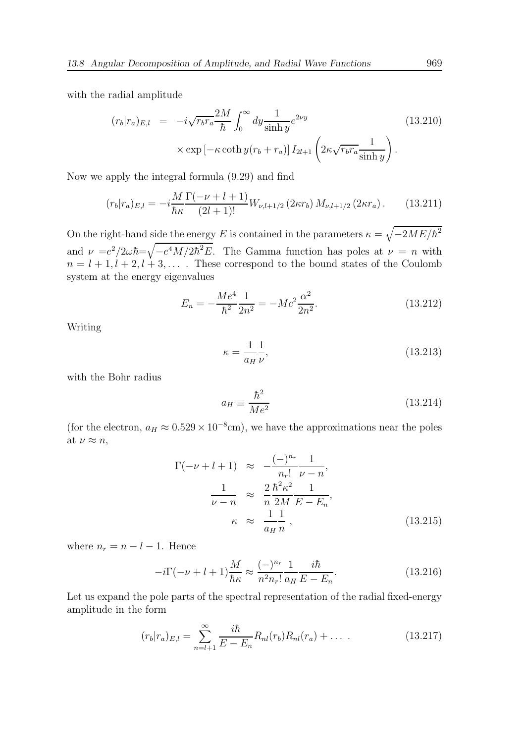with the radial amplitude

$$
(r_b|r_a)_{E,l} = -i\sqrt{r_b r_a} \frac{2M}{\hbar} \int_0^\infty dy \frac{1}{\sinh y} e^{2\nu y}
$$
\n
$$
\times \exp\left[-\kappa \coth y (r_b + r_a)\right] I_{2l+1} \left(2\kappa \sqrt{r_b r_a} \frac{1}{\sinh y}\right).
$$
\n(13.210)

Now we apply the integral formula (9.29) and find

$$
(r_b|r_a)_{E,l} = -i\frac{M}{\hbar\kappa} \frac{\Gamma(-\nu+l+1)}{(2l+1)!} W_{\nu,l+1/2} (2\kappa r_b) M_{\nu,l+1/2} (2\kappa r_a). \tag{13.211}
$$

On the right-hand side the energy E is contained in the parameters  $\kappa = \sqrt{-2ME/\hbar^2}$ and  $\nu = e^2/2\omega\hbar = \sqrt{-e^4M/2\hbar^2E}$ . The Gamma function has poles at  $\nu = n$  with  $n = l + 1, l + 2, l + 3, \ldots$ . These correspond to the bound states of the Coulomb system at the energy eigenvalues

$$
E_n = -\frac{Me^4}{\hbar^2} \frac{1}{2n^2} = -Mc^2 \frac{\alpha^2}{2n^2}.
$$
 (13.212)

Writing

$$
\kappa = \frac{1}{a_H} \frac{1}{\nu},\tag{13.213}
$$

with the Bohr radius

$$
a_H \equiv \frac{\hbar^2}{Me^2} \tag{13.214}
$$

(for the electron,  $a_H \approx 0.529 \times 10^{-8}$ cm), we have the approximations near the poles at  $\nu \approx n$ ,

$$
\Gamma(-\nu + l + 1) \approx -\frac{(-)^{n_r}}{n_r!} \frac{1}{\nu - n},
$$
  
\n
$$
\frac{1}{\nu - n} \approx \frac{2 h^2 \kappa^2}{n} \frac{1}{2M E - E_n},
$$
  
\n
$$
\kappa \approx \frac{1}{a_H} \frac{1}{n},
$$
\n(13.215)

where  $n_r = n - l - 1$ . Hence

$$
-i\Gamma(-\nu+l+1)\frac{M}{\hbar\kappa} \approx \frac{(-)^{n_r}}{n^2 n_r!} \frac{1}{a_H} \frac{i\hbar}{E - E_n}.
$$
 (13.216)

Let us expand the pole parts of the spectral representation of the radial fixed-energy amplitude in the form

$$
(r_b|r_a)_{E,l} = \sum_{n=l+1}^{\infty} \frac{i\hbar}{E - E_n} R_{nl}(r_b) R_{nl}(r_a) + \dots
$$
 (13.217)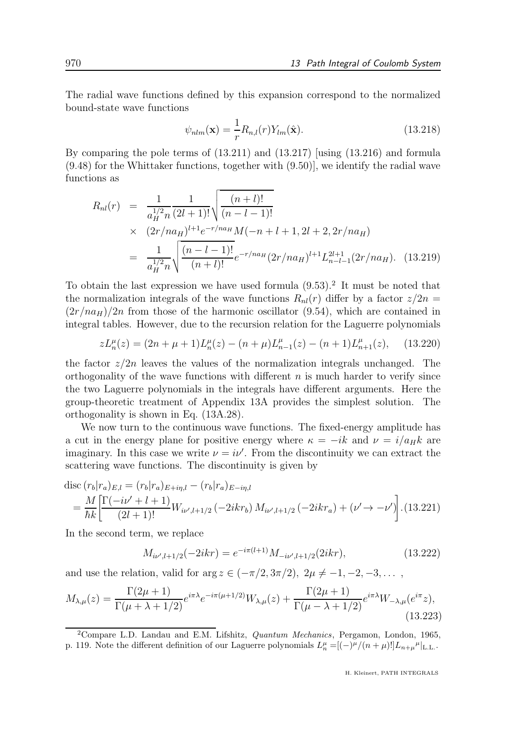The radial wave functions defined by this expansion correspond to the normalized bound-state wave functions

$$
\psi_{nlm}(\mathbf{x}) = \frac{1}{r} R_{n,l}(r) Y_{lm}(\hat{\mathbf{x}}).
$$
\n(13.218)

By comparing the pole terms of (13.211) and (13.217) [using (13.216) and formula (9.48) for the Whittaker functions, together with (9.50)], we identify the radial wave functions as

$$
R_{nl}(r) = \frac{1}{a_H^{1/2} n} \frac{1}{(2l+1)!} \sqrt{\frac{(n+l)!}{(n-l-1)!}}
$$
  
 
$$
\times \frac{(2r/na_H)^{l+1} e^{-r/na_H} M(-n+l+1, 2l+2, 2r/na_H)}{(n-l-1)!}
$$
  
 
$$
= \frac{1}{a_H^{1/2} n} \sqrt{\frac{(n-l-1)!}{(n+l)!}} e^{-r/na_H} (2r/na_H)^{l+1} L_{n-l-1}^{2l+1} (2r/na_H). \quad (13.219)
$$

To obtain the last expression we have used formula  $(9.53)$ .<sup>2</sup> It must be noted that the normalization integrals of the wave functions  $R_{nl}(r)$  differ by a factor  $z/2n =$  $(2r/na_H)/2n$  from those of the harmonic oscillator (9.54), which are contained in integral tables. However, due to the recursion relation for the Laguerre polynomials

$$
zL_n^{\mu}(z) = (2n + \mu + 1)L_n^{\mu}(z) - (n + \mu)L_{n-1}^{\mu}(z) - (n + 1)L_{n+1}^{\mu}(z), \quad (13.220)
$$

the factor  $z/2n$  leaves the values of the normalization integrals unchanged. The orthogonality of the wave functions with different  $n$  is much harder to verify since the two Laguerre polynomials in the integrals have different arguments. Here the group-theoretic treatment of Appendix 13A provides the simplest solution. The orthogonality is shown in Eq. (13A.28).

We now turn to the continuous wave functions. The fixed-energy amplitude has a cut in the energy plane for positive energy where  $\kappa = -ik$  and  $\nu = i/a_Hk$  are imaginary. In this case we write  $\nu = i\nu'$ . From the discontinuity we can extract the scattering wave functions. The discontinuity is given by

$$
\text{disc}\left(r_b|r_a\right)_{E,l} = \left(r_b|r_a\right)_{E+i\eta,l} - \left(r_b|r_a\right)_{E-i\eta,l} \n= \frac{M}{\hbar k} \left[ \frac{\Gamma(-i\nu' + l + 1)}{(2l + 1)!} W_{i\nu',l+1/2} \left(-2ikr_b\right) M_{i\nu',l+1/2} \left(-2ikr_a\right) + \left(\nu' \to -\nu'\right) \right].
$$
\n(13.221)

In the second term, we replace

$$
M_{i\nu',l+1/2}(-2ikr) = e^{-i\pi(l+1)}M_{-i\nu',l+1/2}(2ikr),\tag{13.222}
$$

and use the relation, valid for arg  $z \in (-\pi/2, 3\pi/2), 2\mu \neq -1, -2, -3, \ldots$ 

$$
M_{\lambda,\mu}(z) = \frac{\Gamma(2\mu+1)}{\Gamma(\mu+\lambda+1/2)} e^{i\pi\lambda} e^{-i\pi(\mu+1/2)} W_{\lambda,\mu}(z) + \frac{\Gamma(2\mu+1)}{\Gamma(\mu-\lambda+1/2)} e^{i\pi\lambda} W_{-\lambda,\mu}(e^{i\pi}z),
$$
\n(13.223)

<sup>&</sup>lt;sup>2</sup>Compare L.D. Landau and E.M. Lifshitz, *Quantum Mechanics*, Pergamon, London, 1965, p. 119. Note the different definition of our Laguerre polynomials  $L_n^{\mu} = [(-)^{\mu}/(n+\mu)!] L_{n+\mu}^{\mu}|_{\text{L.L.}}$ .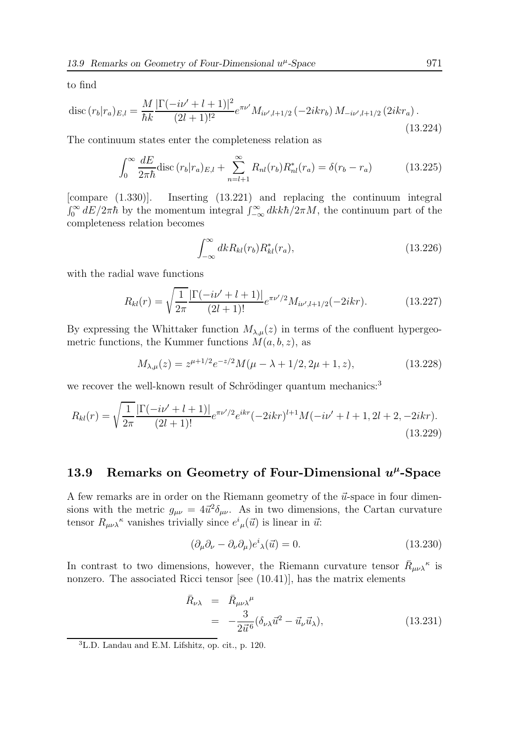to find

$$
\operatorname{disc}(r_b|r_a)_{E,l} = \frac{M}{\hbar k} \frac{|\Gamma(-i\nu' + l + 1)|^2}{(2l+1)!^2} e^{\pi \nu'} M_{i\nu',l+1/2} \left(-2ikr_b\right) M_{-i\nu',l+1/2} \left(2ikr_a\right). \tag{13.224}
$$

The continuum states enter the completeness relation as

$$
\int_0^\infty \frac{dE}{2\pi\hbar} \text{disc}(r_b|r_a)_{E,l} + \sum_{n=l+1}^\infty R_{nl}(r_b) R_{nl}^*(r_a) = \delta(r_b - r_a) \tag{13.225}
$$

[compare (1.330)]. Inserting (13.221) and replacing the continuum integral  $\int_0^{\infty} dE/2\pi\hbar$  by the momentum integral  $\int_{-\infty}^{\infty} dk k\hbar/2\pi M$ , the continuum part of the completeness relation becomes

$$
\int_{-\infty}^{\infty} dk R_{kl}(r_b) R_{kl}^*(r_a), \tag{13.226}
$$

with the radial wave functions

$$
R_{kl}(r) = \sqrt{\frac{1}{2\pi}} \frac{|\Gamma(-i\nu' + l + 1)|}{(2l + 1)!} e^{\pi\nu'/2} M_{i\nu', l+1/2}(-2ikr).
$$
 (13.227)

By expressing the Whittaker function  $M_{\lambda,\mu}(z)$  in terms of the confluent hypergeometric functions, the Kummer functions  $M(a, b, z)$ , as

$$
M_{\lambda,\mu}(z) = z^{\mu+1/2} e^{-z/2} M(\mu - \lambda + 1/2, 2\mu + 1, z), \tag{13.228}
$$

we recover the well-known result of Schrödinger quantum mechanics:<sup>3</sup>

$$
R_{kl}(r) = \sqrt{\frac{1}{2\pi}} \frac{|\Gamma(-i\nu' + l + 1)|}{(2l+1)!} e^{\pi\nu'/2} e^{ikr} (-2ikr)^{l+1} M(-i\nu' + l + 1, 2l + 2, -2ikr).
$$
\n(13.229)

## 13.9 Remarks on Geometry of Four-Dimensional  $u^{\mu}$ -Space

A few remarks are in order on the Riemann geometry of the  $\vec{u}$ -space in four dimensions with the metric  $g_{\mu\nu} = 4\vec{u}^2 \delta_{\mu\nu}$ . As in two dimensions, the Cartan curvature tensor  $R_{\mu\nu\lambda}$ <sup>k</sup> vanishes trivially since  $e^{i}_{\mu}(\vec{u})$  is linear in  $\vec{u}$ :

$$
(\partial_{\mu}\partial_{\nu} - \partial_{\nu}\partial_{\mu})e^{i}{}_{\lambda}(\vec{u}) = 0.
$$
\n(13.230)

In contrast to two dimensions, however, the Riemann curvature tensor  $\bar{R}_{\mu\nu\lambda}{}^{\kappa}$  is nonzero. The associated Ricci tensor [see (10.41)], has the matrix elements

$$
\begin{aligned}\n\bar{R}_{\nu\lambda} &= \bar{R}_{\mu\nu\lambda}{}^{\mu} \\
&= -\frac{3}{2\vec{u}^6} (\delta_{\nu\lambda}\vec{u}^2 - \vec{u}_{\nu}\vec{u}_{\lambda}),\n\end{aligned} \tag{13.231}
$$

<sup>3</sup>L.D. Landau and E.M. Lifshitz, op. cit., p. 120.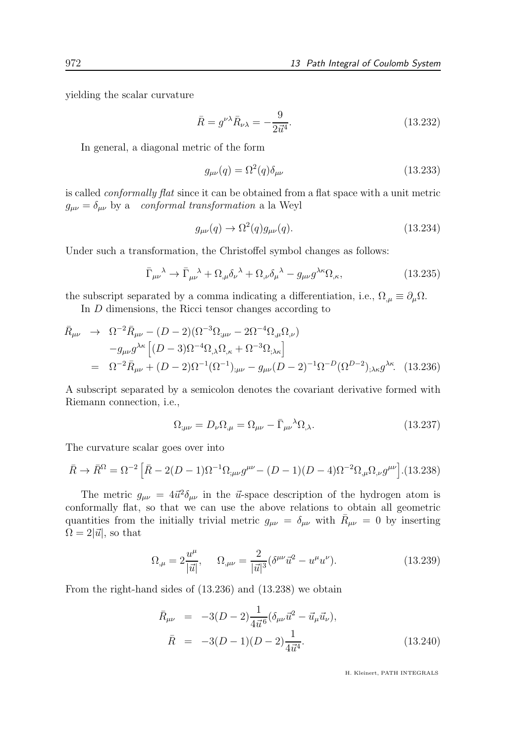yielding the scalar curvature

$$
\bar{R} = g^{\nu\lambda}\bar{R}_{\nu\lambda} = -\frac{9}{2\vec{u}^4}.
$$
\n(13.232)

In general, a diagonal metric of the form

$$
g_{\mu\nu}(q) = \Omega^2(q)\delta_{\mu\nu} \tag{13.233}
$$

is called conformally flat since it can be obtained from a flat space with a unit metric  $g_{\mu\nu} = \delta_{\mu\nu}$  by a conformal transformation a la Weyl

$$
g_{\mu\nu}(q) \rightarrow \Omega^2(q)g_{\mu\nu}(q). \tag{13.234}
$$

Under such a transformation, the Christoffel symbol changes as follows:

$$
\bar{\Gamma}_{\mu\nu}{}^{\lambda} \to \bar{\Gamma}_{\mu\nu}{}^{\lambda} + \Omega_{,\mu} \delta_{\nu}{}^{\lambda} + \Omega_{,\nu} \delta_{\mu}{}^{\lambda} - g_{\mu\nu} g^{\lambda\kappa} \Omega_{,\kappa}, \tag{13.235}
$$

the subscript separated by a comma indicating a differentiation, i.e.,  $\Omega_{\mu} \equiv \partial_{\mu} \Omega$ .

In D dimensions, the Ricci tensor changes according to

$$
\bar{R}_{\mu\nu} \rightarrow \Omega^{-2} \bar{R}_{\mu\nu} - (D-2)(\Omega^{-3} \Omega_{;\mu\nu} - 2\Omega^{-4} \Omega_{,\mu} \Omega_{,\nu}) \n-g_{\mu\nu} g^{\lambda\kappa} \left[ (D-3)\Omega^{-4} \Omega_{,\lambda} \Omega_{,\kappa} + \Omega^{-3} \Omega_{;\lambda\kappa} \right] \n= \Omega^{-2} \bar{R}_{\mu\nu} + (D-2)\Omega^{-1} (\Omega^{-1})_{;\mu\nu} - g_{\mu\nu} (D-2)^{-1} \Omega^{-D} (\Omega^{D-2})_{;\lambda\kappa} g^{\lambda\kappa}.
$$
\n(13.236)

A subscript separated by a semicolon denotes the covariant derivative formed with Riemann connection, i.e.,

$$
\Omega_{;\mu\nu} = D_{\nu}\Omega_{,\mu} = \Omega_{\mu\nu} - \bar{\Gamma}_{\mu\nu}{}^{\lambda}\Omega_{,\lambda}.
$$
\n(13.237)

The curvature scalar goes over into

$$
\bar{R} \to \bar{R}^{\Omega} = \Omega^{-2} \left[ \bar{R} - 2(D - 1)\Omega^{-1} \Omega_{;\mu\nu} g^{\mu\nu} - (D - 1)(D - 4)\Omega^{-2} \Omega_{,\mu} \Omega_{,\nu} g^{\mu\nu} \right]. (13.238)
$$

The metric  $g_{\mu\nu} = 4\vec{u}^2 \delta_{\mu\nu}$  in the  $\vec{u}$ -space description of the hydrogen atom is conformally flat, so that we can use the above relations to obtain all geometric quantities from the initially trivial metric  $g_{\mu\nu} = \delta_{\mu\nu}$  with  $\bar{R}_{\mu\nu} = 0$  by inserting  $\Omega = 2|\vec{u}|$ , so that

$$
\Omega_{,\mu} = 2\frac{u^{\mu}}{|\vec{u}|}, \qquad \Omega_{,\mu\nu} = \frac{2}{|\vec{u}|^3} (\delta^{\mu\nu}\vec{u}^2 - u^{\mu}u^{\nu}). \tag{13.239}
$$

From the right-hand sides of (13.236) and (13.238) we obtain

$$
\bar{R}_{\mu\nu} = -3(D-2)\frac{1}{4\vec{u}^6}(\delta_{\mu\nu}\vec{u}^2 - \vec{u}_{\mu}\vec{u}_{\nu}),
$$
\n
$$
\bar{R} = -3(D-1)(D-2)\frac{1}{4\vec{u}^4}.
$$
\n(13.240)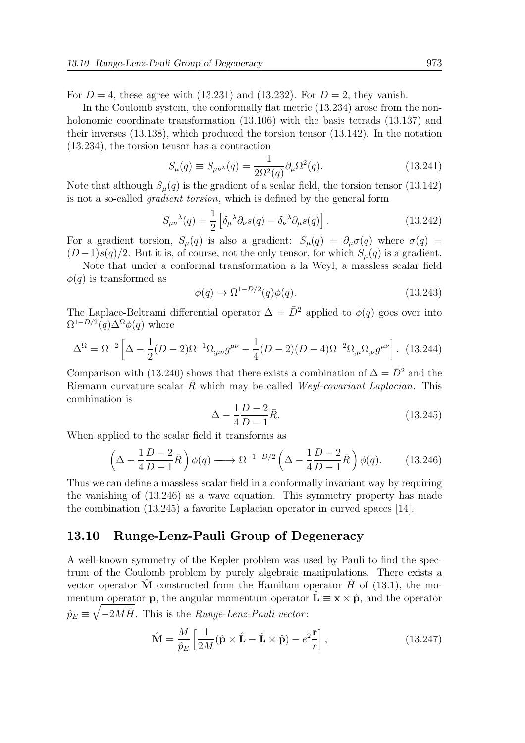For  $D = 4$ , these agree with (13.231) and (13.232). For  $D = 2$ , they vanish.

In the Coulomb system, the conformally flat metric (13.234) arose from the nonholonomic coordinate transformation  $(13.106)$  with the basis tetrads  $(13.137)$  and their inverses (13.138), which produced the torsion tensor (13.142). In the notation (13.234), the torsion tensor has a contraction

$$
S_{\mu}(q) \equiv S_{\mu\nu\lambda}(q) = \frac{1}{2\Omega^2(q)} \partial_{\mu}\Omega^2(q). \tag{13.241}
$$

Note that although  $S_{\mu}(q)$  is the gradient of a scalar field, the torsion tensor (13.142) is not a so-called gradient torsion, which is defined by the general form

$$
S_{\mu\nu}{}^{\lambda}(q) = \frac{1}{2} \left[ \delta_{\mu}{}^{\lambda} \partial_{\nu} s(q) - \delta_{\nu}{}^{\lambda} \partial_{\mu} s(q) \right]. \tag{13.242}
$$

For a gradient torsion,  $S_{\mu}(q)$  is also a gradient:  $S_{\mu}(q) = \partial_{\mu}\sigma(q)$  where  $\sigma(q)$  $(D-1)s(q)/2$ . But it is, of course, not the only tensor, for which  $S_{\mu}(q)$  is a gradient.

Note that under a conformal transformation a la Weyl, a massless scalar field  $\phi(q)$  is transformed as

$$
\phi(q) \to \Omega^{1-D/2}(q)\phi(q). \tag{13.243}
$$

The Laplace-Beltrami differential operator  $\Delta = \bar{D}^2$  applied to  $\phi(q)$  goes over into  $\Omega^{1-D/2}(q)\Delta^{\Omega}\phi(q)$  where

$$
\Delta^{\Omega} = \Omega^{-2} \left[ \Delta - \frac{1}{2} (D - 2) \Omega^{-1} \Omega_{;\mu\nu} g^{\mu\nu} - \frac{1}{4} (D - 2) (D - 4) \Omega^{-2} \Omega_{,\mu} \Omega_{,\nu} g^{\mu\nu} \right].
$$
 (13.244)

Comparison with (13.240) shows that there exists a combination of  $\Delta = \bar{D}^2$  and the Riemann curvature scalar  $R$  which may be called *Weyl-covariant Laplacian*. This combination is

$$
\Delta - \frac{1}{4} \frac{D - 2}{D - 1} \bar{R}.
$$
\n(13.245)

When applied to the scalar field it transforms as

$$
\left(\Delta - \frac{1}{4}\frac{D-2}{D-1}\bar{R}\right)\phi(q) \longrightarrow \Omega^{-1-D/2}\left(\Delta - \frac{1}{4}\frac{D-2}{D-1}\bar{R}\right)\phi(q). \tag{13.246}
$$

Thus we can define a massless scalar field in a conformally invariant way by requiring the vanishing of (13.246) as a wave equation. This symmetry property has made the combination (13.245) a favorite Laplacian operator in curved spaces [14].

## 13.10 Runge-Lenz-Pauli Group of Degeneracy

A well-known symmetry of the Kepler problem was used by Pauli to find the spectrum of the Coulomb problem by purely algebraic manipulations. There exists a vector operator M constructed from the Hamilton operator  $H$  of (13.1), the momentum operator **p**, the angular momentum operator  $\hat{\mathbf{L}} \equiv \mathbf{x} \times \hat{\mathbf{p}}$ , and the operator  $\hat{p}_E \equiv \sqrt{-2M\hat{H}}$ . This is the *Runge-Lenz-Pauli vector*:

$$
\hat{\mathbf{M}} = \frac{M}{\hat{p}_E} \left[ \frac{1}{2M} (\hat{\mathbf{p}} \times \hat{\mathbf{L}} - \hat{\mathbf{L}} \times \hat{\mathbf{p}}) - e^2 \frac{\mathbf{r}}{r} \right],
$$
\n(13.247)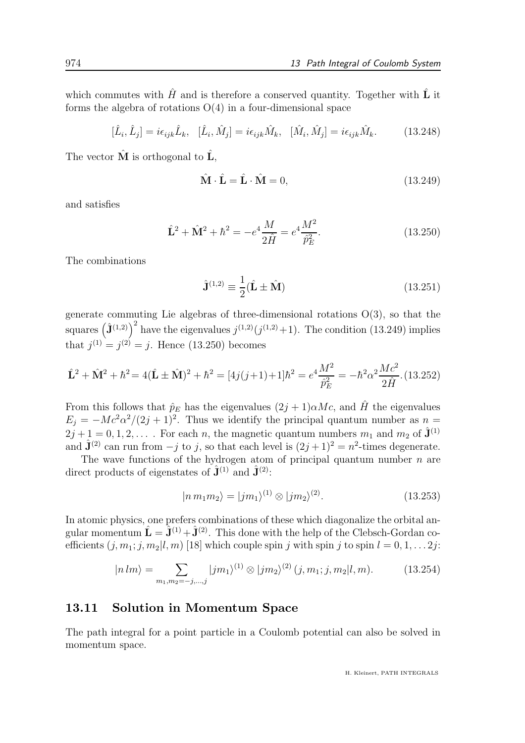which commutes with  $\hat{H}$  and is therefore a conserved quantity. Together with  $\hat{L}$  it forms the algebra of rotations  $O(4)$  in a four-dimensional space

$$
[\hat{L}_i, \hat{L}_j] = i\epsilon_{ijk}\hat{L}_k, \quad [\hat{L}_i, \hat{M}_j] = i\epsilon_{ijk}\hat{M}_k, \quad [\hat{M}_i, \hat{M}_j] = i\epsilon_{ijk}\hat{M}_k. \tag{13.248}
$$

The vector  $\hat{\mathbf{M}}$  is orthogonal to  $\hat{\mathbf{L}}$ ,

$$
\hat{\mathbf{M}} \cdot \hat{\mathbf{L}} = \hat{\mathbf{L}} \cdot \hat{\mathbf{M}} = 0, \tag{13.249}
$$

and satisfies

$$
\hat{\mathbf{L}}^2 + \hat{\mathbf{M}}^2 + \hbar^2 = -e^4 \frac{M}{2\hat{H}} = e^4 \frac{M^2}{\hat{p}_E^2}.
$$
 (13.250)

The combinations

$$
\hat{\mathbf{J}}^{(1,2)} \equiv \frac{1}{2} (\hat{\mathbf{L}} \pm \hat{\mathbf{M}}) \tag{13.251}
$$

generate commuting Lie algebras of three-dimensional rotations O(3), so that the squares  $(\hat{\mathbf{J}}^{(1,2)})^2$  have the eigenvalues  $j^{(1,2)}(j^{(1,2)}+1)$ . The condition (13.249) implies that  $j^{(1)} = j^{(2)} = j$ . Hence (13.250) becomes

$$
\hat{\mathbf{L}}^2 + \hat{\mathbf{M}}^2 + \hbar^2 = 4(\hat{\mathbf{L}} \pm \hat{\mathbf{M}})^2 + \hbar^2 = [4j(j+1)+1]\hbar^2 = e^4 \frac{M^2}{\hat{p}_E^2} = -\hbar^2 \alpha^2 \frac{Mc^2}{2\hat{H}}.(13.252)
$$

From this follows that  $\hat{p}_E$  has the eigenvalues  $(2j + 1)\alpha Mc$ , and  $\hat{H}$  the eigenvalues  $E_j = -Mc^2\alpha^2/(2j+1)^2$ . Thus we identify the principal quantum number as  $n =$  $2j+1=0,1,2,...$  For each n, the magnetic quantum numbers  $m_1$  and  $m_2$  of  $\hat{\mathbf{J}}^{(1)}$ and  $\hat{\mathbf{J}}^{(2)}$  can run from  $-j$  to j, so that each level is  $(2j+1)^2 = n^2$ -times degenerate.

The wave functions of the hydrogen atom of principal quantum number  $n$  are direct products of eigenstates of  $\hat{\mathbf{J}}^{(1)}$  and  $\hat{\mathbf{J}}^{(2)}$ :

$$
|n m_1 m_2\rangle = |j m_1\rangle^{(1)} \otimes |j m_2\rangle^{(2)}.
$$
 (13.253)

In atomic physics, one prefers combinations of these which diagonalize the orbital angular momentum  $\hat{\mathbf{L}} = \hat{\mathbf{J}}^{(1)} + \hat{\mathbf{J}}^{(2)}$ . This done with the help of the Clebsch-Gordan coefficients  $(i, m_1; j, m_2 | l, m)$  [18] which couple spin j with spin j to spin  $l = 0, 1, \ldots 2j$ :

$$
|n \, lm\rangle = \sum_{m_1, m_2 = -j, \dots, j} |j m_1\rangle^{(1)} \otimes |j m_2\rangle^{(2)} (j, m_1; j, m_2 | l, m). \tag{13.254}
$$

## 13.11 Solution in Momentum Space

The path integral for a point particle in a Coulomb potential can also be solved in momentum space.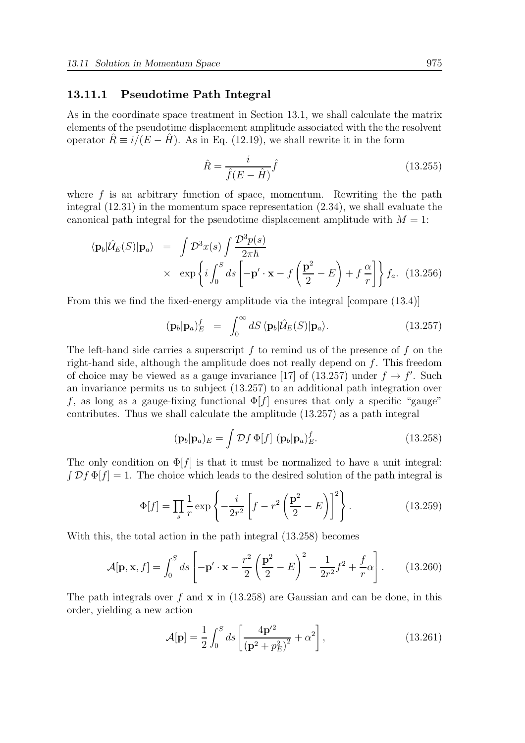#### 13.11.1 Pseudotime Path Integral

As in the coordinate space treatment in Section 13.1, we shall calculate the matrix elements of the pseudotime displacement amplitude associated with the the resolvent operator  $\hat{R} \equiv i/(E - \hat{H})$ . As in Eq. (12.19), we shall rewrite it in the form

$$
\hat{R} = \frac{i}{\hat{f}(E - \hat{H})}\hat{f}
$$
\n(13.255)

where  $f$  is an arbitrary function of space, momentum. Rewriting the the path integral (12.31) in the momentum space representation (2.34), we shall evaluate the canonical path integral for the pseudotime displacement amplitude with  $M = 1$ :

$$
\langle \mathbf{p}_b | \hat{\mathcal{U}}_E(S) | \mathbf{p}_a \rangle = \int \mathcal{D}^3 x(s) \int \frac{\mathcal{D}^3 p(s)}{2\pi \hbar} \times \exp \left\{ i \int_0^S ds \left[ -\mathbf{p}' \cdot \mathbf{x} - f\left(\frac{\mathbf{p}^2}{2} - E\right) + f\frac{\alpha}{r} \right] \right\} f_a. \tag{13.256}
$$

From this we find the fixed-energy amplitude via the integral [compare (13.4)]

$$
(\mathbf{p}_b|\mathbf{p}_a)_E^f = \int_0^\infty dS \langle \mathbf{p}_b | \hat{\mathcal{U}}_E(S) | \mathbf{p}_a \rangle. \tag{13.257}
$$

The left-hand side carries a superscript  $f$  to remind us of the presence of  $f$  on the right-hand side, although the amplitude does not really depend on f. This freedom of choice may be viewed as a gauge invariance [17] of (13.257) under  $f \to f'$ . Such an invariance permits us to subject (13.257) to an additional path integration over f, as long as a gauge-fixing functional  $\Phi[f]$  ensures that only a specific "gauge" contributes. Thus we shall calculate the amplitude (13.257) as a path integral

$$
(\mathbf{p}_b|\mathbf{p}_a)_E = \int \mathcal{D}f \, \Phi[f] \, (\mathbf{p}_b|\mathbf{p}_a)_E^f. \tag{13.258}
$$

The only condition on  $\Phi[f]$  is that it must be normalized to have a unit integral:  $\int \mathcal{D}f \Phi[f] = 1$ . The choice which leads to the desired solution of the path integral is

$$
\Phi[f] = \prod_{s} \frac{1}{r} \exp\left\{-\frac{i}{2r^2} \left[f - r^2 \left(\frac{\mathbf{p}^2}{2} - E\right)\right]^2\right\}.
$$
 (13.259)

With this, the total action in the path integral (13.258) becomes

$$
\mathcal{A}[\mathbf{p}, \mathbf{x}, f] = \int_0^S ds \left[ -\mathbf{p}' \cdot \mathbf{x} - \frac{r^2}{2} \left( \frac{\mathbf{p}^2}{2} - E \right)^2 - \frac{1}{2r^2} f^2 + \frac{f}{r} \alpha \right].
$$
 (13.260)

The path integrals over f and  $\bf{x}$  in (13.258) are Gaussian and can be done, in this order, yielding a new action

$$
\mathcal{A}[\mathbf{p}] = \frac{1}{2} \int_0^S ds \left[ \frac{4\mathbf{p'}^2}{\left(\mathbf{p}^2 + p_E^2\right)^2} + \alpha^2 \right],\tag{13.261}
$$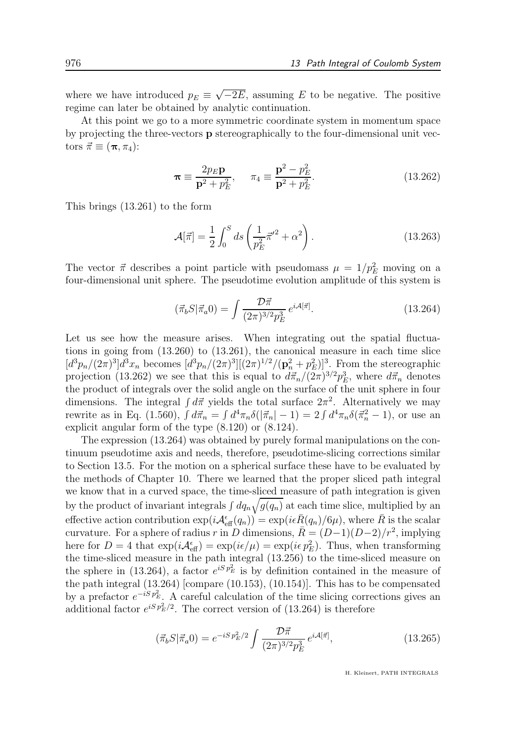where we have introduced  $p_E \equiv \sqrt{-2E}$ , assuming E to be negative. The positive regime can later be obtained by analytic continuation.

At this point we go to a more symmetric coordinate system in momentum space by projecting the three-vectors p stereographically to the four-dimensional unit vectors  $\vec{\pi} \equiv (\pi, \pi_4)$ :

$$
\pi \equiv \frac{2p_E \mathbf{p}}{\mathbf{p}^2 + p_E^2}, \quad \pi_4 \equiv \frac{\mathbf{p}^2 - p_E^2}{\mathbf{p}^2 + p_E^2}.
$$
 (13.262)

This brings (13.261) to the form

$$
\mathcal{A}[\vec{\pi}] = \frac{1}{2} \int_0^S ds \left( \frac{1}{p_E^2} \vec{\pi}'^2 + \alpha^2 \right). \tag{13.263}
$$

The vector  $\vec{\pi}$  describes a point particle with pseudomass  $\mu = 1/p_E^2$  moving on a four-dimensional unit sphere. The pseudotime evolution amplitude of this system is

$$
(\vec{\pi}_b S | \vec{\pi}_a 0) = \int \frac{\mathcal{D}\vec{\pi}}{(2\pi)^{3/2} p_E^3} e^{i\mathcal{A}[\vec{\pi}]}.
$$
 (13.264)

Let us see how the measure arises. When integrating out the spatial fluctuations in going from (13.260) to (13.261), the canonical measure in each time slice  $[d^3p_n/(2\pi)^3]d^3x_n$  becomes  $[d^3p_n/(2\pi)^3][(2\pi)^{1/2}/(\mathbf{p}_n^2+p_E^2)]^3$ . From the stereographic projection (13.262) we see that this is equal to  $d\vec{\pi}_n/(2\pi)^{3/2} p_E^3$ , where  $d\vec{\pi}_n$  denotes the product of integrals over the solid angle on the surface of the unit sphere in four dimensions. The integral  $\int d\vec{\pi}$  yields the total surface  $2\pi^2$ . Alternatively we may rewrite as in Eq. (1.560),  $\int d\vec{\pi}_n = \int d^4\pi_n \delta(|\vec{\pi}_n| - 1) = 2 \int d^4\pi_n \delta(\vec{\pi}_n^2 - 1)$ , or use an explicit angular form of the type (8.120) or (8.124).

The expression (13.264) was obtained by purely formal manipulations on the continuum pseudotime axis and needs, therefore, pseudotime-slicing corrections similar to Section 13.5. For the motion on a spherical surface these have to be evaluated by the methods of Chapter 10. There we learned that the proper sliced path integral we know that in a curved space, the time-sliced measure of path integration is given by the product of invariant integrals  $\int dq_n \sqrt{g(q_n)}$  at each time slice, multiplied by an effective action contribution  $\exp(i{\cal A}_{\text{eff}}^{\epsilon}(q_n)) = \exp(i\epsilon \bar{R}(q_n)/6\mu)$ , where  $\bar{R}$  is the scalar curvature. For a sphere of radius r in D dimensions,  $\bar{R} = (D-1)(D-2)/r^2$ , implying here for  $D = 4$  that  $\exp(i\mathcal{A}_{\text{eff}}^{\epsilon}) = \exp(i\epsilon/\mu) = \exp(i\epsilon p_E^2)$ . Thus, when transforming the time-sliced measure in the path integral (13.256) to the time-sliced measure on the sphere in (13.264), a factor  $e^{iSp_E^2}$  is by definition contained in the measure of the path integral (13.264) [compare (10.153), (10.154)]. This has to be compensated by a prefactor  $e^{-iS p_E^2}$ . A careful calculation of the time slicing corrections gives an additional factor  $e^{iS p_E^2/2}$ . The correct version of (13.264) is therefore

$$
(\vec{\pi}_b S | \vec{\pi}_a 0) = e^{-iS p_E^2/2} \int \frac{\mathcal{D}\vec{\pi}}{(2\pi)^{3/2} p_E^3} e^{i\mathcal{A}[\vec{\pi}]}, \qquad (13.265)
$$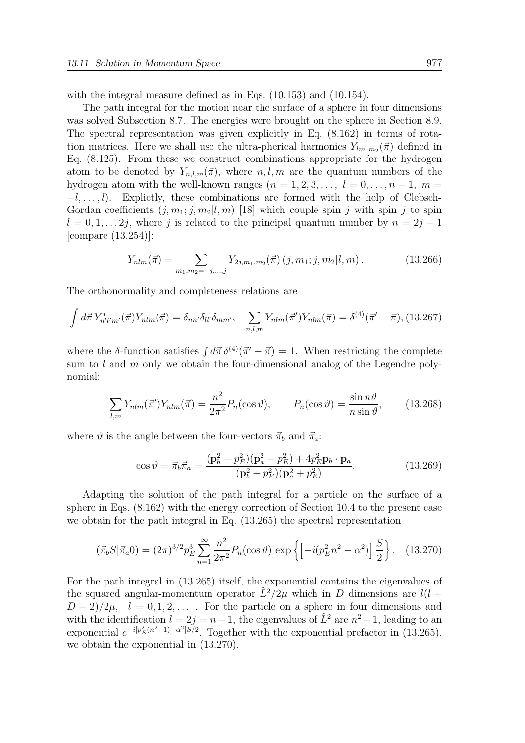with the integral measure defined as in Eqs.  $(10.153)$  and  $(10.154)$ .

The path integral for the motion near the surface of a sphere in four dimensions was solved Subsection 8.7. The energies were brought on the sphere in Section 8.9. The spectral representation was given explicitly in Eq. (8.162) in terms of rotation matrices. Here we shall use the ultra-pherical harmonics  $Y_{lm_1m_2}(\vec{\pi})$  defined in Eq. (8.125). From these we construct combinations appropriate for the hydrogen atom to be denoted by  $Y_{n,l,m}(\vec{\pi})$ , where  $n, l, m$  are the quantum numbers of the hydrogen atom with the well-known ranges  $(n = 1, 2, 3, \ldots, l = 0, \ldots, n - 1, m =$  $-l, \ldots, l$ ). Explictly, these combinations are formed with the help of Clebsch-Gordan coefficients  $(j, m_1; j, m_2 | l, m)$  [18] which couple spin j with spin j to spin  $l = 0, 1, \ldots 2j$ , where j is related to the principal quantum number by  $n = 2j + 1$ [compare (13.254)]:

$$
Y_{nlm}(\vec{\pi}) = \sum_{m_1, m_2 = -j, \dots, j} Y_{2j, m_1, m_2}(\vec{\pi}) \left( j, m_1; j, m_2 | l, m \right). \tag{13.266}
$$

The orthonormality and completeness relations are

$$
\int d\vec{\pi} \, Y_{n'l'm'}^*(\vec{\pi}) Y_{nlm}(\vec{\pi}) = \delta_{nn'} \delta_{ll'} \delta_{mm'}, \quad \sum_{n,l,m} Y_{nlm}(\vec{\pi}') Y_{nlm}(\vec{\pi}) = \delta^{(4)}(\vec{\pi}' - \vec{\pi}), \quad (13.267)
$$

where the δ-function satisfies  $\int d\vec{\pi} \, \delta^{(4)}(\vec{\pi}' - \vec{\pi}) = 1$ . When restricting the complete sum to l and m only we obtain the four-dimensional analog of the Legendre polynomial:

$$
\sum_{l,m} Y_{nlm}(\vec{\pi}') Y_{nlm}(\vec{\pi}) = \frac{n^2}{2\pi^2} P_n(\cos \vartheta), \qquad P_n(\cos \vartheta) = \frac{\sin n\vartheta}{n \sin \vartheta}, \qquad (13.268)
$$

where  $\vartheta$  is the angle between the four-vectors  $\vec{\pi}_b$  and  $\vec{\pi}_a$ :

$$
\cos \vartheta = \vec{\pi}_b \vec{\pi}_a = \frac{(\mathbf{p}_b^2 - p_E^2)(\mathbf{p}_a^2 - p_E^2) + 4p_E^2 \mathbf{p}_b \cdot \mathbf{p}_a}{(\mathbf{p}_b^2 + p_E^2)(\mathbf{p}_a^2 + p_E^2)}.
$$
(13.269)

Adapting the solution of the path integral for a particle on the surface of a sphere in Eqs. (8.162) with the energy correction of Section 10.4 to the present case we obtain for the path integral in Eq. (13.265) the spectral representation

$$
(\vec{\pi}_b S | \vec{\pi}_a 0) = (2\pi)^{3/2} p_E^3 \sum_{n=1}^{\infty} \frac{n^2}{2\pi^2} P_n(\cos \vartheta) \exp\left\{ \left[ -i(p_E^2 n^2 - \alpha^2) \right] \frac{S}{2} \right\}.
$$
 (13.270)

For the path integral in (13.265) itself, the exponential contains the eigenvalues of the squared angular-momentum operator  $\hat{L}^2/2\mu$  which in D dimensions are  $l(l +$  $D-2/2\mu$ ,  $l=0,1,2,...$  . For the particle on a sphere in four dimensions and with the identification  $l = 2j = n - 1$ , the eigenvalues of  $\hat{L}^2$  are  $n^2 - 1$ , leading to an exponential  $e^{-i[p_E^2(n^2-1)-\alpha^2]S/2}$ . Together with the exponential prefactor in (13.265), we obtain the exponential in (13.270).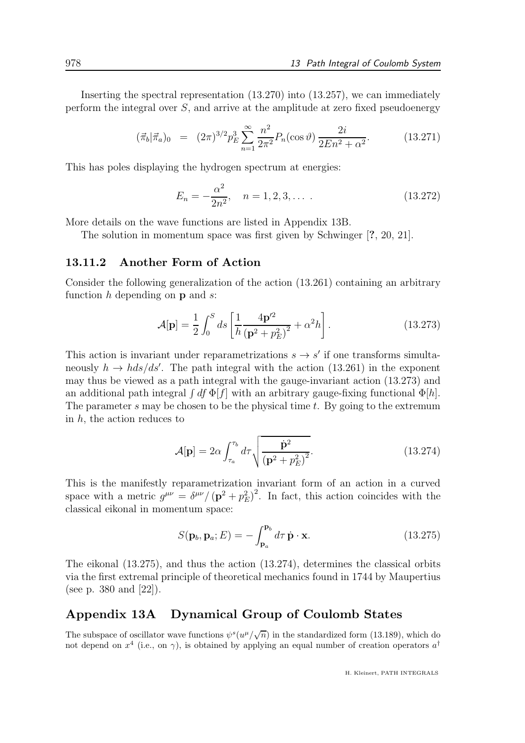Inserting the spectral representation (13.270) into (13.257), we can immediately perform the integral over  $S$ , and arrive at the amplitude at zero fixed pseudoenergy

$$
(\vec{\pi}_b|\vec{\pi}_a)_0 = (2\pi)^{3/2} p_E^3 \sum_{n=1}^{\infty} \frac{n^2}{2\pi^2} P_n(\cos\vartheta) \frac{2i}{2En^2 + \alpha^2}.
$$
 (13.271)

This has poles displaying the hydrogen spectrum at energies:

$$
E_n = -\frac{\alpha^2}{2n^2}, \quad n = 1, 2, 3, \dots \tag{13.272}
$$

More details on the wave functions are listed in Appendix 13B.

The solution in momentum space was first given by Schwinger [?, 20, 21].

#### 13.11.2 Another Form of Action

Consider the following generalization of the action (13.261) containing an arbitrary function  $h$  depending on  $p$  and  $s$ :

$$
\mathcal{A}[\mathbf{p}] = \frac{1}{2} \int_0^S ds \left[ \frac{1}{h} \frac{4\mathbf{p}'^2}{(\mathbf{p}^2 + p_E^2)^2} + \alpha^2 h \right].
$$
 (13.273)

This action is invariant under reparametrizations  $s \to s'$  if one transforms simultaneously  $h \to h ds/ds'$ . The path integral with the action (13.261) in the exponent may thus be viewed as a path integral with the gauge-invariant action (13.273) and an additional path integral  $\int df \Phi[f]$  with an arbitrary gauge-fixing functional  $\Phi[h]$ . The parameter s may be chosen to be the physical time  $t$ . By going to the extremum in  $h$ , the action reduces to

$$
\mathcal{A}[\mathbf{p}] = 2\alpha \int_{\tau_a}^{\tau_b} d\tau \sqrt{\frac{\dot{\mathbf{p}}^2}{\left(\mathbf{p}^2 + p_E^2\right)^2}}.
$$
\n(13.274)

This is the manifestly reparametrization invariant form of an action in a curved space with a metric  $g^{\mu\nu} = \delta^{\mu\nu}/(\mathbf{p}^2 + p_E^2)^2$ . In fact, this action coincides with the classical eikonal in momentum space:

$$
S(\mathbf{p}_b, \mathbf{p}_a; E) = -\int_{\mathbf{p}_a}^{\mathbf{p}_b} d\tau \, \dot{\mathbf{p}} \cdot \mathbf{x}.
$$
 (13.275)

The eikonal (13.275), and thus the action (13.274), determines the classical orbits via the first extremal principle of theoretical mechanics found in 1744 by Maupertius (see p. 380 and [22]).

## Appendix 13A Dynamical Group of Coulomb States

The subspace of oscillator wave functions  $\psi^s(u^\mu/\sqrt{n})$  in the standardized form (13.189), which do not depend on  $x^4$  (i.e., on  $\gamma$ ), is obtained by applying an equal number of creation operators  $a^{\dagger}$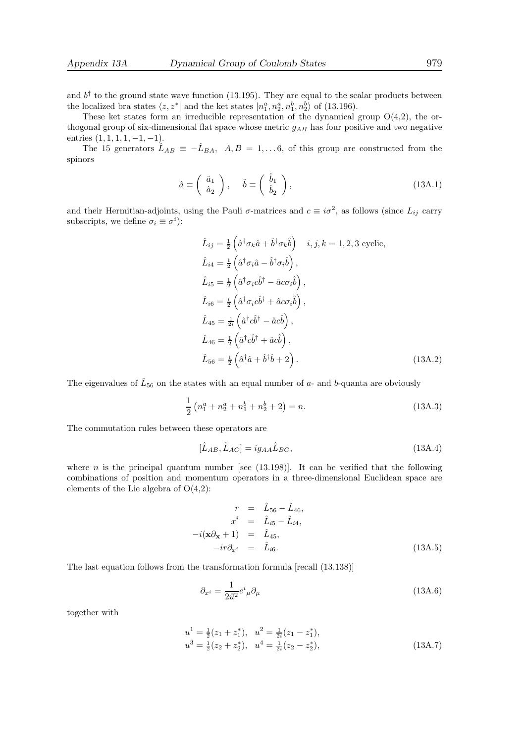and  $b^{\dagger}$  to the ground state wave function (13.195). They are equal to the scalar products between the localized bra states  $\langle z, z^* |$  and the ket states  $|n_1^a, n_2^a, n_1^b, n_2^b \rangle$  of (13.196).

These ket states form an irreducible representation of the dynamical group  $O(4,2)$ , the orthogonal group of six-dimensional flat space whose metric  $g_{AB}$  has four positive and two negative entries  $(1, 1, 1, 1, -1, -1)$ .

The 15 generators  $\hat{L}_{AB} \equiv -\hat{L}_{BA}$ ,  $A, B = 1,... 6$ , of this group are constructed from the spinors

$$
\hat{a} \equiv \begin{pmatrix} \hat{a}_1 \\ \hat{a}_2 \end{pmatrix}, \quad \hat{b} \equiv \begin{pmatrix} \hat{b}_1 \\ \hat{b}_2 \end{pmatrix}, \tag{13A.1}
$$

and their Hermitian-adjoints, using the Pauli  $\sigma$ -matrices and  $c \equiv i\sigma^2$ , as follows (since  $L_{ij}$  carry subscripts, we define  $\sigma_i \equiv \sigma^i$ :

$$
\hat{L}_{ij} = \frac{1}{2} \left( \hat{a}^{\dagger} \sigma_k \hat{a} + \hat{b}^{\dagger} \sigma_k \hat{b} \right) \quad i, j, k = 1, 2, 3 \text{ cyclic},
$$
\n
$$
\hat{L}_{i4} = \frac{1}{2} \left( \hat{a}^{\dagger} \sigma_i \hat{a} - \hat{b}^{\dagger} \sigma_i \hat{b} \right),
$$
\n
$$
\hat{L}_{i5} = \frac{1}{2} \left( \hat{a}^{\dagger} \sigma_i c \hat{b}^{\dagger} - \hat{a} c \sigma_i \hat{b} \right),
$$
\n
$$
\hat{L}_{i6} = \frac{i}{2} \left( \hat{a}^{\dagger} \sigma_i c \hat{b}^{\dagger} + \hat{a} c \sigma_i \hat{b} \right),
$$
\n
$$
\hat{L}_{45} = \frac{1}{2i} \left( \hat{a}^{\dagger} c \hat{b}^{\dagger} - \hat{a} c \hat{b} \right),
$$
\n
$$
\hat{L}_{46} = \frac{1}{2} \left( \hat{a}^{\dagger} c \hat{b}^{\dagger} + \hat{a} c \hat{b} \right),
$$
\n
$$
\hat{L}_{56} = \frac{1}{2} \left( \hat{a}^{\dagger} \hat{a} + \hat{b}^{\dagger} \hat{b} + 2 \right).
$$
\n(13A.2)

The eigenvalues of  $\hat{L}_{56}$  on the states with an equal number of  $a$ - and b-quanta are obviously

$$
\frac{1}{2}\left(n_1^a + n_2^a + n_1^b + n_2^b + 2\right) = n.
$$
\n(13A.3)

The commutation rules between these operators are

$$
[\hat{L}_{AB}, \hat{L}_{AC}] = ig_{AA}\hat{L}_{BC},\tag{13A.4}
$$

where n is the principal quantum number [see  $(13.198)$ ]. It can be verified that the following combinations of position and momentum operators in a three-dimensional Euclidean space are elements of the Lie algebra of O(4,2):

$$
r = \hat{L}_{56} - \hat{L}_{46},
$$
  
\n
$$
x^{i} = \hat{L}_{i5} - \hat{L}_{i4},
$$
  
\n
$$
-i(\mathbf{x}\partial_{\mathbf{x}} + 1) = \hat{L}_{45},
$$
  
\n
$$
-ir\partial_{x^{i}} = \hat{L}_{i6}.
$$
\n(13A.5)

The last equation follows from the transformation formula [recall (13.138)]

$$
\partial_{x^{i}} = \frac{1}{2\vec{u}^{2}}e^{i}{}_{\mu}\partial_{\mu} \tag{13A.6}
$$

together with

$$
u1 = \frac{1}{2}(z_1 + z_1^*), \quad u2 = \frac{1}{2i}(z_1 - z_1^*),
$$
  
\n
$$
u3 = \frac{1}{2}(z_2 + z_2^*), \quad u4 = \frac{1}{2i}(z_2 - z_2^*),
$$
\n(13A.7)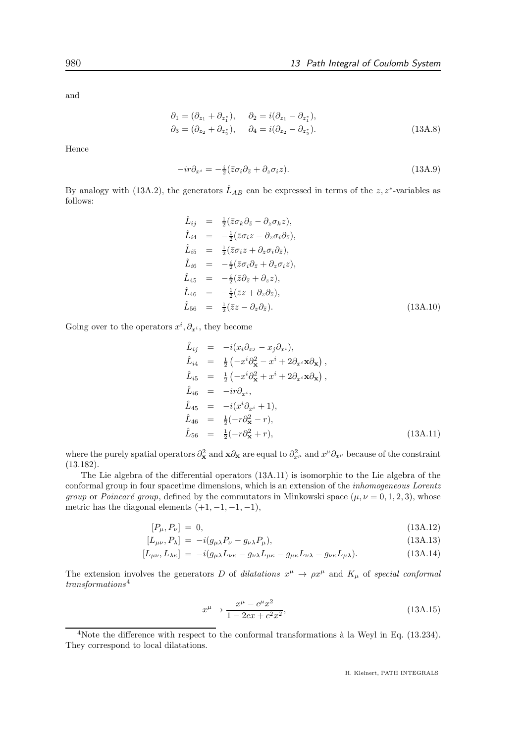and

$$
\partial_1 = (\partial_{z_1} + \partial_{z_1^*}), \quad \partial_2 = i(\partial_{z_1} - \partial_{z_1^*}), \n\partial_3 = (\partial_{z_2} + \partial_{z_2^*}), \quad \partial_4 = i(\partial_{z_2} - \partial_{z_2^*}).
$$
\n(13A.8)

Hence

$$
-ir\partial_{x^i} = -\frac{i}{2}(\bar{z}\sigma_i\partial_{\bar{z}} + \partial_z\sigma_i z). \tag{13A.9}
$$

By analogy with (13A.2), the generators  $\hat{L}_{AB}$  can be expressed in terms of the z, z<sup>\*</sup>-variables as follows:

$$
\hat{L}_{ij} = \frac{1}{2} (\bar{z}\sigma_k \partial_{\bar{z}} - \partial_z \sigma_k z), \n\hat{L}_{i4} = -\frac{1}{2} (\bar{z}\sigma_i z - \partial_z \sigma_i \partial_{\bar{z}}), \n\hat{L}_{i5} = \frac{1}{2} (\bar{z}\sigma_i z + \partial_z \sigma_i \partial_{\bar{z}}), \n\hat{L}_{i6} = -\frac{i}{2} (\bar{z}\sigma_i \partial_{\bar{z}} + \partial_z \sigma_i z), \n\hat{L}_{45} = -\frac{i}{2} (\bar{z}\partial_{\bar{z}} + \partial_z z), \n\hat{L}_{46} = -\frac{1}{2} (\bar{z}z + \partial_z \partial_{\bar{z}}), \n\hat{L}_{56} = \frac{1}{2} (\bar{z}z - \partial_z \partial_{\bar{z}}).
$$
\n(13A.10)

Going over to the operators  $x^i, \partial_{x^i}$ , they become

$$
\hat{L}_{ij} = -i(x_i\partial_{x^j} - x_j\partial_{x^i}),
$$
\n
$$
\hat{L}_{i4} = \frac{1}{2} \left( -x^i \partial_{\mathbf{x}}^2 - x^i + 2\partial_{x^i} \mathbf{x} \partial_{\mathbf{x}} \right),
$$
\n
$$
\hat{L}_{i5} = \frac{1}{2} \left( -x^i \partial_{\mathbf{x}}^2 + x^i + 2\partial_{x^i} \mathbf{x} \partial_{\mathbf{x}} \right),
$$
\n
$$
\hat{L}_{i6} = -ir \partial_{x^i},
$$
\n
$$
\hat{L}_{45} = -i(x^i \partial_{x^i} + 1),
$$
\n
$$
\hat{L}_{46} = \frac{1}{2} (-r \partial_{\mathbf{x}}^2 - r),
$$
\n
$$
\hat{L}_{56} = \frac{1}{2} (-r \partial_{\mathbf{x}}^2 + r),
$$
\n(13A.11)

where the purely spatial operators  $\partial_x^2$  and  $\mathbf{x}\partial_\mathbf{x}$  are equal to  $\partial_{x^\mu}^2$  and  $x^\mu \partial_{x^\mu}$  because of the constraint (13.182).

The Lie algebra of the differential operators (13A.11) is isomorphic to the Lie algebra of the conformal group in four spacetime dimensions, which is an extension of the inhomogeneous Lorentz group or Poincaré group, defined by the commutators in Minkowski space  $(\mu, \nu = 0, 1, 2, 3)$ , whose metric has the diagonal elements  $(+1, -1, -1, -1)$ ,

$$
[P_{\mu}, P_{\nu}] = 0, \tag{13A.12}
$$
\n
$$
[I - P_{\mu}, P_{\nu}] = (13A.12)^{1/2} \tag{13A.13}
$$

$$
[L_{\mu\nu}, P_{\lambda}] = -i(g_{\mu\lambda}P_{\nu} - g_{\nu\lambda}P_{\mu}), \qquad (13A.13)
$$

$$
[L_{\mu\nu}, L_{\lambda\kappa}] = -i(g_{\mu\lambda}L_{\nu\kappa} - g_{\nu\lambda}L_{\mu\kappa} - g_{\mu\kappa}L_{\nu\lambda} - g_{\nu\kappa}L_{\mu\lambda}). \tag{13A.14}
$$

The extension involves the generators D of dilatations  $x^{\mu} \to \rho x^{\mu}$  and  $K_{\mu}$  of special conformal  $transformations<sup>4</sup>$ 

$$
x^{\mu} \to \frac{x^{\mu} - c^{\mu} x^2}{1 - 2cx + c^2 x^2},
$$
\n(13A.15)

<sup>&</sup>lt;sup>4</sup>Note the difference with respect to the conformal transformations à la Weyl in Eq.  $(13.234)$ . They correspond to local dilatations.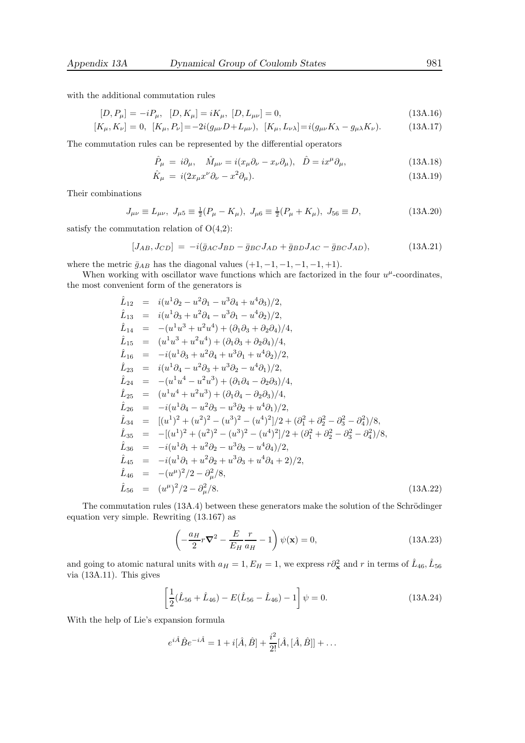with the additional commutation rules

$$
[D, P_{\mu}] = -iP_{\mu}, \quad [D, K_{\mu}] = iK_{\mu}, \quad [D, L_{\mu\nu}] = 0,
$$
\n
$$
[K, K] = 0, \quad [K, P] = -2i(a, D+I) \quad [K, I] = i(a, K) = a \cdot K
$$
\n
$$
(13A.15)
$$
\n
$$
(13A.17)
$$

$$
[K_{\mu}, K_{\nu}] = 0, [K_{\mu}, P_{\nu}] = -2i(g_{\mu\nu}D + L_{\mu\nu}), [K_{\mu}, L_{\nu\lambda}] = i(g_{\mu\nu}K_{\lambda} - g_{\mu\lambda}K_{\nu}).
$$
 (13A.17)

The commutation rules can be represented by the differential operators

$$
\hat{P}_{\mu} = i\partial_{\mu}, \quad \hat{M}_{\mu\nu} = i(x_{\mu}\partial_{\nu} - x_{\nu}\partial_{\mu}), \quad \hat{D} = ix^{\mu}\partial_{\mu}, \tag{13A.18}
$$

$$
\hat{K}_{\mu} = i(2x_{\mu}x^{\nu}\partial_{\nu} - x^2\partial_{\mu}).\tag{13A.19}
$$

Their combinations

$$
J_{\mu\nu} \equiv L_{\mu\nu}, \ J_{\mu 5} \equiv \frac{1}{2}(P_{\mu} - K_{\mu}), \ J_{\mu 6} \equiv \frac{1}{2}(P_{\mu} + K_{\mu}), \ J_{56} \equiv D,
$$
 (13A.20)

satisfy the commutation relation of  $O(4,2)$ :

$$
[J_{AB},J_{CD}] = -i(\bar{g}_{AC}J_{BD} - \bar{g}_{BC}J_{AD} + \bar{g}_{BD}J_{AC} - \bar{g}_{BC}J_{AD}),\tag{13A.21}
$$

where the metric  $\bar{g}_{AB}$  has the diagonal values  $(+1, -1, -1, -1, -1, +1)$ .

When working with oscillator wave functions which are factorized in the four  $u^{\mu}$ -coordinates, the most convenient form of the generators is

$$
\hat{L}_{12} = i(u^{1}\partial_{2} - u^{2}\partial_{1} - u^{3}\partial_{4} + u^{4}\partial_{3})/2,\n\hat{L}_{13} = i(u^{1}\partial_{3} + u^{2}\partial_{4} - u^{3}\partial_{1} - u^{4}\partial_{2})/2,\n\hat{L}_{14} = -(u^{1}u^{3} + u^{2}u^{4}) + (\partial_{1}\partial_{3} + \partial_{2}\partial_{4})/4,\n\hat{L}_{15} = (u^{1}u^{3} + u^{2}u^{4}) + (\partial_{1}\partial_{3} + \partial_{2}\partial_{4})/4,\n\hat{L}_{16} = -i(u^{1}\partial_{3} + u^{2}\partial_{4} + u^{3}\partial_{1} + u^{4}\partial_{2})/2,\n\hat{L}_{23} = i(u^{1}\partial_{4} - u^{2}\partial_{3} + u^{3}\partial_{2} - u^{4}\partial_{1})/2,\n\hat{L}_{24} = -(u^{1}u^{4} - u^{2}u^{3}) + (\partial_{1}\partial_{4} - \partial_{2}\partial_{3})/4,\n\hat{L}_{25} = (u^{1}u^{4} + u^{2}u^{3}) + (\partial_{1}\partial_{4} - \partial_{2}\partial_{3})/4,\n\hat{L}_{26} = -i(u^{1}\partial_{4} - u^{2}\partial_{3} - u^{3}\partial_{2} + u^{4}\partial_{1})/2,\n\hat{L}_{34} = [(u^{1})^{2} + (u^{2})^{2} - (u^{3})^{2} - (u^{4})^{2}]/2 + (\partial_{1}^{2} + \partial_{2}^{2} - \partial_{3}^{2} - \partial_{4}^{2})/8,\n\hat{L}_{35} = -[(u^{1})^{2} + (u^{2})^{2} - (u^{3})^{2} - (u^{4})^{2}]/2 + (\partial_{1}^{2} + \partial_{2}^{2} - \partial_{3}^{2} - \partial_{4}^{2})/8,\n\hat{L}_{36} = -i(u^{1}\partial_{1} + u^{2}\partial_{2} - u^{3}\partial_{3} - u^{4}\partial_{4})/2,\n\hat{L}_{45} = -i(u^{1}\partial_{1} + u^{2}\partial_{2} + u^{3}\partial_{3} + u^{4}\partial_{4} + 2)/2,\n\hat{L}_{46
$$

The commutation rules  $(13A.4)$  between these generators make the solution of the Schrödinger equation very simple. Rewriting (13.167) as

$$
\left(-\frac{a_H}{2}r\boldsymbol{\nabla}^2 - \frac{E}{E_H}\frac{r}{a_H} - 1\right)\psi(\mathbf{x}) = 0,
$$
\n(13A.23)

and going to atomic natural units with  $a_H = 1$ ,  $E_H = 1$ , we express  $r\partial_x^2$  and r in terms of  $\hat{L}_{46}$ ,  $\hat{L}_{56}$ via (13A.11). This gives

$$
\left[\frac{1}{2}(\hat{L}_{56} + \hat{L}_{46}) - E(\hat{L}_{56} - \hat{L}_{46}) - 1\right]\psi = 0.
$$
\n(13A.24)

With the help of Lie's expansion formula

$$
e^{i\hat{A}}\hat{B}e^{-i\hat{A}} = 1 + i[\hat{A}, \hat{B}] + \frac{i^2}{2!}[\hat{A}, [\hat{A}, \hat{B}]] + \dots
$$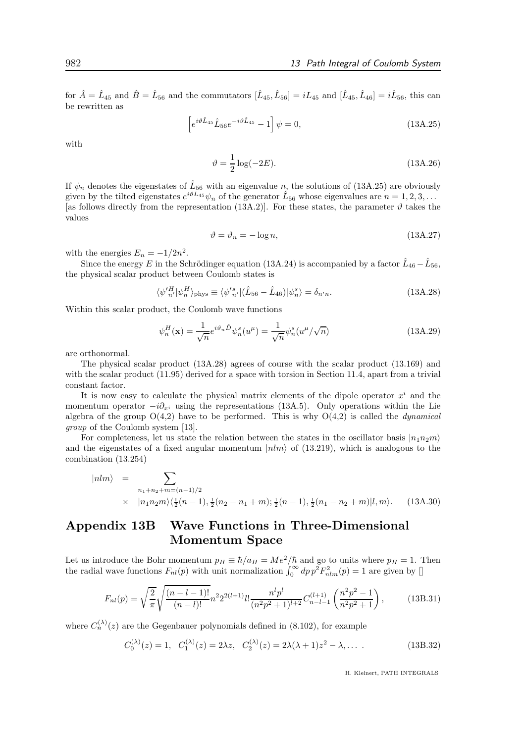for  $\hat{A} = \hat{L}_{45}$  and  $\hat{B} = \hat{L}_{56}$  and the commutators  $[\hat{L}_{45}, \hat{L}_{56}] = iL_{45}$  and  $[\hat{L}_{45}, \hat{L}_{46}] = i\hat{L}_{56}$ , this can be rewritten as

$$
\[e^{i\vartheta \hat{L}_{45}} \hat{L}_{56} e^{-i\vartheta \hat{L}_{45}} - 1\] \psi = 0,\tag{13A.25}
$$

with

$$
\vartheta = \frac{1}{2}\log(-2E). \tag{13A.26}
$$

If  $\psi_n$  denotes the eigenstates of  $\hat{L}_{56}$  with an eigenvalue n, the solutions of (13A.25) are obviously given by the tilted eigenstates  $e^{i\vartheta L_{45}}\psi_n$  of the generator  $\hat{L}_{56}$  whose eigenvalues are  $n = 1, 2, 3, ...$ [as follows directly from the representation (13A.2)]. For these states, the parameter  $\vartheta$  takes the values

$$
\vartheta = \vartheta_n = -\log n,\tag{13A.27}
$$

with the energies  $E_n = -1/2n^2$ .

Since the energy E in the Schrödinger equation (13A.24) is accompanied by a factor  $\hat{L}_{46} - \hat{L}_{56}$ , the physical scalar product between Coulomb states is

$$
\langle \psi^{\prime H}_{n'} | \psi^H_{n} \rangle_{\text{phys}} \equiv \langle \psi^{\prime s}_{n'} | (\hat{L}_{56} - \hat{L}_{46}) | \psi^s_{n} \rangle = \delta_{n'n}.\tag{13A.28}
$$

Within this scalar product, the Coulomb wave functions

$$
\psi_n^H(\mathbf{x}) = \frac{1}{\sqrt{n}} e^{i\vartheta_n \hat{D}} \psi_n^s(u^\mu) = \frac{1}{\sqrt{n}} \psi_n^s(u^\mu/\sqrt{n}) \tag{13A.29}
$$

are orthonormal.

The physical scalar product (13A.28) agrees of course with the scalar product (13.169) and with the scalar product  $(11.95)$  derived for a space with torsion in Section 11.4, apart from a trivial constant factor.

It is now easy to calculate the physical matrix elements of the dipole operator  $x^i$  and the momentum operator  $-i\partial_{x_i}$  using the representations (13A.5). Only operations within the Lie algebra of the group  $O(4,2)$  have to be performed. This is why  $O(4,2)$  is called the *dynamical* group of the Coulomb system [13].

For completeness, let us state the relation between the states in the oscillator basis  $|n_1n_2m\rangle$ and the eigenstates of a fixed angular momentum  $|nlm\rangle$  of (13.219), which is analogous to the combination (13.254)

$$
|nlm\rangle = \sum_{n_1+n_2+m=(n-1)/2}
$$
  
 
$$
\times |n_1n_2m\rangle\langle\frac{1}{2}(n-1), \frac{1}{2}(n_2-n_1+m);\frac{1}{2}(n-1), \frac{1}{2}(n_1-n_2+m)|l,m\rangle.
$$
 (13A.30)

## Appendix 13B Wave Functions in Three-Dimensional Momentum Space

Let us introduce the Bohr momentum  $p_H \equiv \hbar/a_H = Me^2/\hbar$  and go to units where  $p_H = 1$ . Then the radial wave functions  $F_{nl}(p)$  with unit normalization  $\int_0^\infty dp p^2 F_{nlm}^2(p) = 1$  are given by []

$$
F_{nl}(p) = \sqrt{\frac{2}{\pi}} \sqrt{\frac{(n-l-1)!}{(n-l)!}} n^2 2^{2(l+1)} l! \frac{n^l p^l}{(n^2 p^2 + 1)^{l+2}} C_{n-l-1}^{(l+1)} \left(\frac{n^2 p^2 - 1}{n^2 p^2 + 1}\right),\tag{13B.31}
$$

where  $C_n^{(\lambda)}(z)$  are the Gegenbauer polynomials defined in (8.102), for example

$$
C_0^{(\lambda)}(z) = 1, \quad C_1^{(\lambda)}(z) = 2\lambda z, \quad C_2^{(\lambda)}(z) = 2\lambda(\lambda + 1)z^2 - \lambda, \dots \tag{13B.32}
$$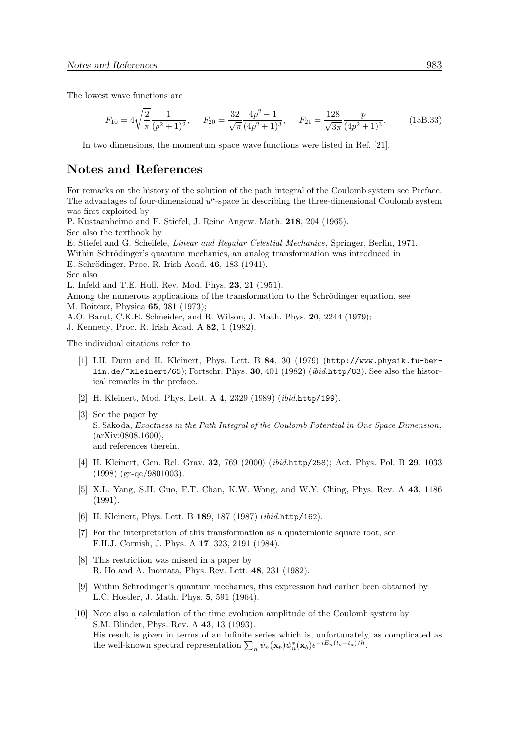The lowest wave functions are

$$
F_{10} = 4\sqrt{\frac{2}{\pi}} \frac{1}{(p^2+1)^2}, \quad F_{20} = \frac{32}{\sqrt{\pi}} \frac{4p^2-1}{(4p^2+1)^3}, \quad F_{21} = \frac{128}{\sqrt{3\pi}} \frac{p}{(4p^2+1)^3}.
$$
 (13B.33)

In two dimensions, the momentum space wave functions were listed in Ref. [21].

## Notes and References

For remarks on the history of the solution of the path integral of the Coulomb system see Preface. The advantages of four-dimensional  $u^{\mu}$ -space in describing the three-dimensional Coulomb system was first exploited by

P. Kustaanheimo and E. Stiefel, J. Reine Angew. Math. 218, 204 (1965). See also the textbook by

E. Stiefel and G. Scheifele, Linear and Regular Celestial Mechanics, Springer, Berlin, 1971. Within Schrödinger's quantum mechanics, an analog transformation was introduced in E. Schrödinger, Proc. R. Irish Acad. 46, 183 (1941).

See also

L. Infeld and T.E. Hull, Rev. Mod. Phys. 23, 21 (1951).

Among the numerous applications of the transformation to the Schrödinger equation, see M. Boiteux, Physica 65, 381 (1973);

A.O. Barut, C.K.E. Schneider, and R. Wilson, J. Math. Phys. 20, 2244 (1979);

J. Kennedy, Proc. R. Irish Acad. A 82, 1 (1982).

The individual citations refer to

- [1] I.H. Duru and H. Kleinert, Phys. Lett. B 84, 30 (1979) (http://www.physik.fu-berlin.de/~kleinert/65); Fortschr. Phys. 30, 401 (1982) (ibid.http/83). See also the historical remarks in the preface.
- [2] H. Kleinert, Mod. Phys. Lett. A 4, 2329 (1989) (*ibid.http/199*).
- [3] See the paper by S. Sakoda, Exactness in the Path Integral of the Coulomb Potential in One Space Dimension, (arXiv:0808.1600), and references therein.
- [4] H. Kleinert, Gen. Rel. Grav. 32, 769 (2000) (ibid.http/258); Act. Phys. Pol. B 29, 1033 (1998) (gr-qc/9801003).
- [5] X.L. Yang, S.H. Guo, F.T. Chan, K.W. Wong, and W.Y. Ching, Phys. Rev. A 43, 1186 (1991).
- [6] H. Kleinert, Phys. Lett. B 189, 187 (1987) (ibid.http/162).
- [7] For the interpretation of this transformation as a quaternionic square root, see F.H.J. Cornish, J. Phys. A 17, 323, 2191 (1984).
- [8] This restriction was missed in a paper by R. Ho and A. Inomata, Phys. Rev. Lett. 48, 231 (1982).
- [9] Within Schrödinger's quantum mechanics, this expression had earlier been obtained by L.C. Hostler, J. Math. Phys. 5, 591 (1964).
- [10] Note also a calculation of the time evolution amplitude of the Coulomb system by S.M. Blinder, Phys. Rev. A 43, 13 (1993). His result is given in terms of an infinite series which is, unfortunately, as complicated as the well-known spectral representation  $\sum_n \psi_n(\mathbf{x}_b) \psi_n^*(\mathbf{x}_b) e^{-iE_n(t_b-t_a)/\hbar}$ .